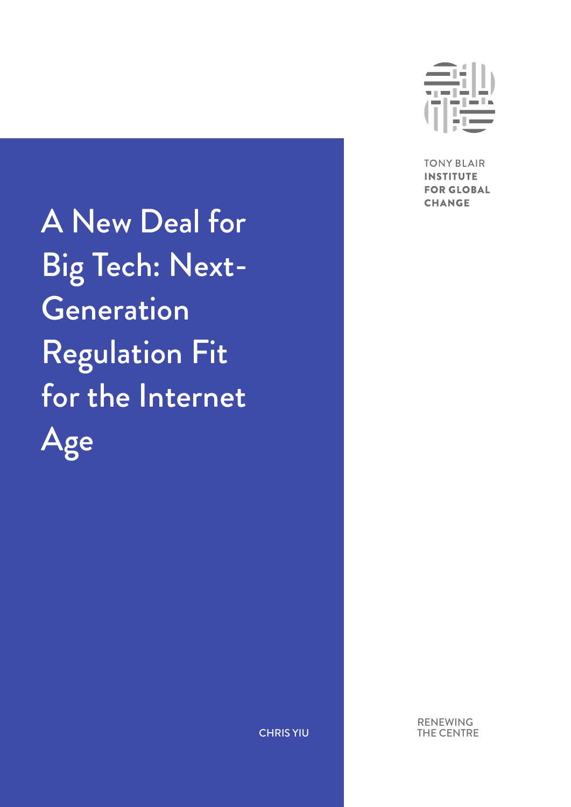A New Deal for Big Tech: Next-**Generation** Regulation Fit for the Internet Age



**TONY BLAIR INSTITUTE FOR GLOBAL CHANGE** 

RENEWING THE CENTRE

CHRIS YIU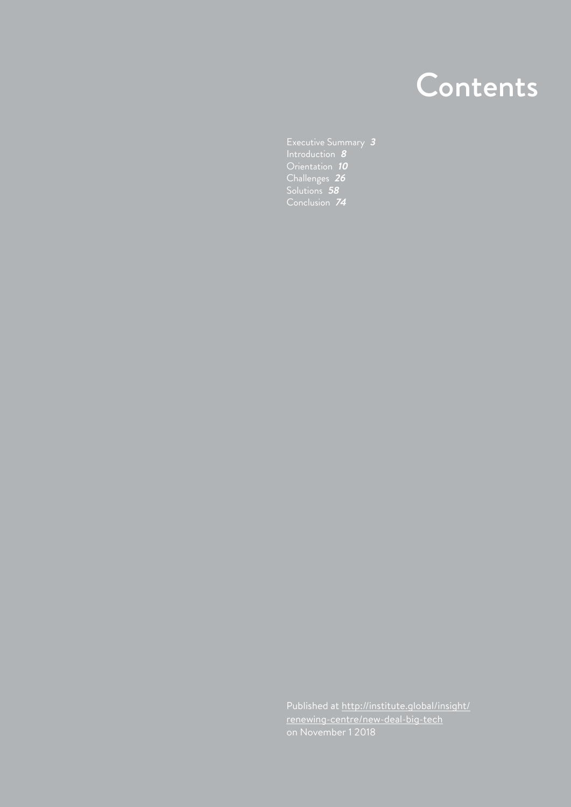# **Contents**

[Executive Summary](#page-2-0) **<sup>3</sup>** [Introduction](#page-7-0) **<sup>8</sup>** [Orientation](#page-9-0) **<sup>10</sup>** [Challenges](#page-25-0) **26** [Solutions](#page-57-0) **<sup>58</sup>** [Conclusion](#page-73-0) **<sup>74</sup>**

Published at [http://institute.global/insight/](http://institute.global/insight/renewing-centre/new-deal-big-tech) [renewing-centre/new-deal-big-tech](http://institute.global/insight/renewing-centre/new-deal-big-tech) on November 1 2018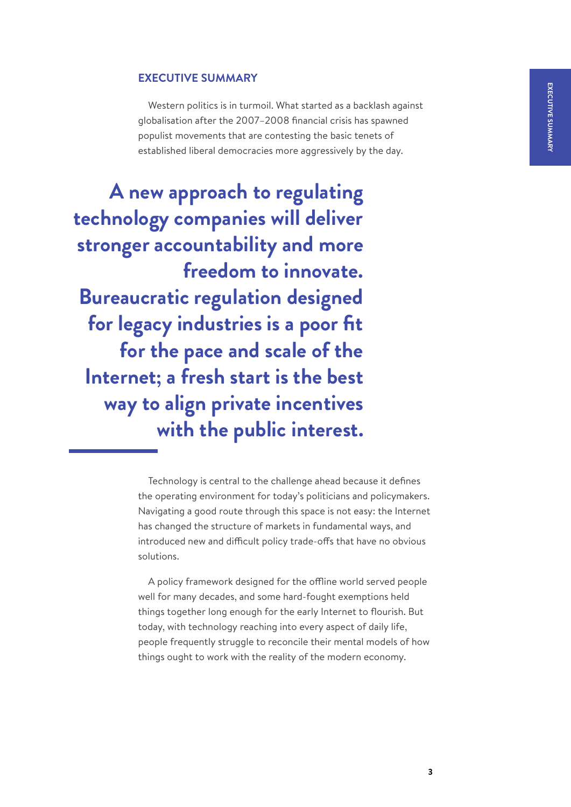# **EXECUTIVE SUMMARY**

Western politics is in turmoil. What started as a backlash against globalisation after the 2007–2008 financial crisis has spawned populist movements that are contesting the basic tenets of established liberal democracies more aggressively by the day.

<span id="page-2-0"></span>**A new approach to regulating technology companies will deliver stronger accountability and more freedom to innovate. Bureaucratic regulation designed for legacy industries is a poor fit for the pace and scale of the Internet; a fresh start is the best way to align private incentives with the public interest.**

> Technology is central to the challenge ahead because it defines the operating environment for today's politicians and policymakers. Navigating a good route through this space is not easy: the Internet has changed the structure of markets in fundamental ways, and introduced new and difficult policy trade-offs that have no obvious solutions.

> A policy framework designed for the offline world served people well for many decades, and some hard-fought exemptions held things together long enough for the early Internet to flourish. But today, with technology reaching into every aspect of daily life, people frequently struggle to reconcile their mental models of how things ought to work with the reality of the modern economy.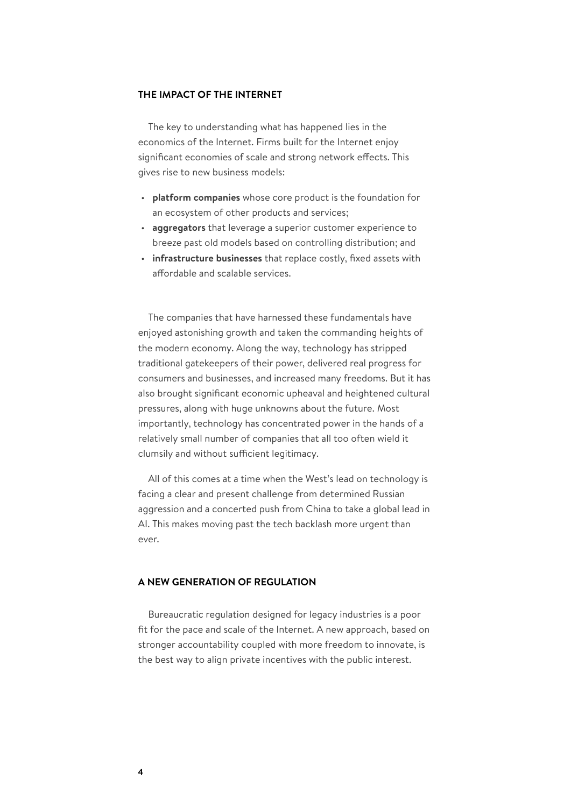### **THE IMPACT OF THE INTERNET**

The key to understanding what has happened lies in the economics of the Internet. Firms built for the Internet enjoy significant economies of scale and strong network effects. This gives rise to new business models:

- **platform companies** whose core product is the foundation for an ecosystem of other products and services;
- **aggregators** that leverage a superior customer experience to breeze past old models based on controlling distribution; and
- **infrastructure businesses** that replace costly, fixed assets with affordable and scalable services.

The companies that have harnessed these fundamentals have enjoyed astonishing growth and taken the commanding heights of the modern economy. Along the way, technology has stripped traditional gatekeepers of their power, delivered real progress for consumers and businesses, and increased many freedoms. But it has also brought significant economic upheaval and heightened cultural pressures, along with huge unknowns about the future. Most importantly, technology has concentrated power in the hands of a relatively small number of companies that all too often wield it clumsily and without sufficient legitimacy.

All of this comes at a time when the West's lead on technology is facing a clear and present challenge from determined Russian aggression and a concerted push from China to take a global lead in AI. This makes moving past the tech backlash more urgent than ever.

# **A NEW GENERATION OF REGULATION**

Bureaucratic regulation designed for legacy industries is a poor fit for the pace and scale of the Internet. A new approach, based on stronger accountability coupled with more freedom to innovate, is the best way to align private incentives with the public interest.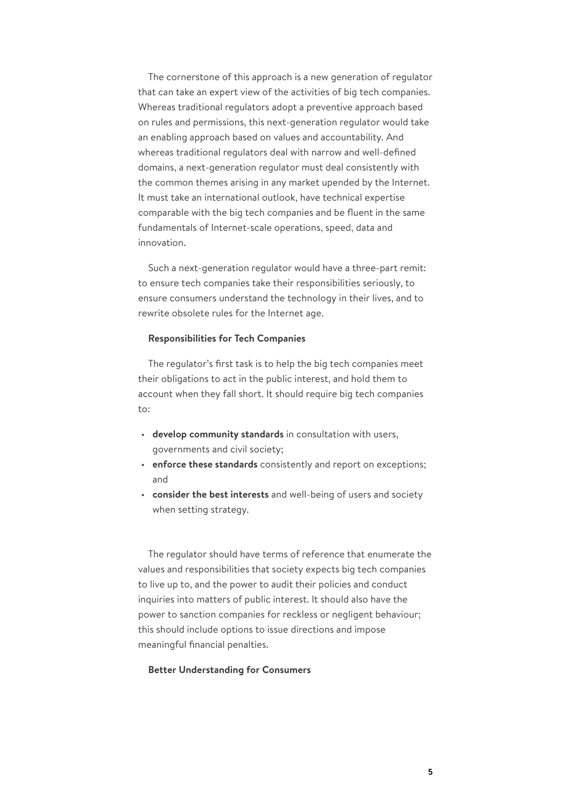The cornerstone of this approach is a new generation of regulator that can take an expert view of the activities of big tech companies. Whereas traditional regulators adopt a preventive approach based on rules and permissions, this next-generation regulator would take an enabling approach based on values and accountability. And whereas traditional regulators deal with narrow and well-defined domains, a next-generation regulator must deal consistently with the common themes arising in any market upended by the Internet. It must take an international outlook, have technical expertise comparable with the big tech companies and be fluent in the same fundamentals of Internet-scale operations, speed, data and innovation.

Such a next-generation regulator would have a three-part remit: to ensure tech companies take their responsibilities seriously, to ensure consumers understand the technology in their lives, and to rewrite obsolete rules for the Internet age.

#### **Responsibilities for Tech Companies**

The regulator's first task is to help the big tech companies meet their obligations to act in the public interest, and hold them to account when they fall short. It should require big tech companies to:

- **develop community standards** in consultation with users, governments and civil society;
- **enforce these standards** consistently and report on exceptions; and
- **consider the best interests** and well-being of users and society when setting strategy.

The regulator should have terms of reference that enumerate the values and responsibilities that society expects big tech companies to live up to, and the power to audit their policies and conduct inquiries into matters of public interest. It should also have the power to sanction companies for reckless or negligent behaviour; this should include options to issue directions and impose meaningful financial penalties.

## **Better Understanding for Consumers**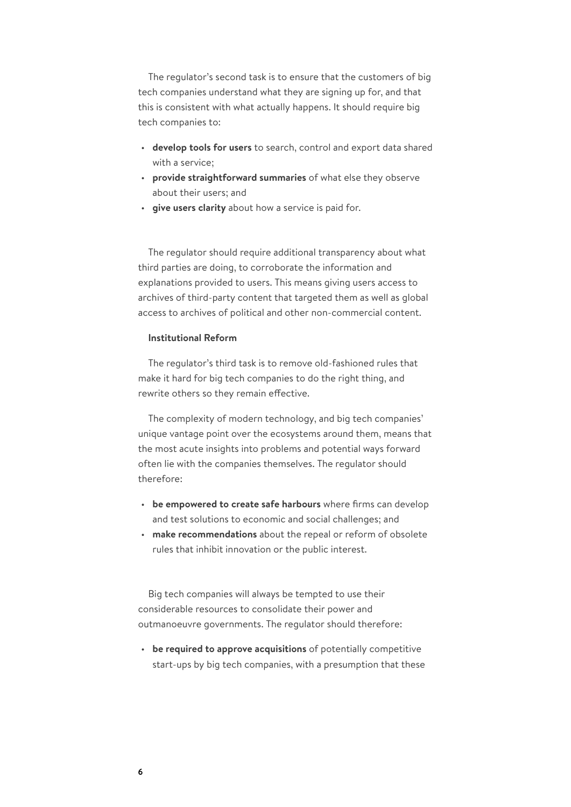The regulator's second task is to ensure that the customers of big tech companies understand what they are signing up for, and that this is consistent with what actually happens. It should require big tech companies to:

- **develop tools for users** to search, control and export data shared with a service;
- **provide straightforward summaries** of what else they observe about their users; and
- **give users clarity** about how a service is paid for.

The regulator should require additional transparency about what third parties are doing, to corroborate the information and explanations provided to users. This means giving users access to archives of third-party content that targeted them as well as global access to archives of political and other non-commercial content.

# **Institutional Reform**

The regulator's third task is to remove old-fashioned rules that make it hard for big tech companies to do the right thing, and rewrite others so they remain effective.

The complexity of modern technology, and big tech companies' unique vantage point over the ecosystems around them, means that the most acute insights into problems and potential ways forward often lie with the companies themselves. The regulator should therefore:

- **be empowered to create safe harbours** where firms can develop and test solutions to economic and social challenges; and
- **make recommendations** about the repeal or reform of obsolete rules that inhibit innovation or the public interest.

Big tech companies will always be tempted to use their considerable resources to consolidate their power and outmanoeuvre governments. The regulator should therefore:

• **be required to approve acquisitions** of potentially competitive start-ups by big tech companies, with a presumption that these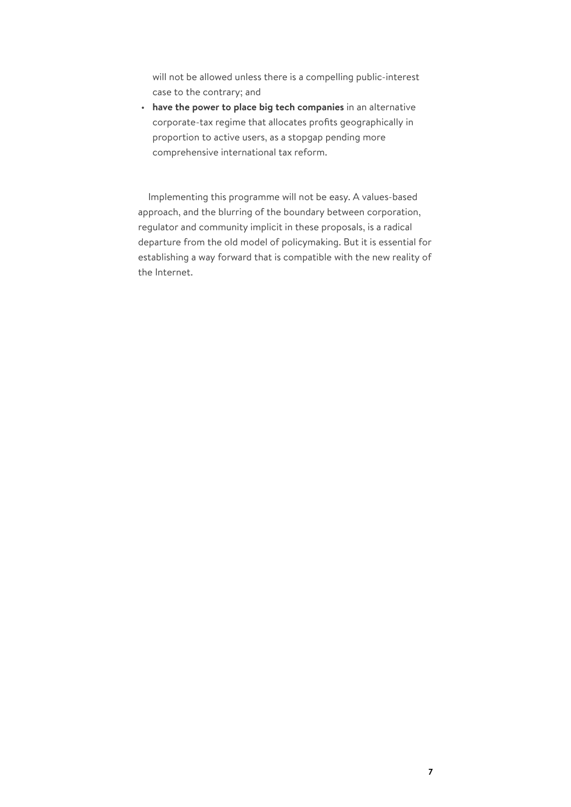will not be allowed unless there is a compelling public-interest case to the contrary; and

• **have the power to place big tech companies** in an alternative corporate-tax regime that allocates profits geographically in proportion to active users, as a stopgap pending more comprehensive international tax reform.

Implementing this programme will not be easy. A values-based approach, and the blurring of the boundary between corporation, regulator and community implicit in these proposals, is a radical departure from the old model of policymaking. But it is essential for establishing a way forward that is compatible with the new reality of the Internet.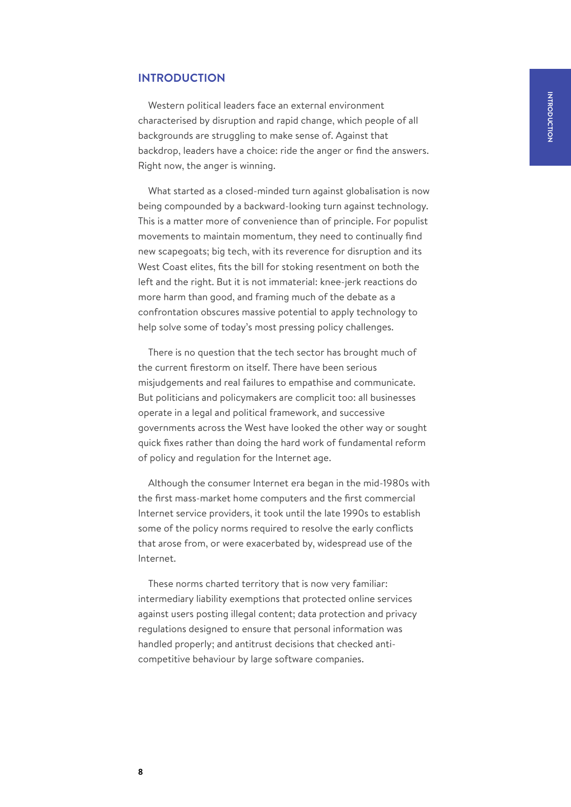## <span id="page-7-0"></span>**INTRODUCTION**

Western political leaders face an external environment characterised by disruption and rapid change, which people of all backgrounds are struggling to make sense of. Against that backdrop, leaders have a choice: ride the anger or find the answers. Right now, the anger is winning.

What started as a closed-minded turn against globalisation is now being compounded by a backward-looking turn against technology. This is a matter more of convenience than of principle. For populist movements to maintain momentum, they need to continually find new scapegoats; big tech, with its reverence for disruption and its West Coast elites, fits the bill for stoking resentment on both the left and the right. But it is not immaterial: knee-jerk reactions do more harm than good, and framing much of the debate as a confrontation obscures massive potential to apply technology to help solve some of today's most pressing policy challenges.

There is no question that the tech sector has brought much of the current firestorm on itself. There have been serious misjudgements and real failures to empathise and communicate. But politicians and policymakers are complicit too: all businesses operate in a legal and political framework, and successive governments across the West have looked the other way or sought quick fixes rather than doing the hard work of fundamental reform of policy and regulation for the Internet age.

Although the consumer Internet era began in the mid-1980s with the first mass-market home computers and the first commercial Internet service providers, it took until the late 1990s to establish some of the policy norms required to resolve the early conflicts that arose from, or were exacerbated by, widespread use of the Internet.

These norms charted territory that is now very familiar: intermediary liability exemptions that protected online services against users posting illegal content; data protection and privacy regulations designed to ensure that personal information was handled properly; and antitrust decisions that checked anticompetitive behaviour by large software companies.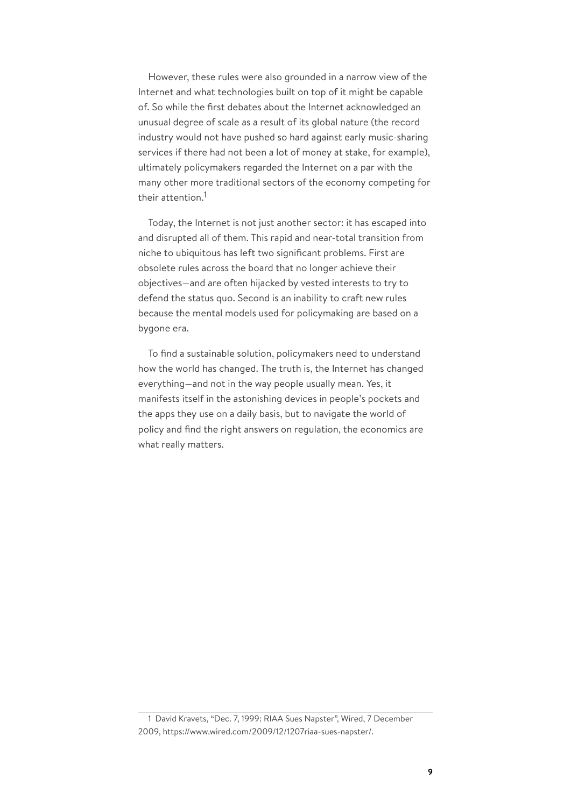However, these rules were also grounded in a narrow view of the Internet and what technologies built on top of it might be capable of. So while the first debates about the Internet acknowledged an unusual degree of scale as a result of its global nature (the record industry would not have pushed so hard against early music-sharing services if there had not been a lot of money at stake, for example), ultimately policymakers regarded the Internet on a par with the many other more traditional sectors of the economy competing for their attention.<sup>1</sup>

Today, the Internet is not just another sector: it has escaped into and disrupted all of them. This rapid and near-total transition from niche to ubiquitous has left two significant problems. First are obsolete rules across the board that no longer achieve their objectives—and are often hijacked by vested interests to try to defend the status quo. Second is an inability to craft new rules because the mental models used for policymaking are based on a bygone era.

To find a sustainable solution, policymakers need to understand how the world has changed. The truth is, the Internet has changed everything—and not in the way people usually mean. Yes, it manifests itself in the astonishing devices in people's pockets and the apps they use on a daily basis, but to navigate the world of policy and find the right answers on regulation, the economics are what really matters.

<sup>1</sup> David Kravets, "Dec. 7, 1999: RIAA Sues Napster", Wired, 7 December 2009, https://www.wired.com/2009/12/1207riaa-sues-napster/.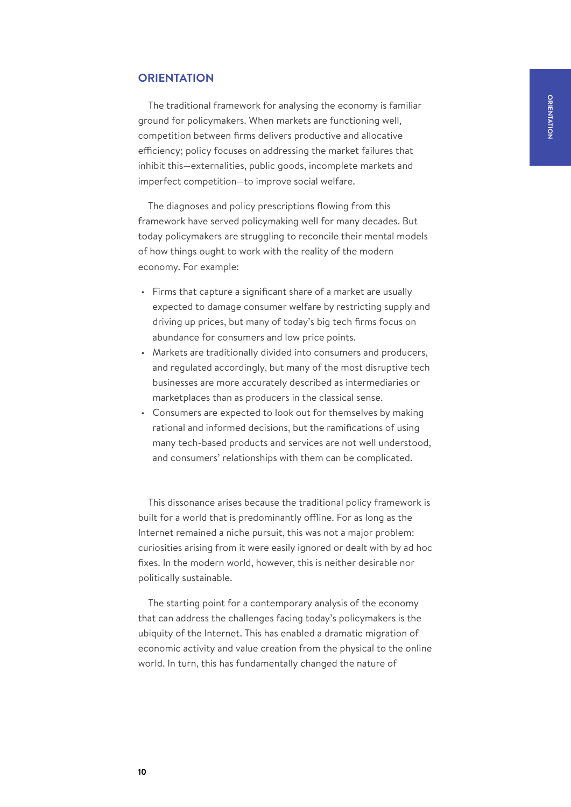# <span id="page-9-0"></span>**ORIENTATION**

The traditional framework for analysing the economy is familiar ground for policymakers. When markets are functioning well, competition between firms delivers productive and allocative efficiency; policy focuses on addressing the market failures that inhibit this—externalities, public goods, incomplete markets and imperfect competition—to improve social welfare.

The diagnoses and policy prescriptions flowing from this framework have served policymaking well for many decades. But today policymakers are struggling to reconcile their mental models of how things ought to work with the reality of the modern economy. For example:

- Firms that capture a significant share of a market are usually expected to damage consumer welfare by restricting supply and driving up prices, but many of today's big tech firms focus on abundance for consumers and low price points.
- Markets are traditionally divided into consumers and producers, and regulated accordingly, but many of the most disruptive tech businesses are more accurately described as intermediaries or marketplaces than as producers in the classical sense.
- Consumers are expected to look out for themselves by making rational and informed decisions, but the ramifications of using many tech-based products and services are not well understood, and consumers' relationships with them can be complicated.

This dissonance arises because the traditional policy framework is built for a world that is predominantly offline. For as long as the Internet remained a niche pursuit, this was not a major problem: curiosities arising from it were easily ignored or dealt with by ad hoc fixes. In the modern world, however, this is neither desirable nor politically sustainable.

The starting point for a contemporary analysis of the economy that can address the challenges facing today's policymakers is the ubiquity of the Internet. This has enabled a dramatic migration of economic activity and value creation from the physical to the online world. In turn, this has fundamentally changed the nature of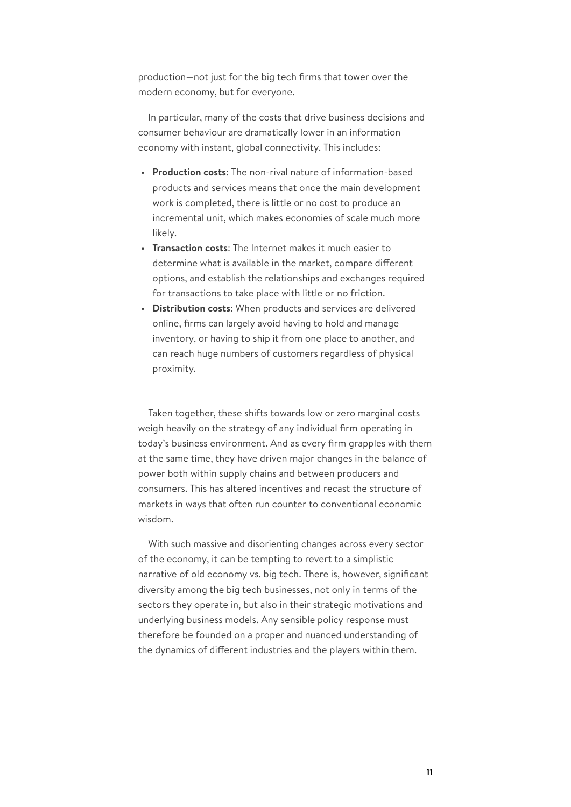production—not just for the big tech firms that tower over the modern economy, but for everyone.

In particular, many of the costs that drive business decisions and consumer behaviour are dramatically lower in an information economy with instant, global connectivity. This includes:

- **Production costs**: The non-rival nature of information-based products and services means that once the main development work is completed, there is little or no cost to produce an incremental unit, which makes economies of scale much more likely.
- **Transaction costs**: The Internet makes it much easier to determine what is available in the market, compare different options, and establish the relationships and exchanges required for transactions to take place with little or no friction.
- **Distribution costs**: When products and services are delivered online, firms can largely avoid having to hold and manage inventory, or having to ship it from one place to another, and can reach huge numbers of customers regardless of physical proximity.

Taken together, these shifts towards low or zero marginal costs weigh heavily on the strategy of any individual firm operating in today's business environment. And as every firm grapples with them at the same time, they have driven major changes in the balance of power both within supply chains and between producers and consumers. This has altered incentives and recast the structure of markets in ways that often run counter to conventional economic wisdom.

With such massive and disorienting changes across every sector of the economy, it can be tempting to revert to a simplistic narrative of old economy vs. big tech. There is, however, significant diversity among the big tech businesses, not only in terms of the sectors they operate in, but also in their strategic motivations and underlying business models. Any sensible policy response must therefore be founded on a proper and nuanced understanding of the dynamics of different industries and the players within them.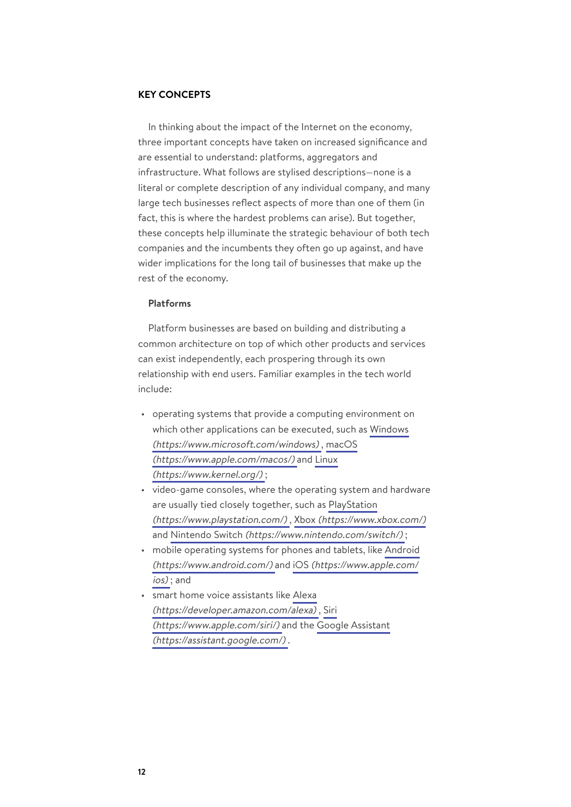#### **KEY CONCEPTS**

In thinking about the impact of the Internet on the economy, three important concepts have taken on increased significance and are essential to understand: platforms, aggregators and infrastructure. What follows are stylised descriptions—none is a literal or complete description of any individual company, and many large tech businesses reflect aspects of more than one of them (in fact, this is where the hardest problems can arise). But together, these concepts help illuminate the strategic behaviour of both tech companies and the incumbents they often go up against, and have wider implications for the long tail of businesses that make up the rest of the economy.

#### **Platforms**

Platform businesses are based on building and distributing a common architecture on top of which other products and services can exist independently, each prospering through its own relationship with end users. Familiar examples in the tech world include:

- operating systems that provide a computing environment on which other applications can be executed, such as [Windows](https://www.microsoft.com/windows) [\(https://www.microsoft.com/windows\)](https://www.microsoft.com/windows) , [macOS](https://www.apple.com/macos/) [\(https://www.apple.com/macos/\)](https://www.apple.com/macos/) and [Linux](https://www.kernel.org/) [\(https://www.kernel.org/\)](https://www.kernel.org/) ;
- video-game consoles, where the operating system and hardware are usually tied closely together, such as [PlayStation](https://www.playstation.com/) [\(https://www.playstation.com/\)](https://www.playstation.com/) , Xbox [\(https://www.xbox.com/\)](https://www.xbox.com/) and Nintendo Switch [\(https://www.nintendo.com/switch/\)](https://www.nintendo.com/switch/) ;
- mobile operating systems for phones and tablets, like [Android](https://www.android.com/) [\(https://www.android.com/\)](https://www.android.com/) and iOS [\(https://www.apple.com/](https://www.apple.com/ios) [ios\)](https://www.apple.com/ios) ; and
- smart home voice assistants like [Alexa](https://developer.amazon.com/alexa) [\(https://developer.amazon.com/alexa\)](https://developer.amazon.com/alexa) , [Siri](https://www.apple.com/siri/) [\(https://www.apple.com/siri/\)](https://www.apple.com/siri/) and the [Google Assistant](https://assistant.google.com/) [\(https://assistant.google.com/\)](https://assistant.google.com/) .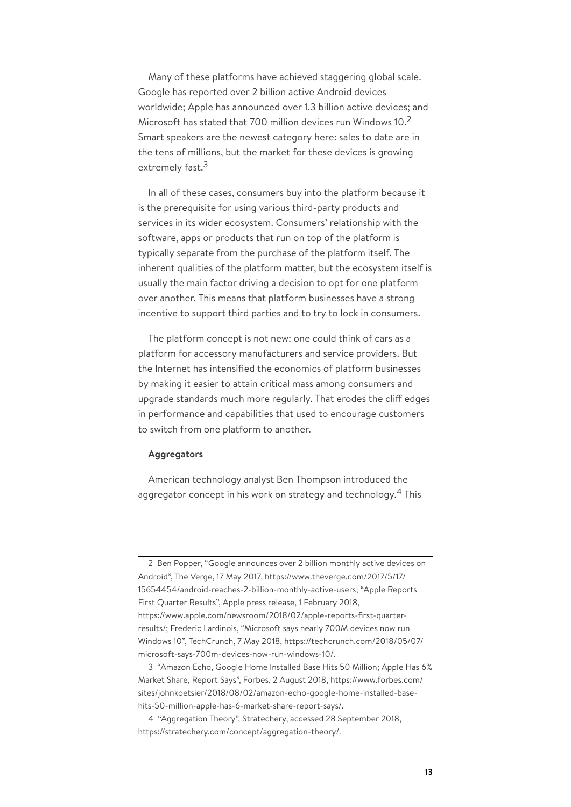Many of these platforms have achieved staggering global scale. Google has reported over 2 billion active Android devices worldwide; Apple has announced over 1.3 billion active devices; and Microsoft has stated that 700 million devices run Windows 10.<sup>2</sup> Smart speakers are the newest category here: sales to date are in the tens of millions, but the market for these devices is growing extremely fast.<sup>3</sup>

In all of these cases, consumers buy into the platform because it is the prerequisite for using various third-party products and services in its wider ecosystem. Consumers' relationship with the software, apps or products that run on top of the platform is typically separate from the purchase of the platform itself. The inherent qualities of the platform matter, but the ecosystem itself is usually the main factor driving a decision to opt for one platform over another. This means that platform businesses have a strong incentive to support third parties and to try to lock in consumers.

The platform concept is not new: one could think of cars as a platform for accessory manufacturers and service providers. But the Internet has intensified the economics of platform businesses by making it easier to attain critical mass among consumers and upgrade standards much more regularly. That erodes the cliff edges in performance and capabilities that used to encourage customers to switch from one platform to another.

#### **Aggregators**

American technology analyst Ben Thompson introduced the aggregator concept in his work on strategy and technology. $^{\rm 4}$  This

<sup>2</sup> Ben Popper, "Google announces over 2 billion monthly active devices on Android", The Verge, 17 May 2017, https://www.theverge.com/2017/5/17/ 15654454/android-reaches-2-billion-monthly-active-users; "Apple Reports First Quarter Results", Apple press release, 1 February 2018, https://www.apple.com/newsroom/2018/02/apple-reports-first-quarterresults/; Frederic Lardinois, "Microsoft says nearly 700M devices now run Windows 10", TechCrunch, 7 May 2018, https://techcrunch.com/2018/05/07/ microsoft-says-700m-devices-now-run-windows-10/.

<sup>3</sup> "Amazon Echo, Google Home Installed Base Hits 50 Million; Apple Has 6% Market Share, Report Says", Forbes, 2 August 2018, https://www.forbes.com/ sites/johnkoetsier/2018/08/02/amazon-echo-google-home-installed-basehits-50-million-apple-has-6-market-share-report-says/.

<sup>4</sup> "Aggregation Theory", Stratechery, accessed 28 September 2018, https://stratechery.com/concept/aggregation-theory/.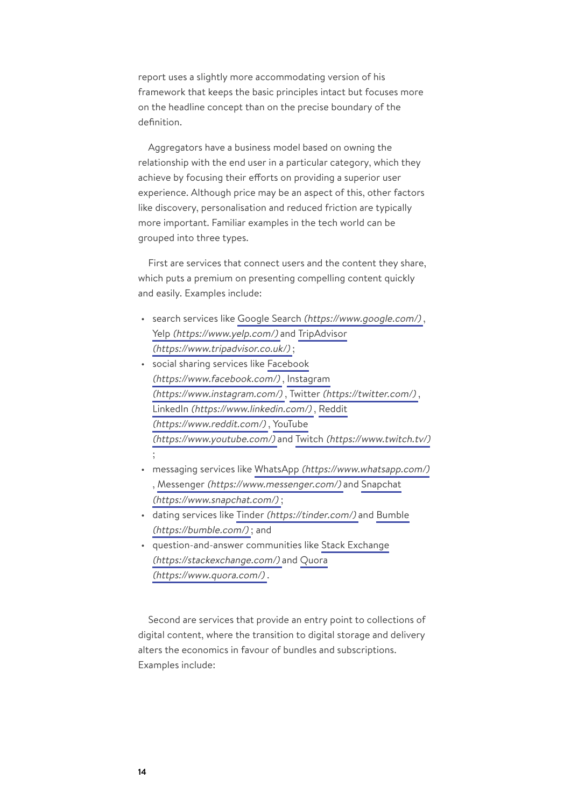report uses a slightly more accommodating version of his framework that keeps the basic principles intact but focuses more on the headline concept than on the precise boundary of the definition.

Aggregators have a business model based on owning the relationship with the end user in a particular category, which they achieve by focusing their efforts on providing a superior user experience. Although price may be an aspect of this, other factors like discovery, personalisation and reduced friction are typically more important. Familiar examples in the tech world can be grouped into three types.

First are services that connect users and the content they share, which puts a premium on presenting compelling content quickly and easily. Examples include:

- search services like Google Search [\(https://www.google.com/\)](https://www.google.com/) , Yelp [\(https://www.yelp.com/\)](https://www.yelp.com/) and [TripAdvisor](https://www.tripadvisor.co.uk/) [\(https://www.tripadvisor.co.uk/\)](https://www.tripadvisor.co.uk/) ;
- social sharing services like [Facebook](https://www.facebook.com/) [\(https://www.facebook.com/\)](https://www.facebook.com/) , [Instagram](https://www.instagram.com/) [\(https://www.instagram.com/\)](https://www.instagram.com/) , Twitter [\(https://twitter.com/\)](https://twitter.com/) , LinkedIn [\(https://www.linkedin.com/\)](https://www.linkedin.com/) , [Reddit](https://www.reddit.com/) [\(https://www.reddit.com/\)](https://www.reddit.com/) , [YouTube](https://www.youtube.com/) [\(https://www.youtube.com/\)](https://www.youtube.com/) and Twitch [\(https://www.twitch.tv/\)](https://www.twitch.tv/)
- messaging services like WhatsApp [\(https://www.whatsapp.com/\)](https://www.whatsapp.com/) , Messenger [\(https://www.messenger.com/\)](https://www.messenger.com/) and [Snapchat](https://www.snapchat.com/) [\(https://www.snapchat.com/\)](https://www.snapchat.com/) ;
- dating services like Tinder [\(https://tinder.com/\)](https://tinder.com/) and [Bumble](https://bumble.com/) [\(https://bumble.com/\)](https://bumble.com/) ; and
- question-and-answer communities like [Stack Exchange](https://stackexchange.com/) [\(https://stackexchange.com/\)](https://stackexchange.com/) and [Quora](https://www.quora.com/) [\(https://www.quora.com/\)](https://www.quora.com/) .

Second are services that provide an entry point to collections of digital content, where the transition to digital storage and delivery alters the economics in favour of bundles and subscriptions. Examples include:

;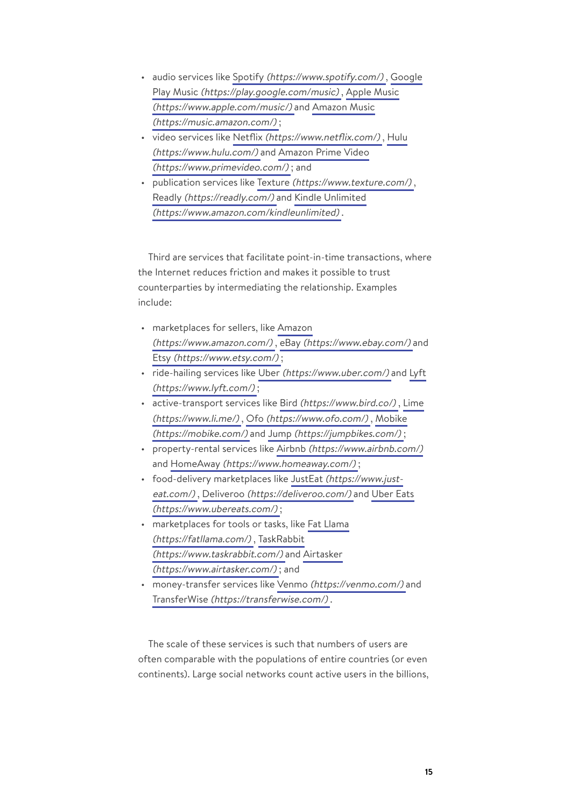- audio services like Spotify [\(https://www.spotify.com/\)](https://www.spotify.com/) , [Google](https://play.google.com/music) Play Music [\(https://play.google.com/music\)](https://play.google.com/music) , [Apple Music](https://www.apple.com/music/) [\(https://www.apple.com/music/\)](https://www.apple.com/music/) and [Amazon Music](https://music.amazon.com/) [\(https://music.amazon.com/\)](https://music.amazon.com/) ;
- video services like Netflix [\(https://www.netflix.com/\)](https://www.netflix.com/) , [Hulu](https://www.hulu.com/) [\(https://www.hulu.com/\)](https://www.hulu.com/) and [Amazon Prime Video](https://www.primevideo.com/) [\(https://www.primevideo.com/\)](https://www.primevideo.com/) ; and
- publication services like Texture [\(https://www.texture.com/\)](https://www.texture.com/) , Readly [\(https://readly.com/\)](https://readly.com/) and [Kindle Unlimited](https://www.amazon.com/kindleunlimited) [\(https://www.amazon.com/kindleunlimited\)](https://www.amazon.com/kindleunlimited) .

Third are services that facilitate point-in-time transactions, where the Internet reduces friction and makes it possible to trust counterparties by intermediating the relationship. Examples include:

- marketplaces for sellers, like [Amazon](https://www.amazon.com/) [\(https://www.amazon.com/\)](https://www.amazon.com/) , eBay [\(https://www.ebay.com/\)](https://www.ebay.com/) and Etsy [\(https://www.etsy.com/\)](https://www.etsy.com/) ;
- ride-hailing services like Uber [\(https://www.uber.com/\)](https://www.uber.com/) and [Lyft](https://www.lyft.com/) [\(https://www.lyft.com/\)](https://www.lyft.com/) ;
- active-transport services like Bird [\(https://www.bird.co/\)](https://www.bird.co/) , [Lime](https://www.li.me/) [\(https://www.li.me/\)](https://www.li.me/) , Ofo [\(https://www.ofo.com/\)](https://www.ofo.com/) , [Mobike](https://mobike.com/) [\(https://mobike.com/\)](https://mobike.com/) and Jump [\(https://jumpbikes.com/\)](https://jumpbikes.com/) ;
- property-rental services like Airbnb [\(https://www.airbnb.com/\)](https://www.airbnb.com/) and HomeAway [\(https://www.homeaway.com/\)](https://www.homeaway.com/);
- food-delivery marketplaces like JustEat [\(https://www.just](https://www.just-eat.com/)[eat.com/\)](https://www.just-eat.com/), Deliveroo [\(https://deliveroo.com/\)](https://deliveroo.com/) and [Uber Eats](https://www.ubereats.com/) [\(https://www.ubereats.com/\)](https://www.ubereats.com/) ;
- marketplaces for tools or tasks, like [Fat Llama](https://fatllama.com/) [\(https://fatllama.com/\)](https://fatllama.com/) , [TaskRabbit](https://www.taskrabbit.com/) [\(https://www.taskrabbit.com/\)](https://www.taskrabbit.com/) and [Airtasker](https://www.airtasker.com/) [\(https://www.airtasker.com/\)](https://www.airtasker.com/) ; and
- money-transfer services like Venmo [\(https://venmo.com/\)](https://venmo.com/) and TransferWise [\(https://transferwise.com/\)](https://transferwise.com/) .

The scale of these services is such that numbers of users are often comparable with the populations of entire countries (or even continents). Large social networks count active users in the billions,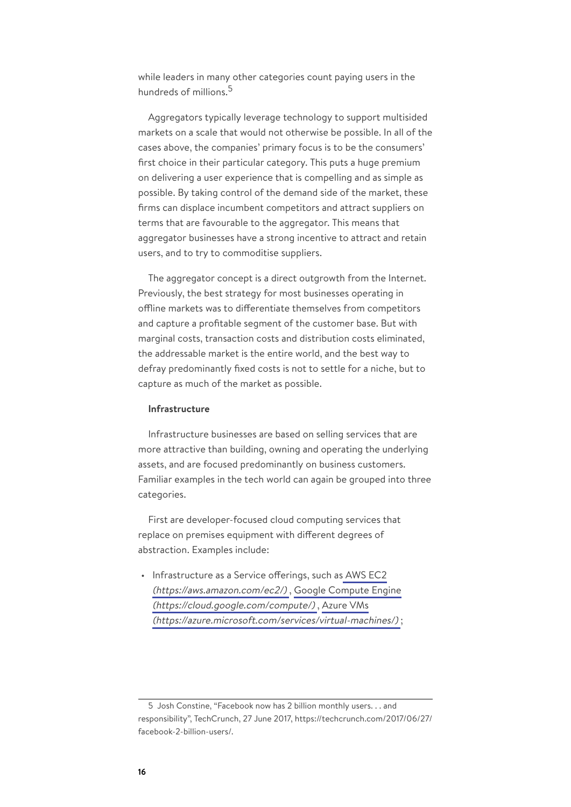while leaders in many other categories count paying users in the hundreds of millions.<sup>5</sup>

Aggregators typically leverage technology to support multisided markets on a scale that would not otherwise be possible. In all of the cases above, the companies' primary focus is to be the consumers' first choice in their particular category. This puts a huge premium on delivering a user experience that is compelling and as simple as possible. By taking control of the demand side of the market, these firms can displace incumbent competitors and attract suppliers on terms that are favourable to the aggregator. This means that aggregator businesses have a strong incentive to attract and retain users, and to try to commoditise suppliers.

The aggregator concept is a direct outgrowth from the Internet. Previously, the best strategy for most businesses operating in offline markets was to differentiate themselves from competitors and capture a profitable segment of the customer base. But with marginal costs, transaction costs and distribution costs eliminated, the addressable market is the entire world, and the best way to defray predominantly fixed costs is not to settle for a niche, but to capture as much of the market as possible.

## **Infrastructure**

Infrastructure businesses are based on selling services that are more attractive than building, owning and operating the underlying assets, and are focused predominantly on business customers. Familiar examples in the tech world can again be grouped into three categories.

First are developer-focused cloud computing services that replace on premises equipment with different degrees of abstraction. Examples include:

• Infrastructure as a Service offerings, such as [AWS EC2](https://aws.amazon.com/ec2/) [\(https://aws.amazon.com/ec2/\)](https://aws.amazon.com/ec2/) , [Google Compute Engine](https://cloud.google.com/compute/) [\(https://cloud.google.com/compute/\)](https://cloud.google.com/compute/) , [Azure VMs](https://azure.microsoft.com/services/virtual-machines/) [\(https://azure.microsoft.com/services/virtual-machines/\)](https://azure.microsoft.com/services/virtual-machines/) ;

<sup>5</sup> Josh Constine, "Facebook now has 2 billion monthly users. . . and responsibility", TechCrunch, 27 June 2017, https://techcrunch.com/2017/06/27/ facebook-2-billion-users/.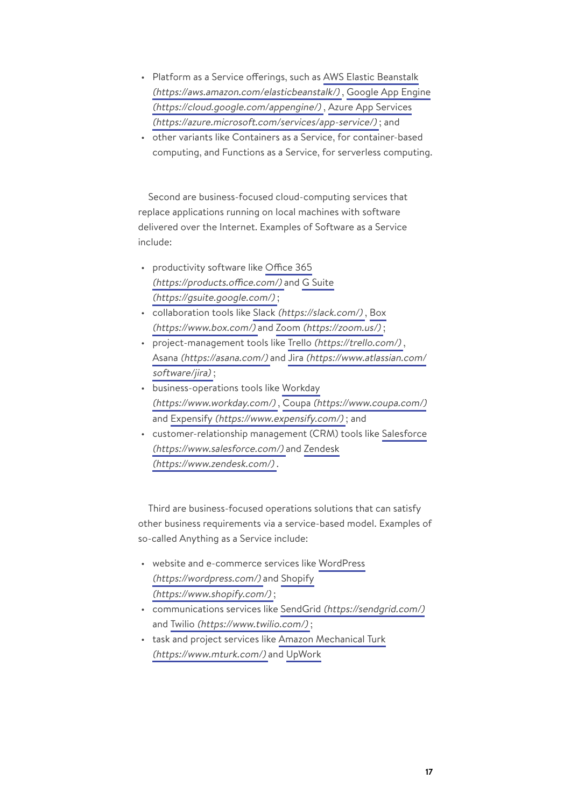- Platform as a Service offerings, such as [AWS Elastic Beanstalk](https://aws.amazon.com/elasticbeanstalk/) [\(https://aws.amazon.com/elasticbeanstalk/\)](https://aws.amazon.com/elasticbeanstalk/) , [Google App Engine](https://cloud.google.com/appengine/) [\(https://cloud.google.com/appengine/\)](https://cloud.google.com/appengine/) , [Azure App Services](https://azure.microsoft.com/services/app-service/) [\(https://azure.microsoft.com/services/app-service/\)](https://azure.microsoft.com/services/app-service/) ; and
- other variants like Containers as a Service, for container-based computing, and Functions as a Service, for serverless computing.

Second are business-focused cloud-computing services that replace applications running on local machines with software delivered over the Internet. Examples of Software as a Service include:

- productivity software like [Office 365](https://products.office.com/) [\(https://products.office.com/\)](https://products.office.com/) and [G Suite](https://gsuite.google.com/) [\(https://gsuite.google.com/\)](https://gsuite.google.com/) ;
- collaboration tools like Slack [\(https://slack.com/\)](https://slack.com/) , [Box](https://www.box.com/) [\(https://www.box.com/\)](https://www.box.com/) and Zoom [\(https://zoom.us/\)](https://zoom.us/) ;
- project-management tools like Trello [\(https://trello.com/\)](https://trello.com/) , Asana [\(https://asana.com/\)](https://asana.com/) and Jira [\(https://www.atlassian.com/](https://www.atlassian.com/software/jira) [software/jira\)](https://www.atlassian.com/software/jira);
- business-operations tools like [Workday](https://www.workday.com/) [\(https://www.workday.com/\)](https://www.workday.com/) , Coupa [\(https://www.coupa.com/\)](https://www.coupa.com/) and Expensify [\(https://www.expensify.com/\)](https://www.expensify.com/); and
- customer-relationship management (CRM) tools like [Salesforce](https://www.salesforce.com/) [\(https://www.salesforce.com/\)](https://www.salesforce.com/) and [Zendesk](https://www.zendesk.com/) [\(https://www.zendesk.com/\)](https://www.zendesk.com/) .

Third are business-focused operations solutions that can satisfy other business requirements via a service-based model. Examples of so-called Anything as a Service include:

- website and e-commerce services like [WordPress](https://wordpress.com/) [\(https://wordpress.com/\)](https://wordpress.com/) and [Shopify](https://www.shopify.com/) [\(https://www.shopify.com/\)](https://www.shopify.com/) ;
- communications services like SendGrid [\(https://sendgrid.com/\)](https://sendgrid.com/) and Twilio [\(https://www.twilio.com/\)](https://www.twilio.com/);
- task and project services like [Amazon Mechanical Turk](https://www.mturk.com/) [\(https://www.mturk.com/\)](https://www.mturk.com/) and [UpWork](https://www.upwork.com/)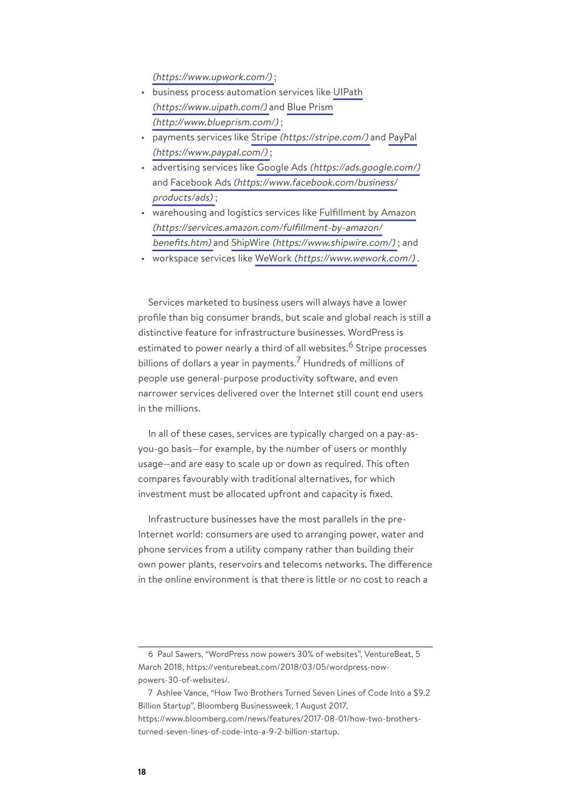[\(https://www.upwork.com/\)](https://www.upwork.com/) ;

- business process automation services like [UIPath](https://www.uipath.com/) [\(https://www.uipath.com/\)](https://www.uipath.com/) and [Blue Prism](http://www.blueprism.com/) [\(http://www.blueprism.com/\)](http://www.blueprism.com/) ;
- payments services like Stripe [\(https://stripe.com/\)](https://stripe.com/) and [PayPal](https://www.paypal.com/) [\(https://www.paypal.com/\)](https://www.paypal.com/) ;
- advertising services like Google Ads [\(https://ads.google.com/\)](https://ads.google.com/) and Facebook Ads [\(https://www.facebook.com/business/](https://www.facebook.com/business/products/ads) [products/ads\)](https://www.facebook.com/business/products/ads) ;
- warehousing and logistics services like [Fulfillment by Amazon](https://services.amazon.com/fulfillment-by-amazon/benefits.htm) [\(https://services.amazon.com/fulfillment-by-amazon/](https://services.amazon.com/fulfillment-by-amazon/benefits.htm) [benefits.htm\)](https://services.amazon.com/fulfillment-by-amazon/benefits.htm) and ShipWire [\(https://www.shipwire.com/\)](https://www.shipwire.com/) ; and
- workspace services like WeWork [\(https://www.wework.com/\)](https://www.wework.com/) .

Services marketed to business users will always have a lower profile than big consumer brands, but scale and global reach is still a distinctive feature for infrastructure businesses. WordPress is estimated to power nearly a third of all websites.<sup>6</sup> Stripe processes billions of dollars a year in payments.<sup>7</sup> Hundreds of millions of people use general-purpose productivity software, and even narrower services delivered over the Internet still count end users in the millions.

In all of these cases, services are typically charged on a pay-asyou-go basis—for example, by the number of users or monthly usage—and are easy to scale up or down as required. This often compares favourably with traditional alternatives, for which investment must be allocated upfront and capacity is fixed.

Infrastructure businesses have the most parallels in the pre-Internet world: consumers are used to arranging power, water and phone services from a utility company rather than building their own power plants, reservoirs and telecoms networks. The difference in the online environment is that there is little or no cost to reach a

<sup>6</sup> Paul Sawers, "WordPress now powers 30% of websites", VentureBeat, 5 March 2018, https://venturebeat.com/2018/03/05/wordpress-nowpowers-30-of-websites/.

<sup>7</sup> Ashlee Vance, "How Two Brothers Turned Seven Lines of Code Into a \$9.2 Billion Startup", Bloomberg Businessweek, 1 August 2017, https://www.bloomberg.com/news/features/2017-08-01/how-two-brothersturned-seven-lines-of-code-into-a-9-2-billion-startup.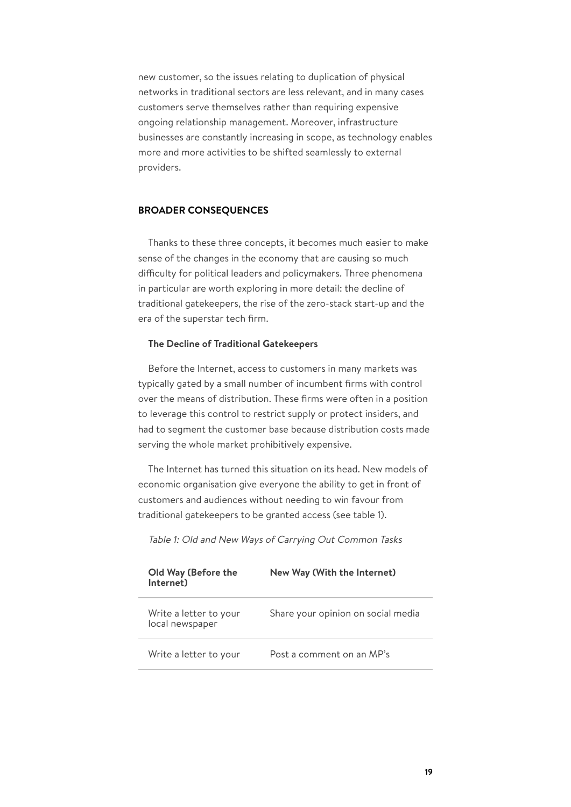new customer, so the issues relating to duplication of physical networks in traditional sectors are less relevant, and in many cases customers serve themselves rather than requiring expensive ongoing relationship management. Moreover, infrastructure businesses are constantly increasing in scope, as technology enables more and more activities to be shifted seamlessly to external providers.

## **BROADER CONSEQUENCES**

Thanks to these three concepts, it becomes much easier to make sense of the changes in the economy that are causing so much difficulty for political leaders and policymakers. Three phenomena in particular are worth exploring in more detail: the decline of traditional gatekeepers, the rise of the zero-stack start-up and the era of the superstar tech firm.

### **The Decline of Traditional Gatekeepers**

Before the Internet, access to customers in many markets was typically gated by a small number of incumbent firms with control over the means of distribution. These firms were often in a position to leverage this control to restrict supply or protect insiders, and had to segment the customer base because distribution costs made serving the whole market prohibitively expensive.

The Internet has turned this situation on its head. New models of economic organisation give everyone the ability to get in front of customers and audiences without needing to win favour from traditional gatekeepers to be granted access (see table 1).

| Old Way (Before the<br>Internet)          | New Way (With the Internet)        |
|-------------------------------------------|------------------------------------|
| Write a letter to your<br>local newspaper | Share your opinion on social media |
| Write a letter to your                    | Post a comment on an MP's          |

Table 1: Old and New Ways of Carrying Out Common Tasks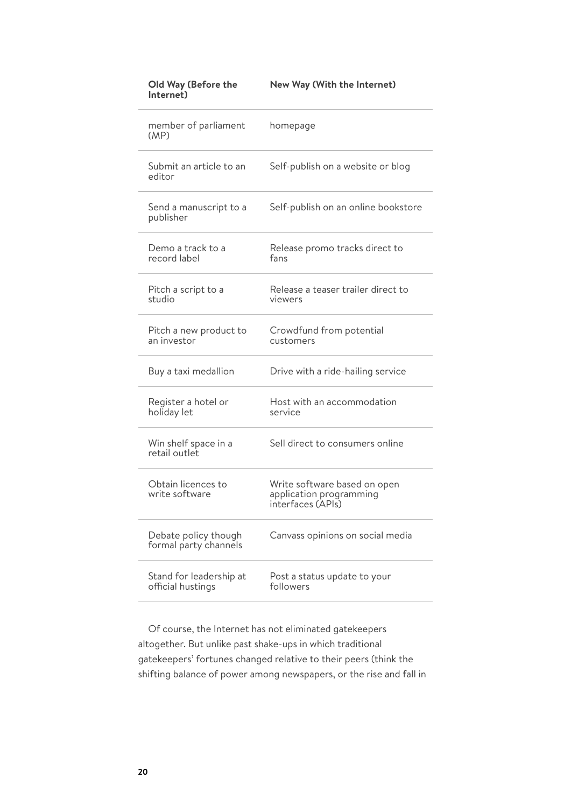| member of parliament<br>(MP)                  | homepage                                                                     |
|-----------------------------------------------|------------------------------------------------------------------------------|
| Submit an article to an<br>editor             | Self-publish on a website or blog                                            |
| Send a manuscript to a<br>publisher           | Self-publish on an online bookstore                                          |
| Demo a track to a<br>record label             | Release promo tracks direct to<br>fans                                       |
| Pitch a script to a<br>studio                 | Release a teaser trailer direct to<br>viewers                                |
| Pitch a new product to<br>an investor         | Crowdfund from potential<br>customers                                        |
| Buy a taxi medallion                          | Drive with a ride-hailing service                                            |
| Register a hotel or<br>holiday let            | Host with an accommodation<br>service                                        |
| Win shelf space in a<br>retail outlet         | Sell direct to consumers online                                              |
| Obtain licences to<br>write software          | Write software based on open<br>application programming<br>interfaces (APIS) |
| Debate policy though<br>formal party channels | Canvass opinions on social media                                             |
| Stand for leadership at<br>official hustings  | Post a status update to your<br>followers                                    |

#### **Old Way (Before the Internet) New Way (With the Internet)**

Of course, the Internet has not eliminated gatekeepers altogether. But unlike past shake-ups in which traditional gatekeepers' fortunes changed relative to their peers (think the shifting balance of power among newspapers, or the rise and fall in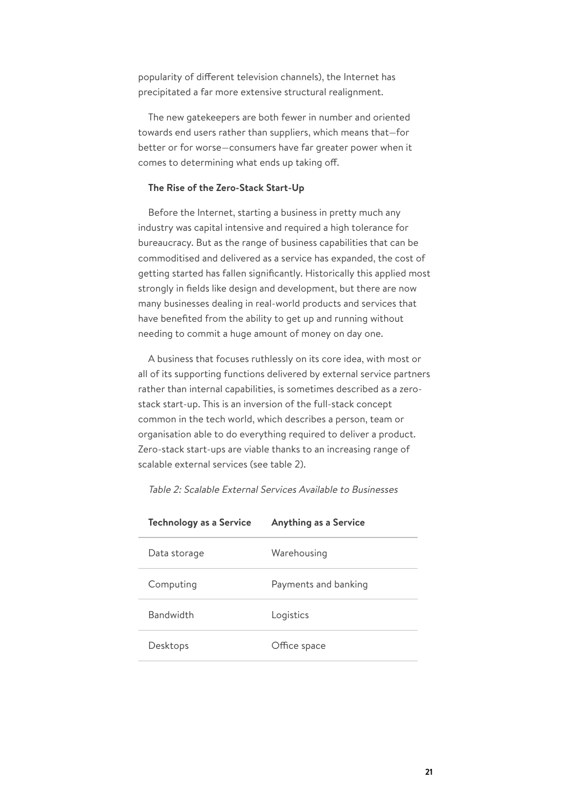popularity of different television channels), the Internet has precipitated a far more extensive structural realignment.

The new gatekeepers are both fewer in number and oriented towards end users rather than suppliers, which means that—for better or for worse—consumers have far greater power when it comes to determining what ends up taking off.

### **The Rise of the Zero-Stack Start-Up**

Before the Internet, starting a business in pretty much any industry was capital intensive and required a high tolerance for bureaucracy. But as the range of business capabilities that can be commoditised and delivered as a service has expanded, the cost of getting started has fallen significantly. Historically this applied most strongly in fields like design and development, but there are now many businesses dealing in real-world products and services that have benefited from the ability to get up and running without needing to commit a huge amount of money on day one.

A business that focuses ruthlessly on its core idea, with most or all of its supporting functions delivered by external service partners rather than internal capabilities, is sometimes described as a zerostack start-up. This is an inversion of the full-stack concept common in the tech world, which describes a person, team or organisation able to do everything required to deliver a product. Zero-stack start-ups are viable thanks to an increasing range of scalable external services (see table 2).

| <b>Technology as a Service</b> | <b>Anything as a Service</b> |
|--------------------------------|------------------------------|
| Data storage                   | Warehousing                  |
| Computing                      | Payments and banking         |
| <b>Bandwidth</b>               | Logistics                    |
| Desktops                       | Office space                 |
|                                |                              |

Table 2: Scalable External Services Available to Businesses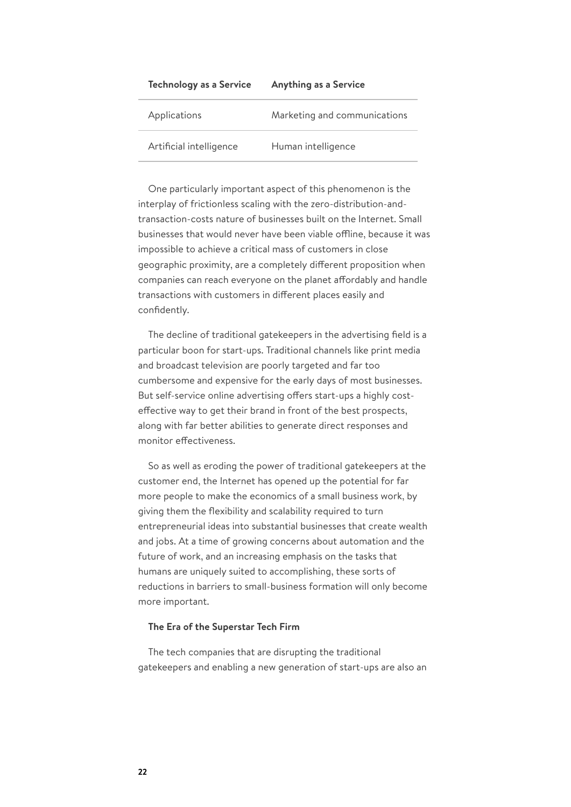| <b>Technology as a Service</b> | <b>Anything as a Service</b> |  |
|--------------------------------|------------------------------|--|
| Applications                   | Marketing and communications |  |
| Artificial intelligence        | Human intelligence           |  |

One particularly important aspect of this phenomenon is the interplay of frictionless scaling with the zero-distribution-andtransaction-costs nature of businesses built on the Internet. Small businesses that would never have been viable offline, because it was impossible to achieve a critical mass of customers in close geographic proximity, are a completely different proposition when companies can reach everyone on the planet affordably and handle transactions with customers in different places easily and confidently.

The decline of traditional gatekeepers in the advertising field is a particular boon for start-ups. Traditional channels like print media and broadcast television are poorly targeted and far too cumbersome and expensive for the early days of most businesses. But self-service online advertising offers start-ups a highly costeffective way to get their brand in front of the best prospects, along with far better abilities to generate direct responses and monitor effectiveness.

So as well as eroding the power of traditional gatekeepers at the customer end, the Internet has opened up the potential for far more people to make the economics of a small business work, by giving them the flexibility and scalability required to turn entrepreneurial ideas into substantial businesses that create wealth and jobs. At a time of growing concerns about automation and the future of work, and an increasing emphasis on the tasks that humans are uniquely suited to accomplishing, these sorts of reductions in barriers to small-business formation will only become more important.

## **The Era of the Superstar Tech Firm**

The tech companies that are disrupting the traditional gatekeepers and enabling a new generation of start-ups are also an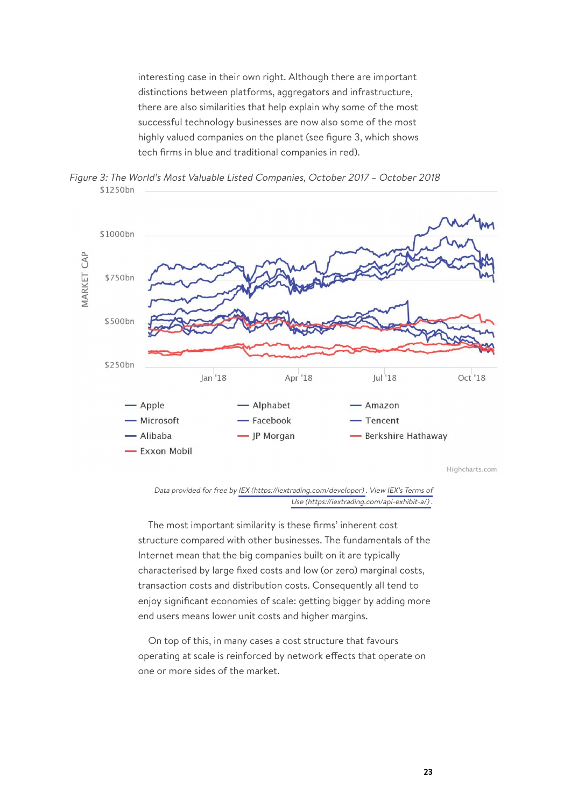interesting case in their own right. Although there are important distinctions between platforms, aggregators and infrastructure, there are also similarities that help explain why some of the most successful technology businesses are now also some of the most highly valued companies on the planet (see figure 3, which shows tech firms in blue and traditional companies in red).





Data provided for free by IEX [\(https://iextrading.com/developer\)](https://iextrading.com/developer) . View [IEX's Terms of](https://iextrading.com/api-exhibit-a/) Use [\(https://iextrading.com/api-exhibit-a/\)](https://iextrading.com/api-exhibit-a/) .

The most important similarity is these firms' inherent cost structure compared with other businesses. The fundamentals of the Internet mean that the big companies built on it are typically characterised by large fixed costs and low (or zero) marginal costs, transaction costs and distribution costs. Consequently all tend to enjoy significant economies of scale: getting bigger by adding more end users means lower unit costs and higher margins.

On top of this, in many cases a cost structure that favours operating at scale is reinforced by network effects that operate on one or more sides of the market.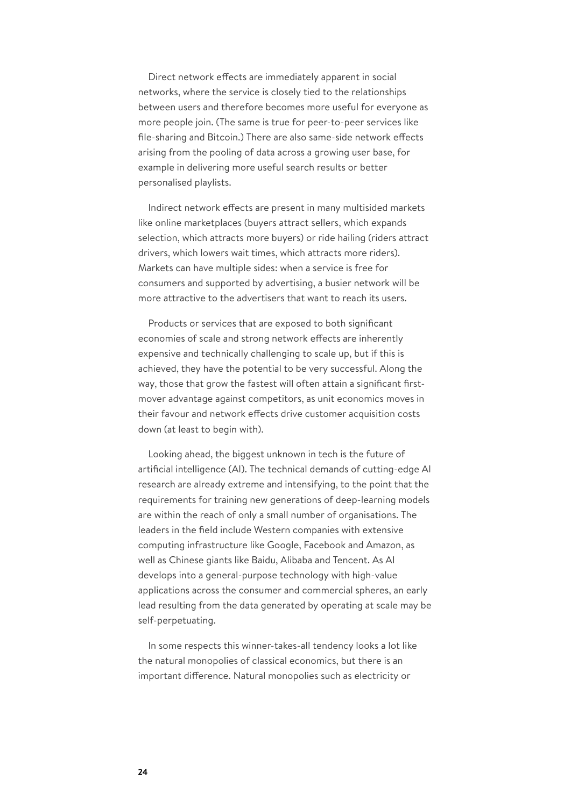Direct network effects are immediately apparent in social networks, where the service is closely tied to the relationships between users and therefore becomes more useful for everyone as more people join. (The same is true for peer-to-peer services like file-sharing and Bitcoin.) There are also same-side network effects arising from the pooling of data across a growing user base, for example in delivering more useful search results or better personalised playlists.

Indirect network effects are present in many multisided markets like online marketplaces (buyers attract sellers, which expands selection, which attracts more buyers) or ride hailing (riders attract drivers, which lowers wait times, which attracts more riders). Markets can have multiple sides: when a service is free for consumers and supported by advertising, a busier network will be more attractive to the advertisers that want to reach its users.

Products or services that are exposed to both significant economies of scale and strong network effects are inherently expensive and technically challenging to scale up, but if this is achieved, they have the potential to be very successful. Along the way, those that grow the fastest will often attain a significant firstmover advantage against competitors, as unit economics moves in their favour and network effects drive customer acquisition costs down (at least to begin with).

Looking ahead, the biggest unknown in tech is the future of artificial intelligence (AI). The technical demands of cutting-edge AI research are already extreme and intensifying, to the point that the requirements for training new generations of deep-learning models are within the reach of only a small number of organisations. The leaders in the field include Western companies with extensive computing infrastructure like Google, Facebook and Amazon, as well as Chinese giants like Baidu, Alibaba and Tencent. As AI develops into a general-purpose technology with high-value applications across the consumer and commercial spheres, an early lead resulting from the data generated by operating at scale may be self-perpetuating.

In some respects this winner-takes-all tendency looks a lot like the natural monopolies of classical economics, but there is an important difference. Natural monopolies such as electricity or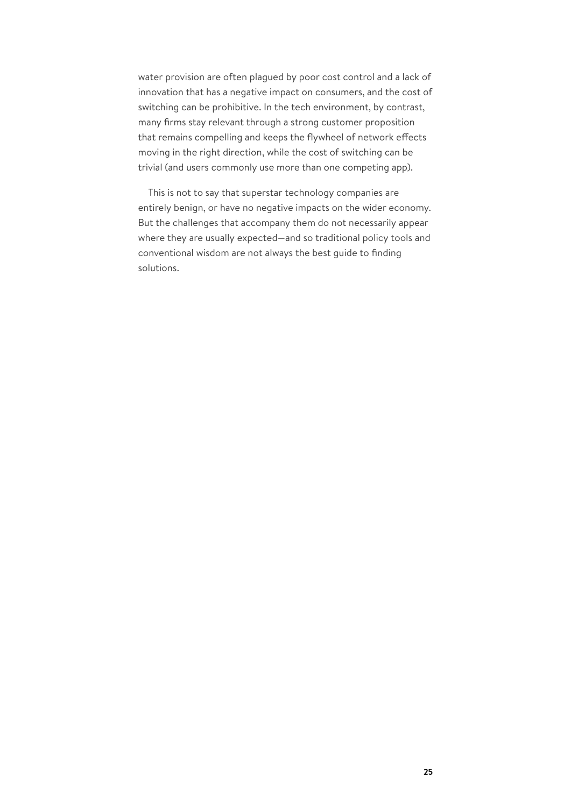water provision are often plagued by poor cost control and a lack of innovation that has a negative impact on consumers, and the cost of switching can be prohibitive. In the tech environment, by contrast, many firms stay relevant through a strong customer proposition that remains compelling and keeps the flywheel of network effects moving in the right direction, while the cost of switching can be trivial (and users commonly use more than one competing app).

This is not to say that superstar technology companies are entirely benign, or have no negative impacts on the wider economy. But the challenges that accompany them do not necessarily appear where they are usually expected—and so traditional policy tools and conventional wisdom are not always the best guide to finding solutions.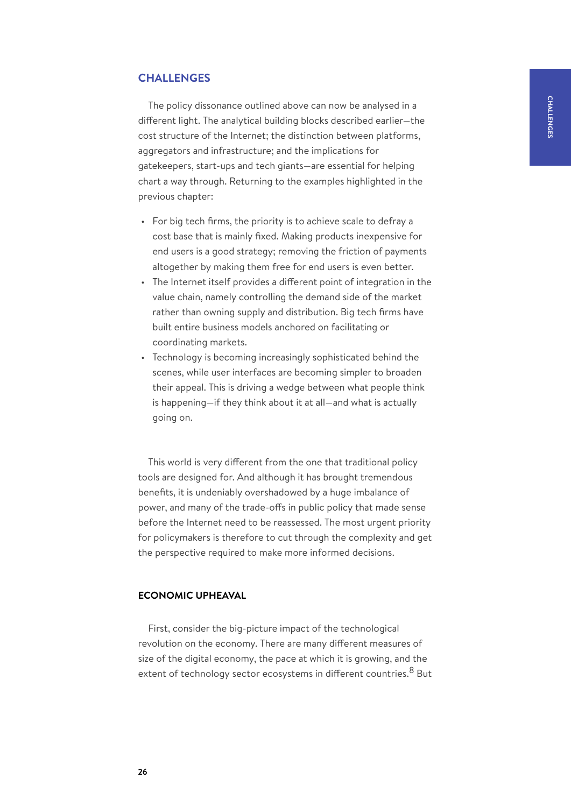# <span id="page-25-0"></span>**CHALLENGES**

The policy dissonance outlined above can now be analysed in a different light. The analytical building blocks described earlier—the cost structure of the Internet; the distinction between platforms, aggregators and infrastructure; and the implications for gatekeepers, start-ups and tech giants—are essential for helping chart a way through. Returning to the examples highlighted in the previous chapter:

- For big tech firms, the priority is to achieve scale to defray a cost base that is mainly fixed. Making products inexpensive for end users is a good strategy; removing the friction of payments altogether by making them free for end users is even better.
- The Internet itself provides a different point of integration in the value chain, namely controlling the demand side of the market rather than owning supply and distribution. Big tech firms have built entire business models anchored on facilitating or coordinating markets.
- Technology is becoming increasingly sophisticated behind the scenes, while user interfaces are becoming simpler to broaden their appeal. This is driving a wedge between what people think is happening—if they think about it at all—and what is actually going on.

This world is very different from the one that traditional policy tools are designed for. And although it has brought tremendous benefits, it is undeniably overshadowed by a huge imbalance of power, and many of the trade-offs in public policy that made sense before the Internet need to be reassessed. The most urgent priority for policymakers is therefore to cut through the complexity and get the perspective required to make more informed decisions.

# **ECONOMIC UPHEAVAL**

First, consider the big-picture impact of the technological revolution on the economy. There are many different measures of size of the digital economy, the pace at which it is growing, and the extent of technology sector ecosystems in different countries.<sup>8</sup> But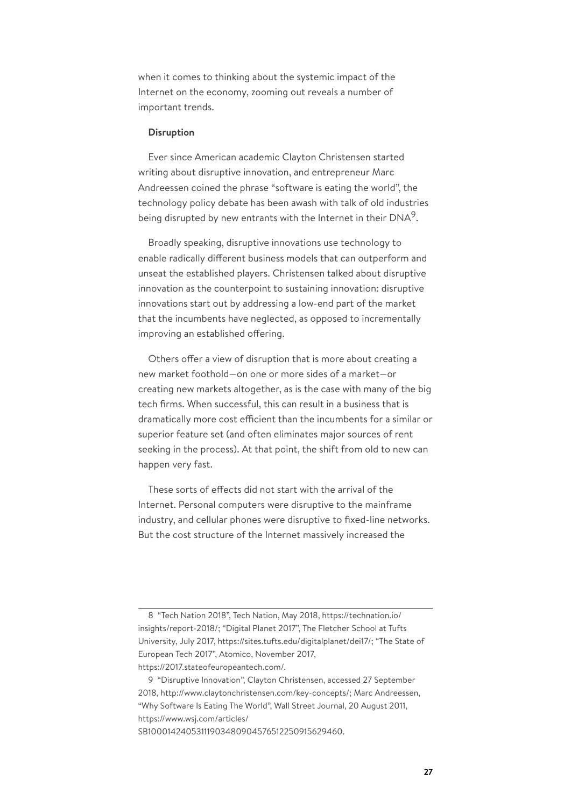when it comes to thinking about the systemic impact of the Internet on the economy, zooming out reveals a number of important trends.

#### **Disruption**

Ever since American academic Clayton Christensen started writing about disruptive innovation, and entrepreneur Marc Andreessen coined the phrase "software is eating the world", the technology policy debate has been awash with talk of old industries being disrupted by new entrants with the Internet in their DNA<sup>9</sup>.

Broadly speaking, disruptive innovations use technology to enable radically different business models that can outperform and unseat the established players. Christensen talked about disruptive innovation as the counterpoint to sustaining innovation: disruptive innovations start out by addressing a low-end part of the market that the incumbents have neglected, as opposed to incrementally improving an established offering.

Others offer a view of disruption that is more about creating a new market foothold—on one or more sides of a market—or creating new markets altogether, as is the case with many of the big tech firms. When successful, this can result in a business that is dramatically more cost efficient than the incumbents for a similar or superior feature set (and often eliminates major sources of rent seeking in the process). At that point, the shift from old to new can happen very fast.

These sorts of effects did not start with the arrival of the Internet. Personal computers were disruptive to the mainframe industry, and cellular phones were disruptive to fixed-line networks. But the cost structure of the Internet massively increased the

<sup>8</sup> "Tech Nation 2018", Tech Nation, May 2018, https://technation.io/ insights/report-2018/; "Digital Planet 2017", The Fletcher School at Tufts University, July 2017, https://sites.tufts.edu/digitalplanet/dei17/; "The State of European Tech 2017", Atomico, November 2017, https://2017.stateofeuropeantech.com/.

<sup>9</sup> "Disruptive Innovation", Clayton Christensen, accessed 27 September 2018, http://www.claytonchristensen.com/key-concepts/; Marc Andreessen, "Why Software Is Eating The World", Wall Street Journal, 20 August 2011, https://www.wsj.com/articles/

SB10001424053111903480904576512250915629460.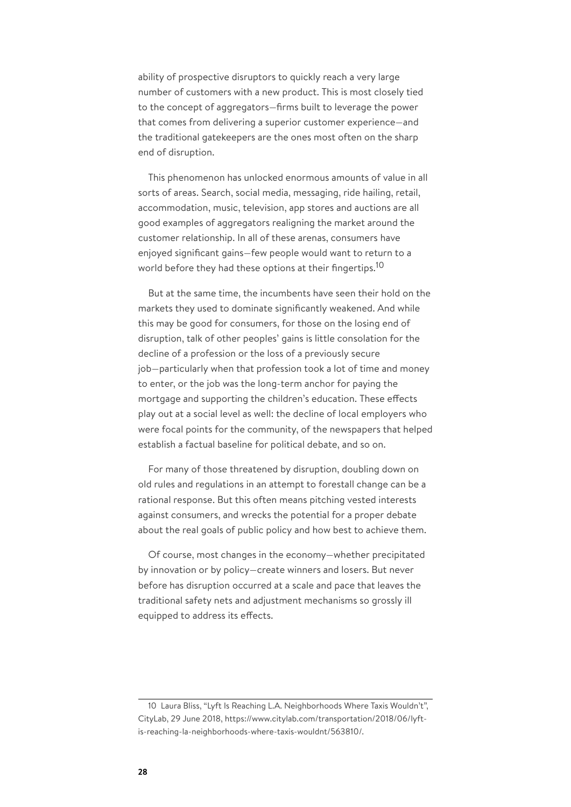ability of prospective disruptors to quickly reach a very large number of customers with a new product. This is most closely tied to the concept of aggregators—firms built to leverage the power that comes from delivering a superior customer experience—and the traditional gatekeepers are the ones most often on the sharp end of disruption.

This phenomenon has unlocked enormous amounts of value in all sorts of areas. Search, social media, messaging, ride hailing, retail, accommodation, music, television, app stores and auctions are all good examples of aggregators realigning the market around the customer relationship. In all of these arenas, consumers have enjoyed significant gains—few people would want to return to a world before they had these options at their fingertips.<sup>10</sup>

But at the same time, the incumbents have seen their hold on the markets they used to dominate significantly weakened. And while this may be good for consumers, for those on the losing end of disruption, talk of other peoples' gains is little consolation for the decline of a profession or the loss of a previously secure job—particularly when that profession took a lot of time and money to enter, or the job was the long-term anchor for paying the mortgage and supporting the children's education. These effects play out at a social level as well: the decline of local employers who were focal points for the community, of the newspapers that helped establish a factual baseline for political debate, and so on.

For many of those threatened by disruption, doubling down on old rules and regulations in an attempt to forestall change can be a rational response. But this often means pitching vested interests against consumers, and wrecks the potential for a proper debate about the real goals of public policy and how best to achieve them.

Of course, most changes in the economy—whether precipitated by innovation or by policy—create winners and losers. But never before has disruption occurred at a scale and pace that leaves the traditional safety nets and adjustment mechanisms so grossly ill equipped to address its effects.

<sup>10</sup> Laura Bliss, "Lyft Is Reaching L.A. Neighborhoods Where Taxis Wouldn't", CityLab, 29 June 2018, https://www.citylab.com/transportation/2018/06/lyftis-reaching-la-neighborhoods-where-taxis-wouldnt/563810/.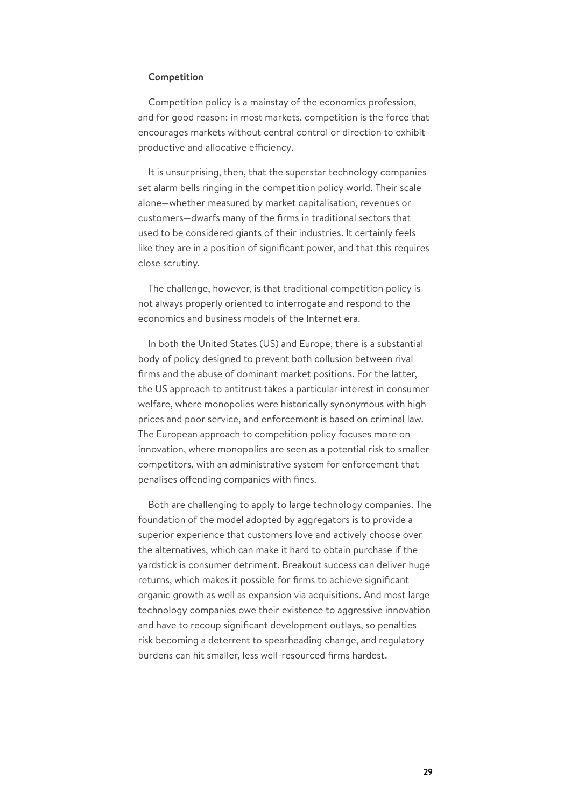## **Competition**

Competition policy is a mainstay of the economics profession, and for good reason: in most markets, competition is the force that encourages markets without central control or direction to exhibit productive and allocative efficiency.

It is unsurprising, then, that the superstar technology companies set alarm bells ringing in the competition policy world. Their scale alone—whether measured by market capitalisation, revenues or customers—dwarfs many of the firms in traditional sectors that used to be considered giants of their industries. It certainly feels like they are in a position of significant power, and that this requires close scrutiny.

The challenge, however, is that traditional competition policy is not always properly oriented to interrogate and respond to the economics and business models of the Internet era.

In both the United States (US) and Europe, there is a substantial body of policy designed to prevent both collusion between rival firms and the abuse of dominant market positions. For the latter, the US approach to antitrust takes a particular interest in consumer welfare, where monopolies were historically synonymous with high prices and poor service, and enforcement is based on criminal law. The European approach to competition policy focuses more on innovation, where monopolies are seen as a potential risk to smaller competitors, with an administrative system for enforcement that penalises offending companies with fines.

Both are challenging to apply to large technology companies. The foundation of the model adopted by aggregators is to provide a superior experience that customers love and actively choose over the alternatives, which can make it hard to obtain purchase if the yardstick is consumer detriment. Breakout success can deliver huge returns, which makes it possible for firms to achieve significant organic growth as well as expansion via acquisitions. And most large technology companies owe their existence to aggressive innovation and have to recoup significant development outlays, so penalties risk becoming a deterrent to spearheading change, and regulatory burdens can hit smaller, less well-resourced firms hardest.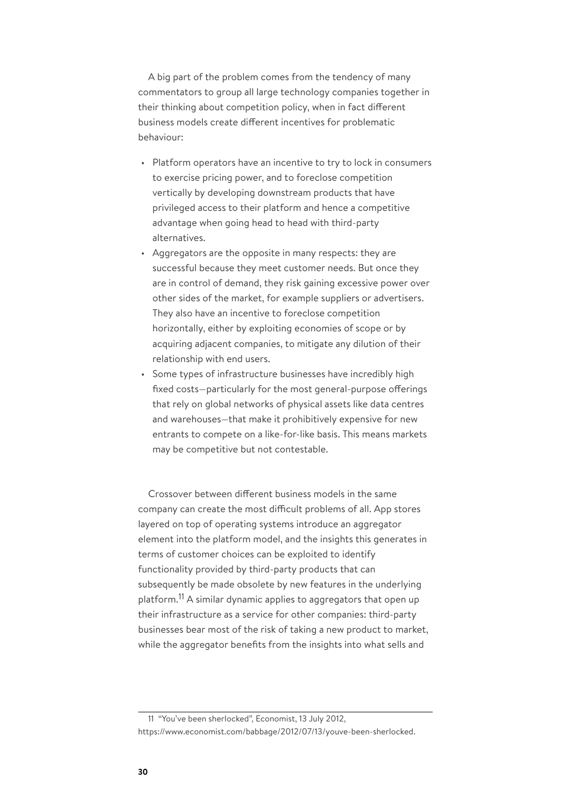A big part of the problem comes from the tendency of many commentators to group all large technology companies together in their thinking about competition policy, when in fact different business models create different incentives for problematic behaviour:

- Platform operators have an incentive to try to lock in consumers to exercise pricing power, and to foreclose competition vertically by developing downstream products that have privileged access to their platform and hence a competitive advantage when going head to head with third-party alternatives.
- Aggregators are the opposite in many respects: they are successful because they meet customer needs. But once they are in control of demand, they risk gaining excessive power over other sides of the market, for example suppliers or advertisers. They also have an incentive to foreclose competition horizontally, either by exploiting economies of scope or by acquiring adjacent companies, to mitigate any dilution of their relationship with end users.
- Some types of infrastructure businesses have incredibly high fixed costs—particularly for the most general-purpose offerings that rely on global networks of physical assets like data centres and warehouses—that make it prohibitively expensive for new entrants to compete on a like-for-like basis. This means markets may be competitive but not contestable.

Crossover between different business models in the same company can create the most difficult problems of all. App stores layered on top of operating systems introduce an aggregator element into the platform model, and the insights this generates in terms of customer choices can be exploited to identify functionality provided by third-party products that can subsequently be made obsolete by new features in the underlying platform.<sup>11</sup> A similar dynamic applies to aggregators that open up their infrastructure as a service for other companies: third-party businesses bear most of the risk of taking a new product to market, while the aggregator benefits from the insights into what sells and

11 "You've been sherlocked", Economist, 13 July 2012, https://www.economist.com/babbage/2012/07/13/youve-been-sherlocked.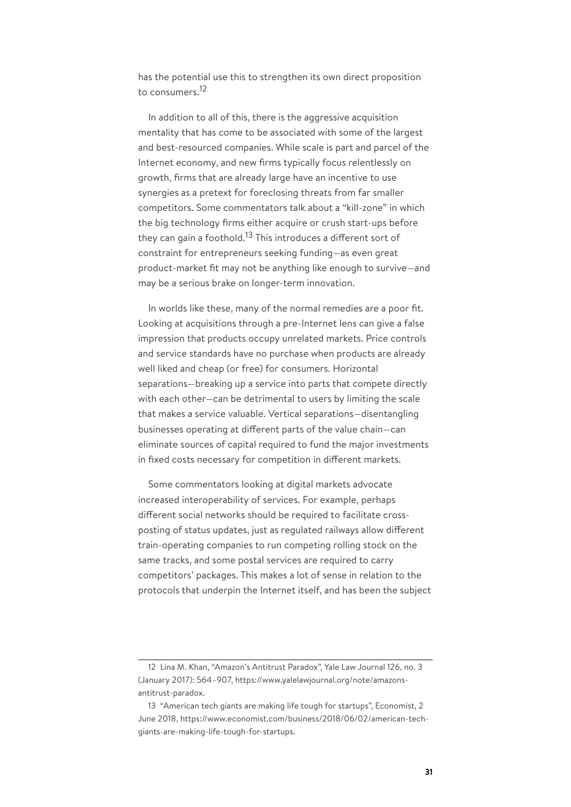has the potential use this to strengthen its own direct proposition to consumers.<sup>12</sup>

In addition to all of this, there is the aggressive acquisition mentality that has come to be associated with some of the largest and best-resourced companies. While scale is part and parcel of the Internet economy, and new firms typically focus relentlessly on growth, firms that are already large have an incentive to use synergies as a pretext for foreclosing threats from far smaller competitors. Some commentators talk about a "kill-zone" in which the big technology firms either acquire or crush start-ups before they can gain a foothold.<sup>13</sup> This introduces a different sort of constraint for entrepreneurs seeking funding—as even great product-market fit may not be anything like enough to survive—and may be a serious brake on longer-term innovation.

In worlds like these, many of the normal remedies are a poor fit. Looking at acquisitions through a pre-Internet lens can give a false impression that products occupy unrelated markets. Price controls and service standards have no purchase when products are already well liked and cheap (or free) for consumers. Horizontal separations—breaking up a service into parts that compete directly with each other—can be detrimental to users by limiting the scale that makes a service valuable. Vertical separations—disentangling businesses operating at different parts of the value chain—can eliminate sources of capital required to fund the major investments in fixed costs necessary for competition in different markets.

Some commentators looking at digital markets advocate increased interoperability of services. For example, perhaps different social networks should be required to facilitate crossposting of status updates, just as regulated railways allow different train-operating companies to run competing rolling stock on the same tracks, and some postal services are required to carry competitors' packages. This makes a lot of sense in relation to the protocols that underpin the Internet itself, and has been the subject

<sup>12</sup> Lina M. Khan, "Amazon's Antitrust Paradox", Yale Law Journal 126, no. 3 (January 2017): 564–907, https://www.yalelawjournal.org/note/amazonsantitrust-paradox.

<sup>13</sup> "American tech giants are making life tough for startups", Economist, 2 June 2018, https://www.economist.com/business/2018/06/02/american-techgiants-are-making-life-tough-for-startups.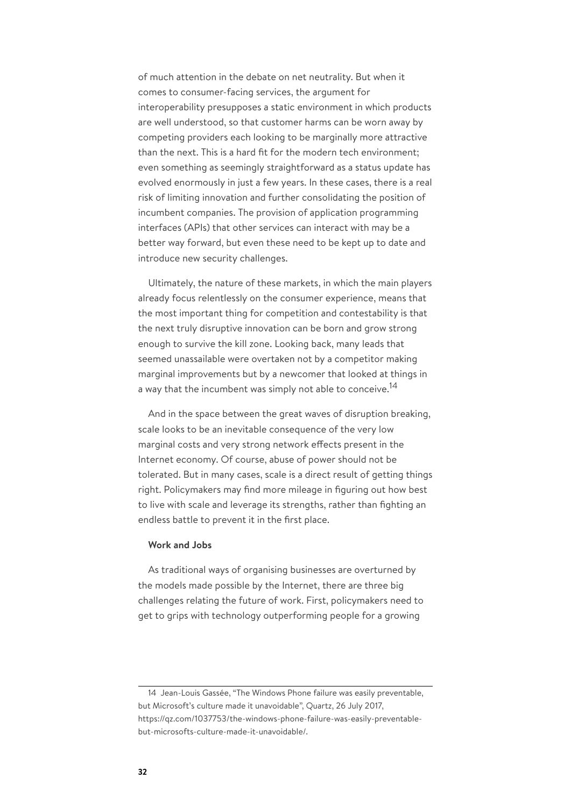of much attention in the debate on net neutrality. But when it comes to consumer-facing services, the argument for interoperability presupposes a static environment in which products are well understood, so that customer harms can be worn away by competing providers each looking to be marginally more attractive than the next. This is a hard fit for the modern tech environment; even something as seemingly straightforward as a status update has evolved enormously in just a few years. In these cases, there is a real risk of limiting innovation and further consolidating the position of incumbent companies. The provision of application programming interfaces (APIs) that other services can interact with may be a better way forward, but even these need to be kept up to date and introduce new security challenges.

Ultimately, the nature of these markets, in which the main players already focus relentlessly on the consumer experience, means that the most important thing for competition and contestability is that the next truly disruptive innovation can be born and grow strong enough to survive the kill zone. Looking back, many leads that seemed unassailable were overtaken not by a competitor making marginal improvements but by a newcomer that looked at things in a way that the incumbent was simply not able to conceive.<sup>14</sup>

And in the space between the great waves of disruption breaking, scale looks to be an inevitable consequence of the very low marginal costs and very strong network effects present in the Internet economy. Of course, abuse of power should not be tolerated. But in many cases, scale is a direct result of getting things right. Policymakers may find more mileage in figuring out how best to live with scale and leverage its strengths, rather than fighting an endless battle to prevent it in the first place.

# **Work and Jobs**

As traditional ways of organising businesses are overturned by the models made possible by the Internet, there are three big challenges relating the future of work. First, policymakers need to get to grips with technology outperforming people for a growing

<sup>14</sup> Jean-Louis Gassée, "The Windows Phone failure was easily preventable, but Microsoft's culture made it unavoidable", Quartz, 26 July 2017, https://qz.com/1037753/the-windows-phone-failure-was-easily-preventablebut-microsofts-culture-made-it-unavoidable/.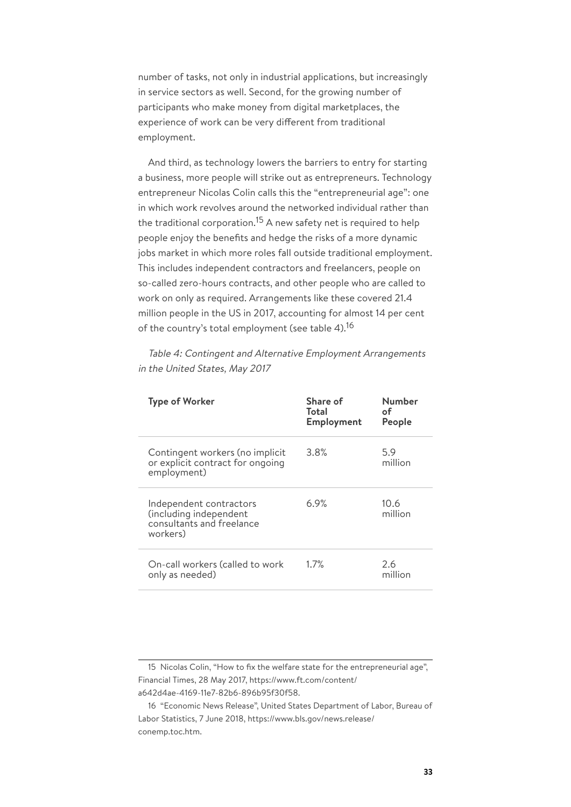number of tasks, not only in industrial applications, but increasingly in service sectors as well. Second, for the growing number of participants who make money from digital marketplaces, the experience of work can be very different from traditional employment.

And third, as technology lowers the barriers to entry for starting a business, more people will strike out as entrepreneurs. Technology entrepreneur Nicolas Colin calls this the "entrepreneurial age": one in which work revolves around the networked individual rather than the traditional corporation.<sup>15</sup> A new safety net is required to help people enjoy the benefits and hedge the risks of a more dynamic jobs market in which more roles fall outside traditional employment. This includes independent contractors and freelancers, people on so-called zero-hours contracts, and other people who are called to work on only as required. Arrangements like these covered 21.4 million people in the US in 2017, accounting for almost 14 per cent of the country's total employment (see table 4).<sup>16</sup>

Table 4: Contingent and Alternative Employment Arrangements in the United States, May 2017

| <b>Type of Worker</b>                                                                      | Share of<br>Total<br>Employment | Number<br>оf<br>People |
|--------------------------------------------------------------------------------------------|---------------------------------|------------------------|
| Contingent workers (no implicit<br>or explicit contract for ongoing<br>employment)         | 3.8%                            | 5.9<br>million         |
| Independent contractors<br>(including independent<br>consultants and freelance<br>workers) | 6.9%                            | 10.6<br>million        |
| On-call workers (called to work<br>only as needed)                                         | 1.7%                            | 2.6<br>million         |

<sup>15</sup> Nicolas Colin, "How to fix the welfare state for the entrepreneurial age", Financial Times, 28 May 2017, https://www.ft.com/content/ a642d4ae-4169-11e7-82b6-896b95f30f58.

<sup>16</sup> "Economic News Release", United States Department of Labor, Bureau of Labor Statistics, 7 June 2018, https://www.bls.gov/news.release/ conemp.toc.htm.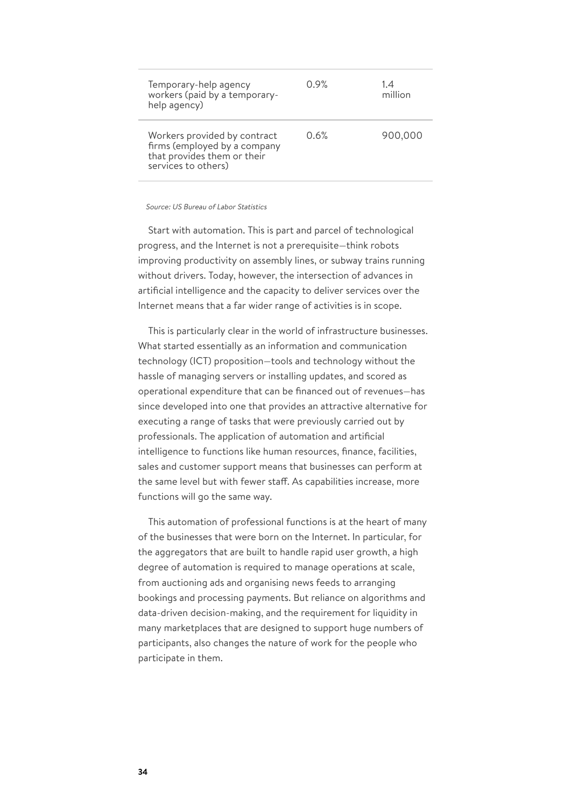| Temporary-help agency<br>workers (paid by a temporary-<br>help agency)                                             | 0.9% | 1.4<br>million |
|--------------------------------------------------------------------------------------------------------------------|------|----------------|
| Workers provided by contract<br>firms (employed by a company<br>that provides them or their<br>services to others) | 0.6% | 900,000        |

#### Source: US Bureau of Labor Statistics

Start with automation. This is part and parcel of technological progress, and the Internet is not a prerequisite—think robots improving productivity on assembly lines, or subway trains running without drivers. Today, however, the intersection of advances in artificial intelligence and the capacity to deliver services over the Internet means that a far wider range of activities is in scope.

This is particularly clear in the world of infrastructure businesses. What started essentially as an information and communication technology (ICT) proposition—tools and technology without the hassle of managing servers or installing updates, and scored as operational expenditure that can be financed out of revenues—has since developed into one that provides an attractive alternative for executing a range of tasks that were previously carried out by professionals. The application of automation and artificial intelligence to functions like human resources, finance, facilities, sales and customer support means that businesses can perform at the same level but with fewer staff. As capabilities increase, more functions will go the same way.

This automation of professional functions is at the heart of many of the businesses that were born on the Internet. In particular, for the aggregators that are built to handle rapid user growth, a high degree of automation is required to manage operations at scale, from auctioning ads and organising news feeds to arranging bookings and processing payments. But reliance on algorithms and data-driven decision-making, and the requirement for liquidity in many marketplaces that are designed to support huge numbers of participants, also changes the nature of work for the people who participate in them.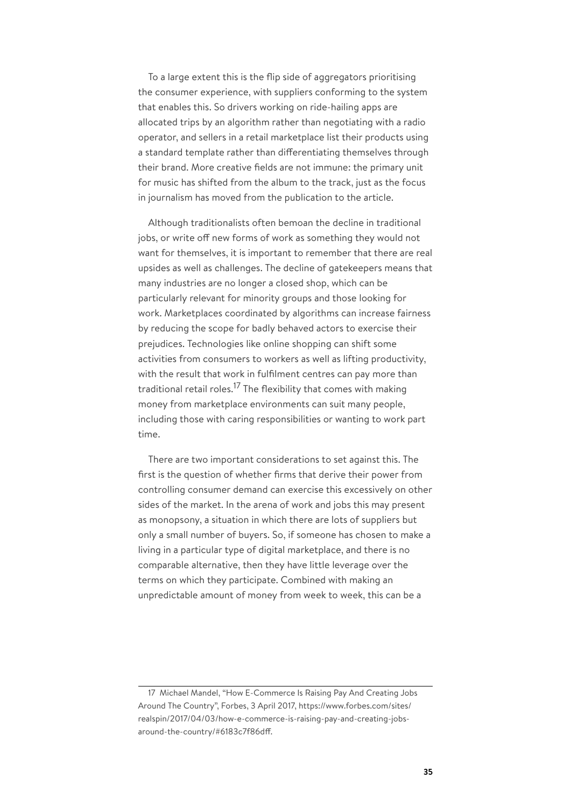To a large extent this is the flip side of aggregators prioritising the consumer experience, with suppliers conforming to the system that enables this. So drivers working on ride-hailing apps are allocated trips by an algorithm rather than negotiating with a radio operator, and sellers in a retail marketplace list their products using a standard template rather than differentiating themselves through their brand. More creative fields are not immune: the primary unit for music has shifted from the album to the track, just as the focus in journalism has moved from the publication to the article.

Although traditionalists often bemoan the decline in traditional jobs, or write off new forms of work as something they would not want for themselves, it is important to remember that there are real upsides as well as challenges. The decline of gatekeepers means that many industries are no longer a closed shop, which can be particularly relevant for minority groups and those looking for work. Marketplaces coordinated by algorithms can increase fairness by reducing the scope for badly behaved actors to exercise their prejudices. Technologies like online shopping can shift some activities from consumers to workers as well as lifting productivity, with the result that work in fulfilment centres can pay more than traditional retail roles.<sup>17</sup> The flexibility that comes with making money from marketplace environments can suit many people, including those with caring responsibilities or wanting to work part time.

There are two important considerations to set against this. The first is the question of whether firms that derive their power from controlling consumer demand can exercise this excessively on other sides of the market. In the arena of work and jobs this may present as monopsony, a situation in which there are lots of suppliers but only a small number of buyers. So, if someone has chosen to make a living in a particular type of digital marketplace, and there is no comparable alternative, then they have little leverage over the terms on which they participate. Combined with making an unpredictable amount of money from week to week, this can be a

<sup>17</sup> Michael Mandel, "How E-Commerce Is Raising Pay And Creating Jobs Around The Country", Forbes, 3 April 2017, https://www.forbes.com/sites/ realspin/2017/04/03/how-e-commerce-is-raising-pay-and-creating-jobsaround-the-country/#6183c7f86dff.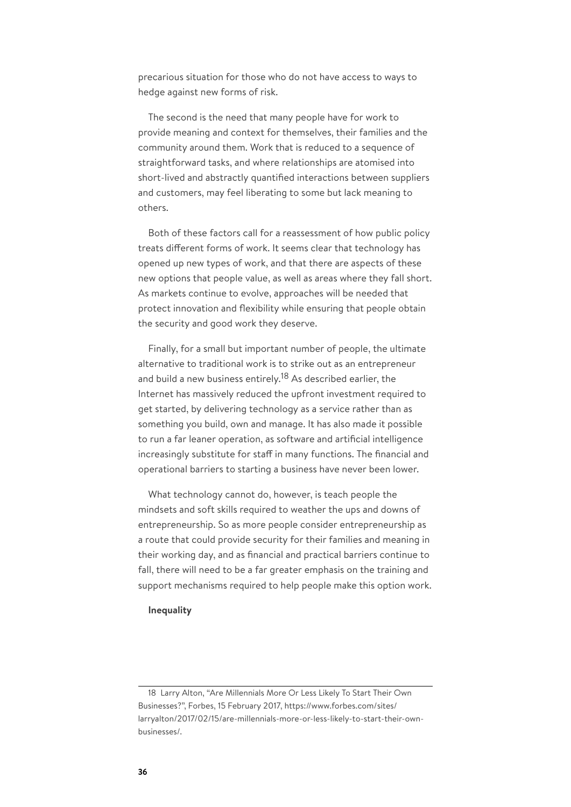precarious situation for those who do not have access to ways to hedge against new forms of risk.

The second is the need that many people have for work to provide meaning and context for themselves, their families and the community around them. Work that is reduced to a sequence of straightforward tasks, and where relationships are atomised into short-lived and abstractly quantified interactions between suppliers and customers, may feel liberating to some but lack meaning to others.

Both of these factors call for a reassessment of how public policy treats different forms of work. It seems clear that technology has opened up new types of work, and that there are aspects of these new options that people value, as well as areas where they fall short. As markets continue to evolve, approaches will be needed that protect innovation and flexibility while ensuring that people obtain the security and good work they deserve.

Finally, for a small but important number of people, the ultimate alternative to traditional work is to strike out as an entrepreneur and build a new business entirely.<sup>18</sup> As described earlier, the Internet has massively reduced the upfront investment required to get started, by delivering technology as a service rather than as something you build, own and manage. It has also made it possible to run a far leaner operation, as software and artificial intelligence increasingly substitute for staff in many functions. The financial and operational barriers to starting a business have never been lower.

What technology cannot do, however, is teach people the mindsets and soft skills required to weather the ups and downs of entrepreneurship. So as more people consider entrepreneurship as a route that could provide security for their families and meaning in their working day, and as financial and practical barriers continue to fall, there will need to be a far greater emphasis on the training and support mechanisms required to help people make this option work.

#### **Inequality**

<sup>18</sup> Larry Alton, "Are Millennials More Or Less Likely To Start Their Own Businesses?", Forbes, 15 February 2017, https://www.forbes.com/sites/ larryalton/2017/02/15/are-millennials-more-or-less-likely-to-start-their-ownbusinesses/.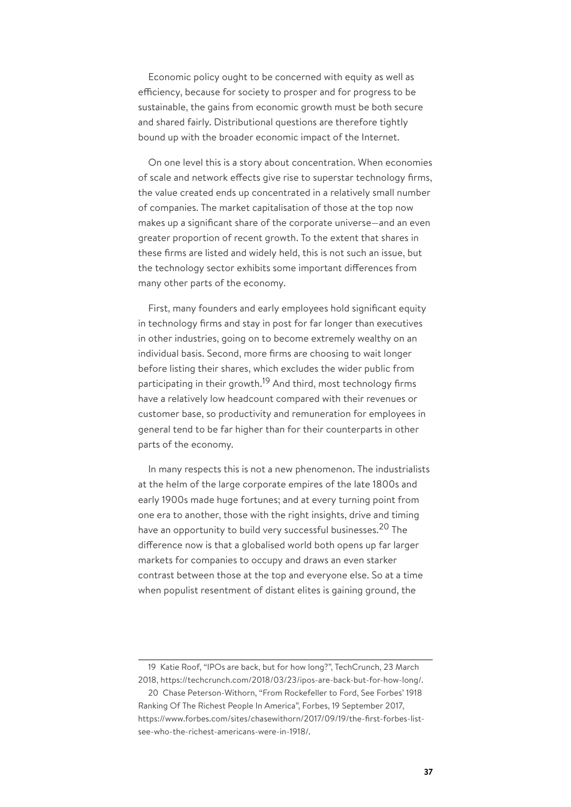Economic policy ought to be concerned with equity as well as efficiency, because for society to prosper and for progress to be sustainable, the gains from economic growth must be both secure and shared fairly. Distributional questions are therefore tightly bound up with the broader economic impact of the Internet.

On one level this is a story about concentration. When economies of scale and network effects give rise to superstar technology firms, the value created ends up concentrated in a relatively small number of companies. The market capitalisation of those at the top now makes up a significant share of the corporate universe—and an even greater proportion of recent growth. To the extent that shares in these firms are listed and widely held, this is not such an issue, but the technology sector exhibits some important differences from many other parts of the economy.

First, many founders and early employees hold significant equity in technology firms and stay in post for far longer than executives in other industries, going on to become extremely wealthy on an individual basis. Second, more firms are choosing to wait longer before listing their shares, which excludes the wider public from participating in their growth.<sup>19</sup> And third, most technology firms have a relatively low headcount compared with their revenues or customer base, so productivity and remuneration for employees in general tend to be far higher than for their counterparts in other parts of the economy.

In many respects this is not a new phenomenon. The industrialists at the helm of the large corporate empires of the late 1800s and early 1900s made huge fortunes; and at every turning point from one era to another, those with the right insights, drive and timing have an opportunity to build very successful businesses.<sup>20</sup> The difference now is that a globalised world both opens up far larger markets for companies to occupy and draws an even starker contrast between those at the top and everyone else. So at a time when populist resentment of distant elites is gaining ground, the

<sup>19</sup> Katie Roof, "IPOs are back, but for how long?", TechCrunch, 23 March 2018, https://techcrunch.com/2018/03/23/ipos-are-back-but-for-how-long/.

<sup>20</sup> Chase Peterson-Withorn, "From Rockefeller to Ford, See Forbes' 1918 Ranking Of The Richest People In America", Forbes, 19 September 2017, https://www.forbes.com/sites/chasewithorn/2017/09/19/the-first-forbes-listsee-who-the-richest-americans-were-in-1918/.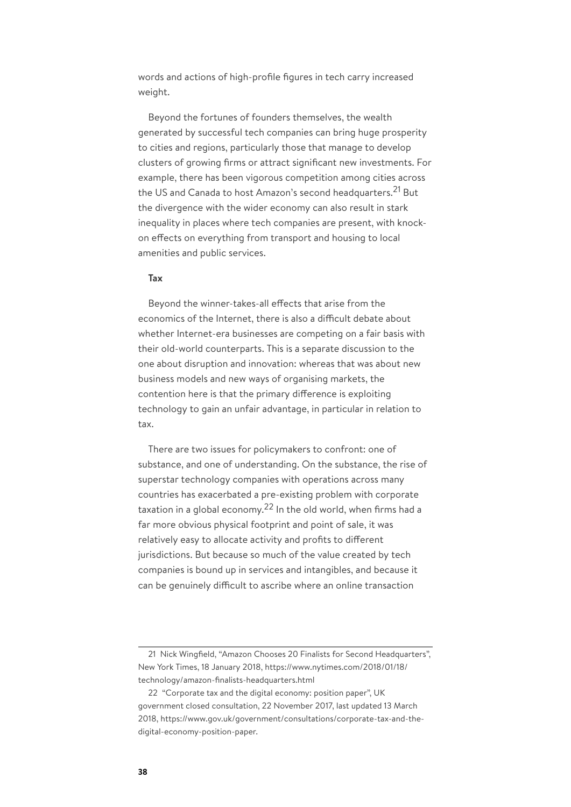words and actions of high-profile figures in tech carry increased weight.

Beyond the fortunes of founders themselves, the wealth generated by successful tech companies can bring huge prosperity to cities and regions, particularly those that manage to develop clusters of growing firms or attract significant new investments. For example, there has been vigorous competition among cities across the US and Canada to host Amazon's second headquarters.<sup>21</sup> But the divergence with the wider economy can also result in stark inequality in places where tech companies are present, with knockon effects on everything from transport and housing to local amenities and public services.

## **Tax**

Beyond the winner-takes-all effects that arise from the economics of the Internet, there is also a difficult debate about whether Internet-era businesses are competing on a fair basis with their old-world counterparts. This is a separate discussion to the one about disruption and innovation: whereas that was about new business models and new ways of organising markets, the contention here is that the primary difference is exploiting technology to gain an unfair advantage, in particular in relation to tax.

There are two issues for policymakers to confront: one of substance, and one of understanding. On the substance, the rise of superstar technology companies with operations across many countries has exacerbated a pre-existing problem with corporate taxation in a global economy.<sup>22</sup> In the old world, when firms had a far more obvious physical footprint and point of sale, it was relatively easy to allocate activity and profits to different jurisdictions. But because so much of the value created by tech companies is bound up in services and intangibles, and because it can be genuinely difficult to ascribe where an online transaction

<sup>21</sup> Nick Wingfield, "Amazon Chooses 20 Finalists for Second Headquarters", New York Times, 18 January 2018, https://www.nytimes.com/2018/01/18/ technology/amazon-finalists-headquarters.html

<sup>22</sup> "Corporate tax and the digital economy: position paper", UK government closed consultation, 22 November 2017, last updated 13 March 2018, https://www.gov.uk/government/consultations/corporate-tax-and-thedigital-economy-position-paper.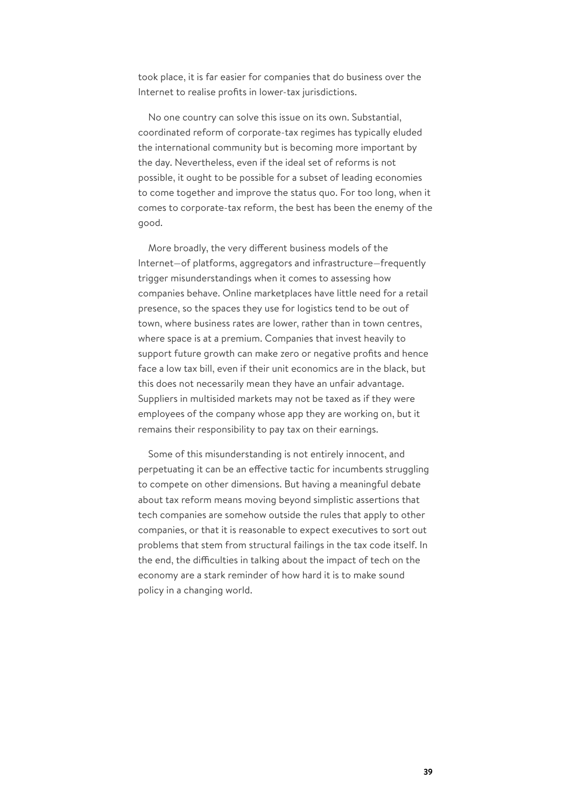took place, it is far easier for companies that do business over the Internet to realise profits in lower-tax jurisdictions.

No one country can solve this issue on its own. Substantial, coordinated reform of corporate-tax regimes has typically eluded the international community but is becoming more important by the day. Nevertheless, even if the ideal set of reforms is not possible, it ought to be possible for a subset of leading economies to come together and improve the status quo. For too long, when it comes to corporate-tax reform, the best has been the enemy of the good.

More broadly, the very different business models of the Internet—of platforms, aggregators and infrastructure—frequently trigger misunderstandings when it comes to assessing how companies behave. Online marketplaces have little need for a retail presence, so the spaces they use for logistics tend to be out of town, where business rates are lower, rather than in town centres, where space is at a premium. Companies that invest heavily to support future growth can make zero or negative profits and hence face a low tax bill, even if their unit economics are in the black, but this does not necessarily mean they have an unfair advantage. Suppliers in multisided markets may not be taxed as if they were employees of the company whose app they are working on, but it remains their responsibility to pay tax on their earnings.

Some of this misunderstanding is not entirely innocent, and perpetuating it can be an effective tactic for incumbents struggling to compete on other dimensions. But having a meaningful debate about tax reform means moving beyond simplistic assertions that tech companies are somehow outside the rules that apply to other companies, or that it is reasonable to expect executives to sort out problems that stem from structural failings in the tax code itself. In the end, the difficulties in talking about the impact of tech on the economy are a stark reminder of how hard it is to make sound policy in a changing world.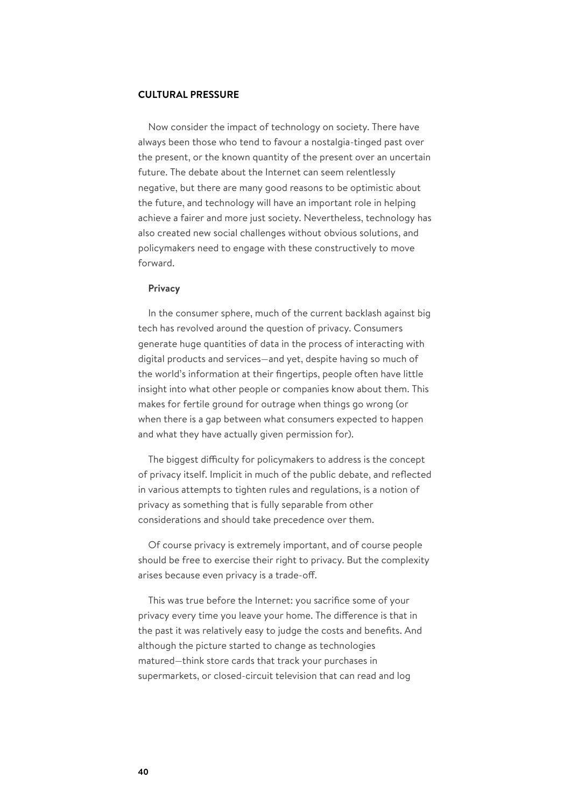### **CULTURAL PRESSURE**

Now consider the impact of technology on society. There have always been those who tend to favour a nostalgia-tinged past over the present, or the known quantity of the present over an uncertain future. The debate about the Internet can seem relentlessly negative, but there are many good reasons to be optimistic about the future, and technology will have an important role in helping achieve a fairer and more just society. Nevertheless, technology has also created new social challenges without obvious solutions, and policymakers need to engage with these constructively to move forward.

## **Privacy**

In the consumer sphere, much of the current backlash against big tech has revolved around the question of privacy. Consumers generate huge quantities of data in the process of interacting with digital products and services—and yet, despite having so much of the world's information at their fingertips, people often have little insight into what other people or companies know about them. This makes for fertile ground for outrage when things go wrong (or when there is a gap between what consumers expected to happen and what they have actually given permission for).

The biggest difficulty for policymakers to address is the concept of privacy itself. Implicit in much of the public debate, and reflected in various attempts to tighten rules and regulations, is a notion of privacy as something that is fully separable from other considerations and should take precedence over them.

Of course privacy is extremely important, and of course people should be free to exercise their right to privacy. But the complexity arises because even privacy is a trade-off.

This was true before the Internet: you sacrifice some of your privacy every time you leave your home. The difference is that in the past it was relatively easy to judge the costs and benefits. And although the picture started to change as technologies matured—think store cards that track your purchases in supermarkets, or closed-circuit television that can read and log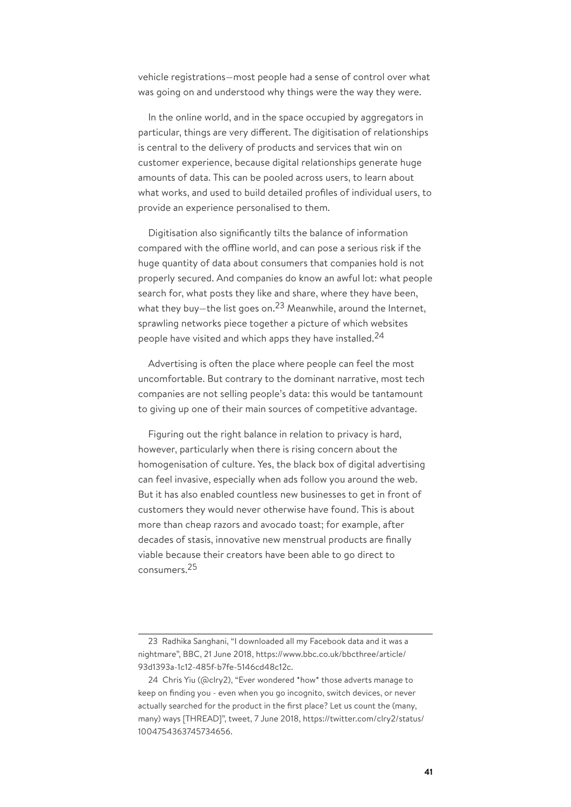vehicle registrations—most people had a sense of control over what was going on and understood why things were the way they were.

In the online world, and in the space occupied by aggregators in particular, things are very different. The digitisation of relationships is central to the delivery of products and services that win on customer experience, because digital relationships generate huge amounts of data. This can be pooled across users, to learn about what works, and used to build detailed profiles of individual users, to provide an experience personalised to them.

Digitisation also significantly tilts the balance of information compared with the offline world, and can pose a serious risk if the huge quantity of data about consumers that companies hold is not properly secured. And companies do know an awful lot: what people search for, what posts they like and share, where they have been, what they buy—the list goes on.<sup>23</sup> Meanwhile, around the Internet, sprawling networks piece together a picture of which websites people have visited and which apps they have installed.<sup>24</sup>

Advertising is often the place where people can feel the most uncomfortable. But contrary to the dominant narrative, most tech companies are not selling people's data: this would be tantamount to giving up one of their main sources of competitive advantage.

Figuring out the right balance in relation to privacy is hard, however, particularly when there is rising concern about the homogenisation of culture. Yes, the black box of digital advertising can feel invasive, especially when ads follow you around the web. But it has also enabled countless new businesses to get in front of customers they would never otherwise have found. This is about more than cheap razors and avocado toast; for example, after decades of stasis, innovative new menstrual products are finally viable because their creators have been able to go direct to consumers.<sup>25</sup>

<sup>23</sup> Radhika Sanghani, "I downloaded all my Facebook data and it was a nightmare", BBC, 21 June 2018, https://www.bbc.co.uk/bbcthree/article/ 93d1393a-1c12-485f-b7fe-5146cd48c12c.

<sup>24</sup> Chris Yiu (@clry2), "Ever wondered \*how\* those adverts manage to keep on finding you - even when you go incognito, switch devices, or never actually searched for the product in the first place? Let us count the (many, many) ways [THREAD]", tweet, 7 June 2018, https://twitter.com/clry2/status/ 1004754363745734656.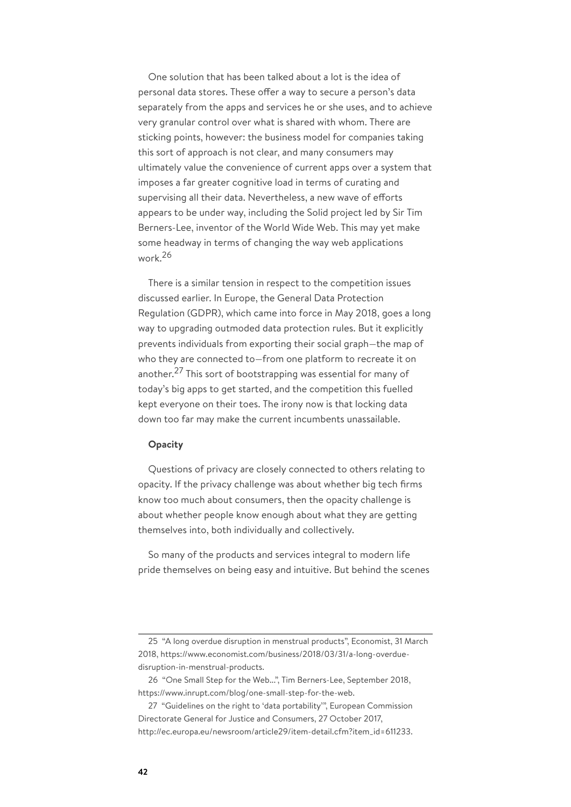One solution that has been talked about a lot is the idea of personal data stores. These offer a way to secure a person's data separately from the apps and services he or she uses, and to achieve very granular control over what is shared with whom. There are sticking points, however: the business model for companies taking this sort of approach is not clear, and many consumers may ultimately value the convenience of current apps over a system that imposes a far greater cognitive load in terms of curating and supervising all their data. Nevertheless, a new wave of efforts appears to be under way, including the Solid project led by Sir Tim Berners-Lee, inventor of the World Wide Web. This may yet make some headway in terms of changing the way web applications work.<sup>26</sup>

There is a similar tension in respect to the competition issues discussed earlier. In Europe, the General Data Protection Regulation (GDPR), which came into force in May 2018, goes a long way to upgrading outmoded data protection rules. But it explicitly prevents individuals from exporting their social graph—the map of who they are connected to—from one platform to recreate it on another.<sup>27</sup> This sort of bootstrapping was essential for many of today's big apps to get started, and the competition this fuelled kept everyone on their toes. The irony now is that locking data down too far may make the current incumbents unassailable.

## **Opacity**

Questions of privacy are closely connected to others relating to opacity. If the privacy challenge was about whether big tech firms know too much about consumers, then the opacity challenge is about whether people know enough about what they are getting themselves into, both individually and collectively.

So many of the products and services integral to modern life pride themselves on being easy and intuitive. But behind the scenes

<sup>25</sup> "A long overdue disruption in menstrual products", Economist, 31 March 2018, https://www.economist.com/business/2018/03/31/a-long-overduedisruption-in-menstrual-products.

<sup>26</sup> "One Small Step for the Web...", Tim Berners-Lee, September 2018, https://www.inrupt.com/blog/one-small-step-for-the-web.

<sup>27</sup> "Guidelines on the right to 'data portability'", European Commission Directorate General for Justice and Consumers, 27 October 2017, http://ec.europa.eu/newsroom/article29/item-detail.cfm?item\_id=611233.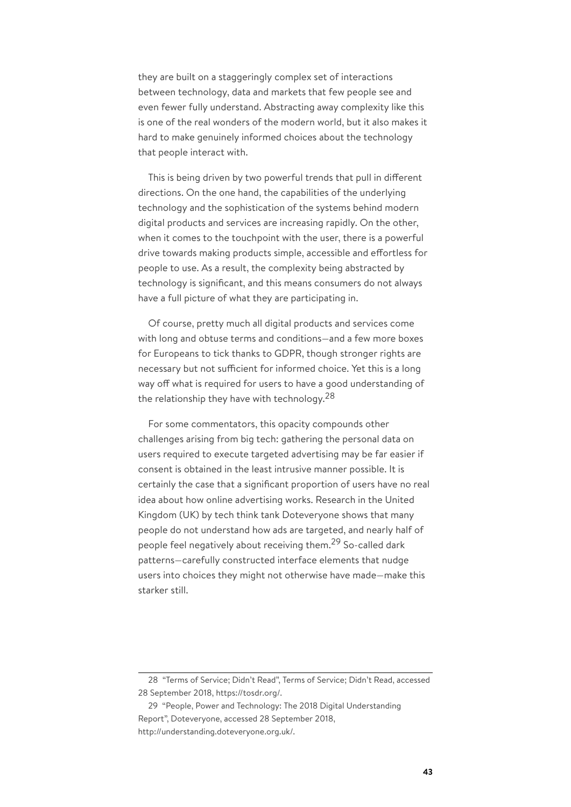they are built on a staggeringly complex set of interactions between technology, data and markets that few people see and even fewer fully understand. Abstracting away complexity like this is one of the real wonders of the modern world, but it also makes it hard to make genuinely informed choices about the technology that people interact with.

This is being driven by two powerful trends that pull in different directions. On the one hand, the capabilities of the underlying technology and the sophistication of the systems behind modern digital products and services are increasing rapidly. On the other, when it comes to the touchpoint with the user, there is a powerful drive towards making products simple, accessible and effortless for people to use. As a result, the complexity being abstracted by technology is significant, and this means consumers do not always have a full picture of what they are participating in.

Of course, pretty much all digital products and services come with long and obtuse terms and conditions—and a few more boxes for Europeans to tick thanks to GDPR, though stronger rights are necessary but not sufficient for informed choice. Yet this is a long way off what is required for users to have a good understanding of the relationship they have with technology.<sup>28</sup>

For some commentators, this opacity compounds other challenges arising from big tech: gathering the personal data on users required to execute targeted advertising may be far easier if consent is obtained in the least intrusive manner possible. It is certainly the case that a significant proportion of users have no real idea about how online advertising works. Research in the United Kingdom (UK) by tech think tank Doteveryone shows that many people do not understand how ads are targeted, and nearly half of people feel negatively about receiving them.<sup>29</sup> So-called dark patterns—carefully constructed interface elements that nudge users into choices they might not otherwise have made—make this starker still.

<sup>28</sup> "Terms of Service; Didn't Read", Terms of Service; Didn't Read, accessed 28 September 2018, https://tosdr.org/.

<sup>29</sup> "People, Power and Technology: The 2018 Digital Understanding Report", Doteveryone, accessed 28 September 2018, http://understanding.doteveryone.org.uk/.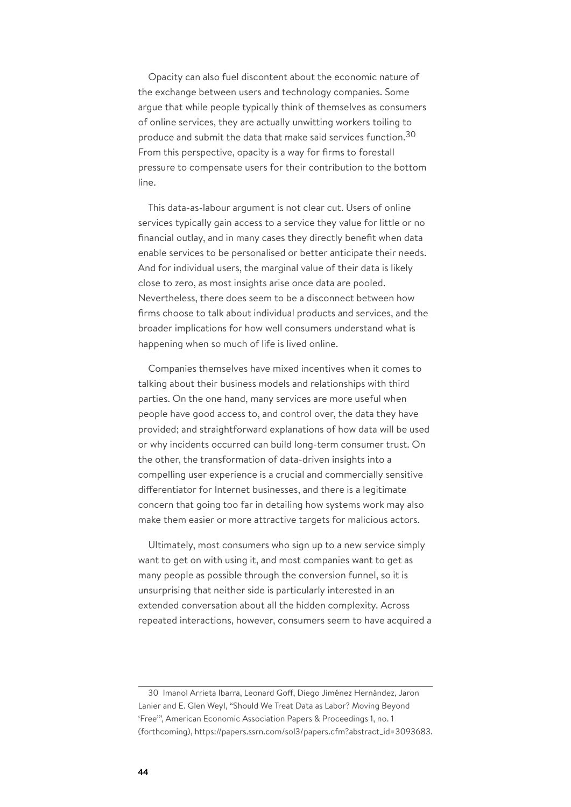Opacity can also fuel discontent about the economic nature of the exchange between users and technology companies. Some argue that while people typically think of themselves as consumers of online services, they are actually unwitting workers toiling to produce and submit the data that make said services function.<sup>30</sup> From this perspective, opacity is a way for firms to forestall pressure to compensate users for their contribution to the bottom line.

This data-as-labour argument is not clear cut. Users of online services typically gain access to a service they value for little or no financial outlay, and in many cases they directly benefit when data enable services to be personalised or better anticipate their needs. And for individual users, the marginal value of their data is likely close to zero, as most insights arise once data are pooled. Nevertheless, there does seem to be a disconnect between how firms choose to talk about individual products and services, and the broader implications for how well consumers understand what is happening when so much of life is lived online.

Companies themselves have mixed incentives when it comes to talking about their business models and relationships with third parties. On the one hand, many services are more useful when people have good access to, and control over, the data they have provided; and straightforward explanations of how data will be used or why incidents occurred can build long-term consumer trust. On the other, the transformation of data-driven insights into a compelling user experience is a crucial and commercially sensitive differentiator for Internet businesses, and there is a legitimate concern that going too far in detailing how systems work may also make them easier or more attractive targets for malicious actors.

Ultimately, most consumers who sign up to a new service simply want to get on with using it, and most companies want to get as many people as possible through the conversion funnel, so it is unsurprising that neither side is particularly interested in an extended conversation about all the hidden complexity. Across repeated interactions, however, consumers seem to have acquired a

<sup>30</sup> Imanol Arrieta Ibarra, Leonard Goff, Diego Jiménez Hernández, Jaron Lanier and E. Glen Weyl, "Should We Treat Data as Labor? Moving Beyond 'Free'", American Economic Association Papers & Proceedings 1, no. 1 (forthcoming), https://papers.ssrn.com/sol3/papers.cfm?abstract\_id=3093683.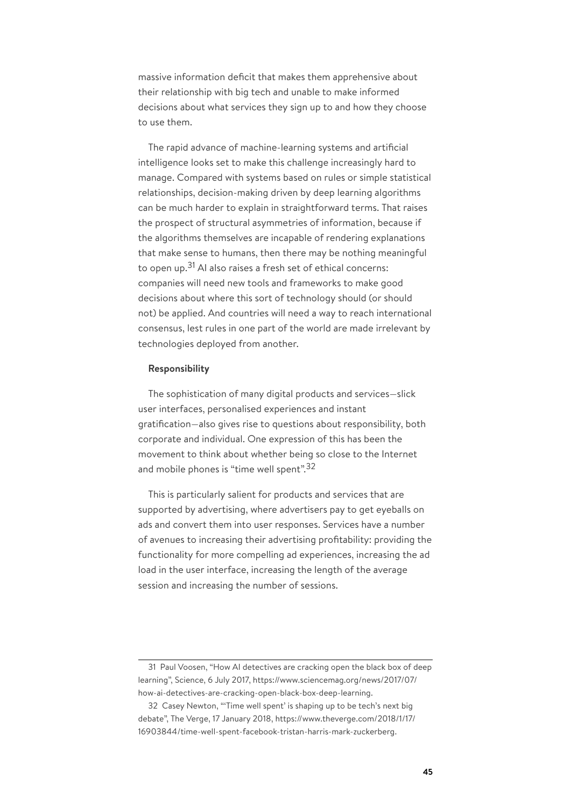massive information deficit that makes them apprehensive about their relationship with big tech and unable to make informed decisions about what services they sign up to and how they choose to use them.

The rapid advance of machine-learning systems and artificial intelligence looks set to make this challenge increasingly hard to manage. Compared with systems based on rules or simple statistical relationships, decision-making driven by deep learning algorithms can be much harder to explain in straightforward terms. That raises the prospect of structural asymmetries of information, because if the algorithms themselves are incapable of rendering explanations that make sense to humans, then there may be nothing meaningful to open up.<sup>31</sup> AI also raises a fresh set of ethical concerns: companies will need new tools and frameworks to make good decisions about where this sort of technology should (or should not) be applied. And countries will need a way to reach international consensus, lest rules in one part of the world are made irrelevant by technologies deployed from another.

## **Responsibility**

The sophistication of many digital products and services—slick user interfaces, personalised experiences and instant gratification—also gives rise to questions about responsibility, both corporate and individual. One expression of this has been the movement to think about whether being so close to the Internet and mobile phones is "time well spent".<sup>32</sup>

This is particularly salient for products and services that are supported by advertising, where advertisers pay to get eyeballs on ads and convert them into user responses. Services have a number of avenues to increasing their advertising profitability: providing the functionality for more compelling ad experiences, increasing the ad load in the user interface, increasing the length of the average session and increasing the number of sessions.

<sup>31</sup> Paul Voosen, "How AI detectives are cracking open the black box of deep learning", Science, 6 July 2017, https://www.sciencemag.org/news/2017/07/ how-ai-detectives-are-cracking-open-black-box-deep-learning.

<sup>32</sup> Casey Newton, "'Time well spent' is shaping up to be tech's next big debate", The Verge, 17 January 2018, https://www.theverge.com/2018/1/17/ 16903844/time-well-spent-facebook-tristan-harris-mark-zuckerberg.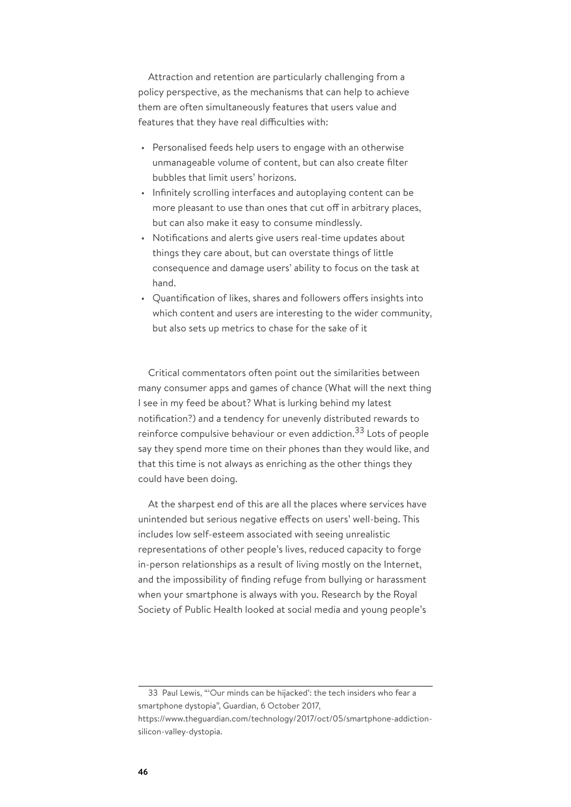Attraction and retention are particularly challenging from a policy perspective, as the mechanisms that can help to achieve them are often simultaneously features that users value and features that they have real difficulties with:

- Personalised feeds help users to engage with an otherwise unmanageable volume of content, but can also create filter bubbles that limit users' horizons.
- Infinitely scrolling interfaces and autoplaying content can be more pleasant to use than ones that cut off in arbitrary places, but can also make it easy to consume mindlessly.
- Notifications and alerts give users real-time updates about things they care about, but can overstate things of little consequence and damage users' ability to focus on the task at hand.
- Quantification of likes, shares and followers offers insights into which content and users are interesting to the wider community, but also sets up metrics to chase for the sake of it

Critical commentators often point out the similarities between many consumer apps and games of chance (What will the next thing I see in my feed be about? What is lurking behind my latest notification?) and a tendency for unevenly distributed rewards to reinforce compulsive behaviour or even addiction.<sup>33</sup> Lots of people say they spend more time on their phones than they would like, and that this time is not always as enriching as the other things they could have been doing.

At the sharpest end of this are all the places where services have unintended but serious negative effects on users' well-being. This includes low self-esteem associated with seeing unrealistic representations of other people's lives, reduced capacity to forge in-person relationships as a result of living mostly on the Internet, and the impossibility of finding refuge from bullying or harassment when your smartphone is always with you. Research by the Royal Society of Public Health looked at social media and young people's

<sup>33</sup> Paul Lewis, "'Our minds can be hijacked': the tech insiders who fear a smartphone dystopia", Guardian, 6 October 2017,

https://www.theguardian.com/technology/2017/oct/05/smartphone-addictionsilicon-valley-dystopia.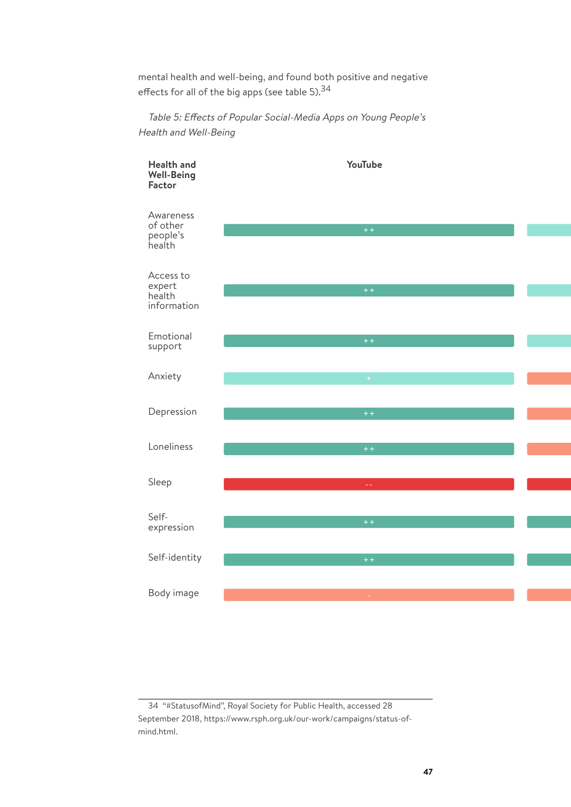mental health and well-being, and found both positive and negative effects for all of the big apps (see table 5).<sup>34</sup>

Table 5: Effects of Popular Social-Media Apps on Young People's Health and Well-Being



<sup>34</sup> "#StatusofMind", Royal Society for Public Health, accessed 28 September 2018, https://www.rsph.org.uk/our-work/campaigns/status-ofmind.html.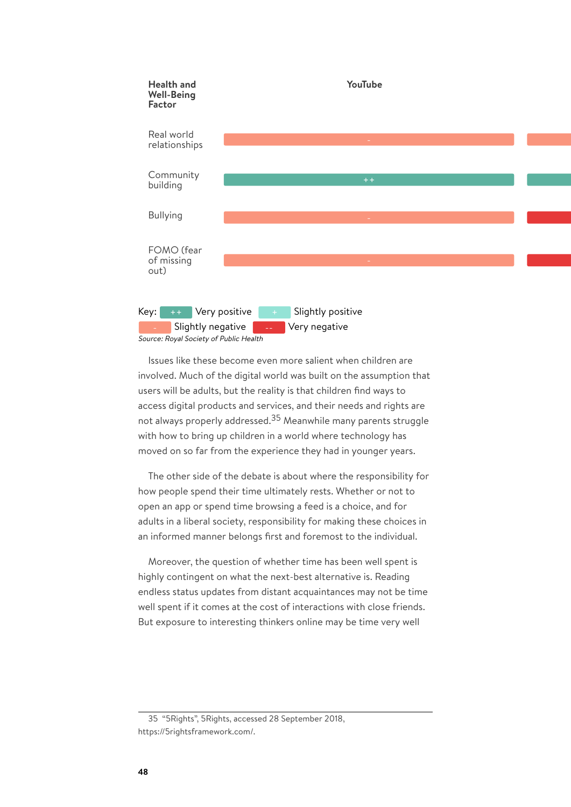

Issues like these become even more salient when children are involved. Much of the digital world was built on the assumption that users will be adults, but the reality is that children find ways to access digital products and services, and their needs and rights are not always properly addressed.<sup>35</sup> Meanwhile many parents struggle with how to bring up children in a world where technology has moved on so far from the experience they had in younger years.

Source: Royal Society of Public Health

The other side of the debate is about where the responsibility for how people spend their time ultimately rests. Whether or not to open an app or spend time browsing a feed is a choice, and for adults in a liberal society, responsibility for making these choices in an informed manner belongs first and foremost to the individual.

Moreover, the question of whether time has been well spent is highly contingent on what the next-best alternative is. Reading endless status updates from distant acquaintances may not be time well spent if it comes at the cost of interactions with close friends. But exposure to interesting thinkers online may be time very well

35 "5Rights", 5Rights, accessed 28 September 2018, https://5rightsframework.com/.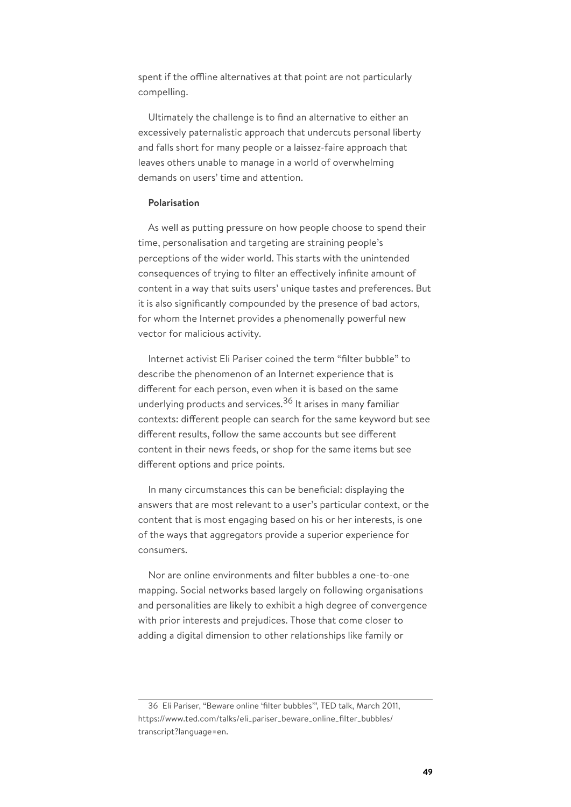spent if the offline alternatives at that point are not particularly compelling.

Ultimately the challenge is to find an alternative to either an excessively paternalistic approach that undercuts personal liberty and falls short for many people or a laissez-faire approach that leaves others unable to manage in a world of overwhelming demands on users' time and attention.

### **Polarisation**

As well as putting pressure on how people choose to spend their time, personalisation and targeting are straining people's perceptions of the wider world. This starts with the unintended consequences of trying to filter an effectively infinite amount of content in a way that suits users' unique tastes and preferences. But it is also significantly compounded by the presence of bad actors, for whom the Internet provides a phenomenally powerful new vector for malicious activity.

Internet activist Eli Pariser coined the term "filter bubble" to describe the phenomenon of an Internet experience that is different for each person, even when it is based on the same underlying products and services.<sup>36</sup> It arises in many familiar contexts: different people can search for the same keyword but see different results, follow the same accounts but see different content in their news feeds, or shop for the same items but see different options and price points.

In many circumstances this can be beneficial: displaying the answers that are most relevant to a user's particular context, or the content that is most engaging based on his or her interests, is one of the ways that aggregators provide a superior experience for consumers.

Nor are online environments and filter bubbles a one-to-one mapping. Social networks based largely on following organisations and personalities are likely to exhibit a high degree of convergence with prior interests and prejudices. Those that come closer to adding a digital dimension to other relationships like family or

<sup>36</sup> Eli Pariser, "Beware online 'filter bubbles'", TED talk, March 2011, https://www.ted.com/talks/eli\_pariser\_beware\_online\_filter\_bubbles/ transcript?language=en.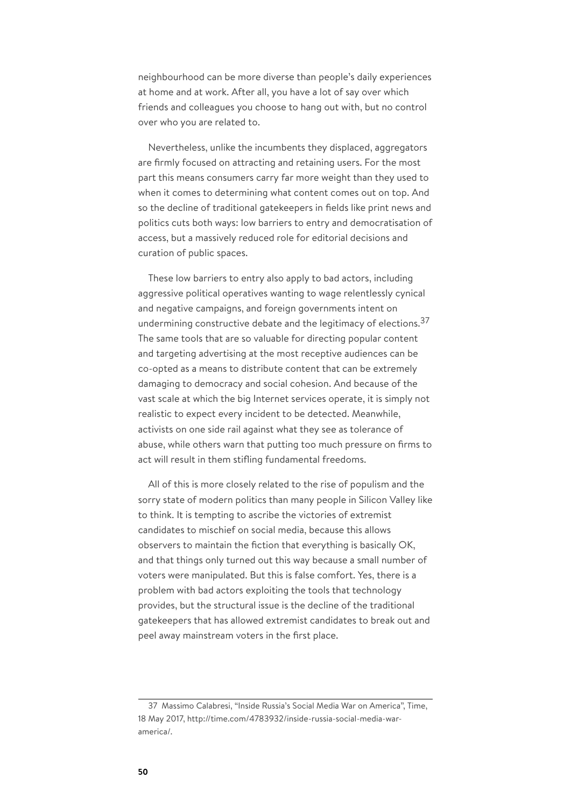neighbourhood can be more diverse than people's daily experiences at home and at work. After all, you have a lot of say over which friends and colleagues you choose to hang out with, but no control over who you are related to.

Nevertheless, unlike the incumbents they displaced, aggregators are firmly focused on attracting and retaining users. For the most part this means consumers carry far more weight than they used to when it comes to determining what content comes out on top. And so the decline of traditional gatekeepers in fields like print news and politics cuts both ways: low barriers to entry and democratisation of access, but a massively reduced role for editorial decisions and curation of public spaces.

These low barriers to entry also apply to bad actors, including aggressive political operatives wanting to wage relentlessly cynical and negative campaigns, and foreign governments intent on undermining constructive debate and the legitimacy of elections.  $37$ The same tools that are so valuable for directing popular content and targeting advertising at the most receptive audiences can be co-opted as a means to distribute content that can be extremely damaging to democracy and social cohesion. And because of the vast scale at which the big Internet services operate, it is simply not realistic to expect every incident to be detected. Meanwhile, activists on one side rail against what they see as tolerance of abuse, while others warn that putting too much pressure on firms to act will result in them stifling fundamental freedoms.

All of this is more closely related to the rise of populism and the sorry state of modern politics than many people in Silicon Valley like to think. It is tempting to ascribe the victories of extremist candidates to mischief on social media, because this allows observers to maintain the fiction that everything is basically OK, and that things only turned out this way because a small number of voters were manipulated. But this is false comfort. Yes, there is a problem with bad actors exploiting the tools that technology provides, but the structural issue is the decline of the traditional gatekeepers that has allowed extremist candidates to break out and peel away mainstream voters in the first place.

<sup>37</sup> Massimo Calabresi, "Inside Russia's Social Media War on America", Time, 18 May 2017, http://time.com/4783932/inside-russia-social-media-waramerica/.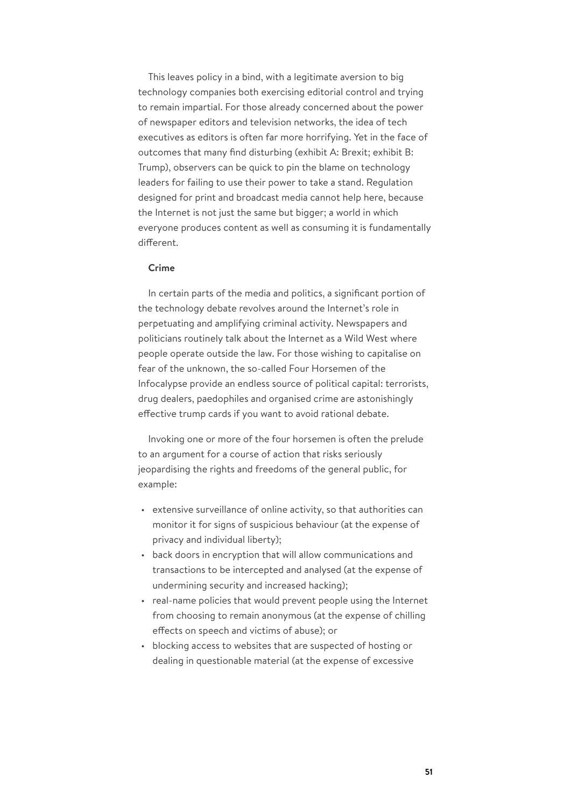This leaves policy in a bind, with a legitimate aversion to big technology companies both exercising editorial control and trying to remain impartial. For those already concerned about the power of newspaper editors and television networks, the idea of tech executives as editors is often far more horrifying. Yet in the face of outcomes that many find disturbing (exhibit A: Brexit; exhibit B: Trump), observers can be quick to pin the blame on technology leaders for failing to use their power to take a stand. Regulation designed for print and broadcast media cannot help here, because the Internet is not just the same but bigger; a world in which everyone produces content as well as consuming it is fundamentally different.

## **Crime**

In certain parts of the media and politics, a significant portion of the technology debate revolves around the Internet's role in perpetuating and amplifying criminal activity. Newspapers and politicians routinely talk about the Internet as a Wild West where people operate outside the law. For those wishing to capitalise on fear of the unknown, the so-called Four Horsemen of the Infocalypse provide an endless source of political capital: terrorists, drug dealers, paedophiles and organised crime are astonishingly effective trump cards if you want to avoid rational debate.

Invoking one or more of the four horsemen is often the prelude to an argument for a course of action that risks seriously jeopardising the rights and freedoms of the general public, for example:

- extensive surveillance of online activity, so that authorities can monitor it for signs of suspicious behaviour (at the expense of privacy and individual liberty);
- back doors in encryption that will allow communications and transactions to be intercepted and analysed (at the expense of undermining security and increased hacking);
- real-name policies that would prevent people using the Internet from choosing to remain anonymous (at the expense of chilling effects on speech and victims of abuse); or
- blocking access to websites that are suspected of hosting or dealing in questionable material (at the expense of excessive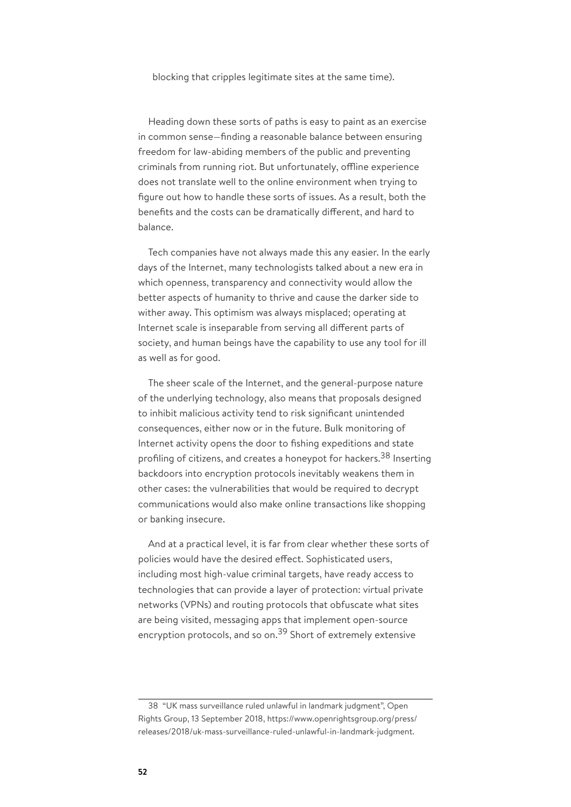blocking that cripples legitimate sites at the same time).

Heading down these sorts of paths is easy to paint as an exercise in common sense—finding a reasonable balance between ensuring freedom for law-abiding members of the public and preventing criminals from running riot. But unfortunately, offline experience does not translate well to the online environment when trying to figure out how to handle these sorts of issues. As a result, both the benefits and the costs can be dramatically different, and hard to balance.

Tech companies have not always made this any easier. In the early days of the Internet, many technologists talked about a new era in which openness, transparency and connectivity would allow the better aspects of humanity to thrive and cause the darker side to wither away. This optimism was always misplaced; operating at Internet scale is inseparable from serving all different parts of society, and human beings have the capability to use any tool for ill as well as for good.

The sheer scale of the Internet, and the general-purpose nature of the underlying technology, also means that proposals designed to inhibit malicious activity tend to risk significant unintended consequences, either now or in the future. Bulk monitoring of Internet activity opens the door to fishing expeditions and state profiling of citizens, and creates a honeypot for hackers.<sup>38</sup> Inserting backdoors into encryption protocols inevitably weakens them in other cases: the vulnerabilities that would be required to decrypt communications would also make online transactions like shopping or banking insecure.

And at a practical level, it is far from clear whether these sorts of policies would have the desired effect. Sophisticated users, including most high-value criminal targets, have ready access to technologies that can provide a layer of protection: virtual private networks (VPNs) and routing protocols that obfuscate what sites are being visited, messaging apps that implement open-source encryption protocols, and so on.<sup>39</sup> Short of extremely extensive

<sup>38</sup> "UK mass surveillance ruled unlawful in landmark judgment", Open Rights Group, 13 September 2018, https://www.openrightsgroup.org/press/ releases/2018/uk-mass-surveillance-ruled-unlawful-in-landmark-judgment.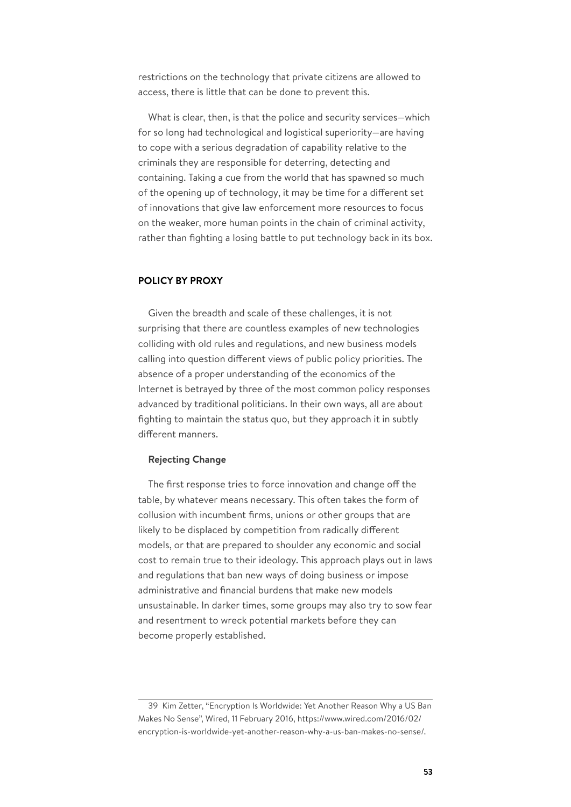restrictions on the technology that private citizens are allowed to access, there is little that can be done to prevent this.

What is clear, then, is that the police and security services—which for so long had technological and logistical superiority—are having to cope with a serious degradation of capability relative to the criminals they are responsible for deterring, detecting and containing. Taking a cue from the world that has spawned so much of the opening up of technology, it may be time for a different set of innovations that give law enforcement more resources to focus on the weaker, more human points in the chain of criminal activity, rather than fighting a losing battle to put technology back in its box.

# **POLICY BY PROXY**

Given the breadth and scale of these challenges, it is not surprising that there are countless examples of new technologies colliding with old rules and regulations, and new business models calling into question different views of public policy priorities. The absence of a proper understanding of the economics of the Internet is betrayed by three of the most common policy responses advanced by traditional politicians. In their own ways, all are about fighting to maintain the status quo, but they approach it in subtly different manners.

#### **Rejecting Change**

The first response tries to force innovation and change off the table, by whatever means necessary. This often takes the form of collusion with incumbent firms, unions or other groups that are likely to be displaced by competition from radically different models, or that are prepared to shoulder any economic and social cost to remain true to their ideology. This approach plays out in laws and regulations that ban new ways of doing business or impose administrative and financial burdens that make new models unsustainable. In darker times, some groups may also try to sow fear and resentment to wreck potential markets before they can become properly established.

<sup>39</sup> Kim Zetter, "Encryption Is Worldwide: Yet Another Reason Why a US Ban Makes No Sense", Wired, 11 February 2016, https://www.wired.com/2016/02/ encryption-is-worldwide-yet-another-reason-why-a-us-ban-makes-no-sense/.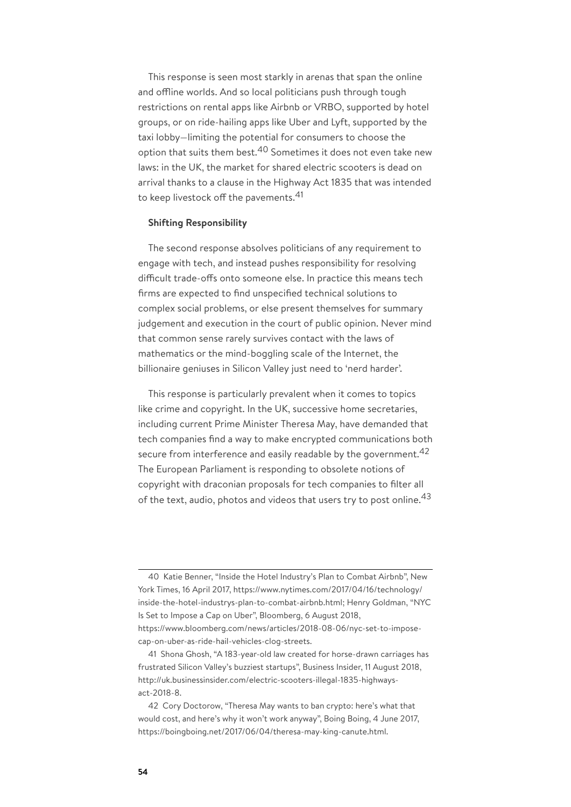This response is seen most starkly in arenas that span the online and offline worlds. And so local politicians push through tough restrictions on rental apps like Airbnb or VRBO, supported by hotel groups, or on ride-hailing apps like Uber and Lyft, supported by the taxi lobby—limiting the potential for consumers to choose the option that suits them best.<sup>40</sup> Sometimes it does not even take new laws: in the UK, the market for shared electric scooters is dead on arrival thanks to a clause in the Highway Act 1835 that was intended to keep livestock off the pavements.<sup>41</sup>

#### **Shifting Responsibility**

The second response absolves politicians of any requirement to engage with tech, and instead pushes responsibility for resolving difficult trade-offs onto someone else. In practice this means tech firms are expected to find unspecified technical solutions to complex social problems, or else present themselves for summary judgement and execution in the court of public opinion. Never mind that common sense rarely survives contact with the laws of mathematics or the mind-boggling scale of the Internet, the billionaire geniuses in Silicon Valley just need to 'nerd harder'.

This response is particularly prevalent when it comes to topics like crime and copyright. In the UK, successive home secretaries, including current Prime Minister Theresa May, have demanded that tech companies find a way to make encrypted communications both secure from interference and easily readable by the government.  $42$ The European Parliament is responding to obsolete notions of copyright with draconian proposals for tech companies to filter all of the text, audio, photos and videos that users try to post online.  $43$ 

<sup>40</sup> Katie Benner, "Inside the Hotel Industry's Plan to Combat Airbnb", New York Times, 16 April 2017, https://www.nytimes.com/2017/04/16/technology/ inside-the-hotel-industrys-plan-to-combat-airbnb.html; Henry Goldman, "NYC Is Set to Impose a Cap on Uber", Bloomberg, 6 August 2018, https://www.bloomberg.com/news/articles/2018-08-06/nyc-set-to-imposecap-on-uber-as-ride-hail-vehicles-clog-streets.

<sup>41</sup> Shona Ghosh, "A 183-year-old law created for horse-drawn carriages has frustrated Silicon Valley's buzziest startups", Business Insider, 11 August 2018, http://uk.businessinsider.com/electric-scooters-illegal-1835-highwaysact-2018-8.

<sup>42</sup> Cory Doctorow, "Theresa May wants to ban crypto: here's what that would cost, and here's why it won't work anyway", Boing Boing, 4 June 2017, https://boingboing.net/2017/06/04/theresa-may-king-canute.html.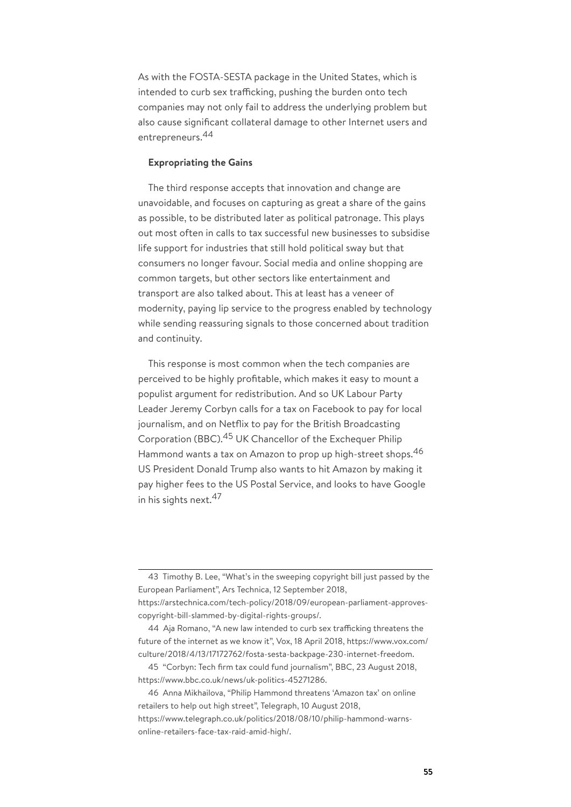As with the FOSTA-SESTA package in the United States, which is intended to curb sex trafficking, pushing the burden onto tech companies may not only fail to address the underlying problem but also cause significant collateral damage to other Internet users and entrepreneurs.<sup>44</sup>

## **Expropriating the Gains**

The third response accepts that innovation and change are unavoidable, and focuses on capturing as great a share of the gains as possible, to be distributed later as political patronage. This plays out most often in calls to tax successful new businesses to subsidise life support for industries that still hold political sway but that consumers no longer favour. Social media and online shopping are common targets, but other sectors like entertainment and transport are also talked about. This at least has a veneer of modernity, paying lip service to the progress enabled by technology while sending reassuring signals to those concerned about tradition and continuity.

This response is most common when the tech companies are perceived to be highly profitable, which makes it easy to mount a populist argument for redistribution. And so UK Labour Party Leader Jeremy Corbyn calls for a tax on Facebook to pay for local journalism, and on Netflix to pay for the British Broadcasting Corporation (BBC).<sup>45</sup> UK Chancellor of the Exchequer Philip Hammond wants a tax on Amazon to prop up high-street shops. 46 US President Donald Trump also wants to hit Amazon by making it pay higher fees to the US Postal Service, and looks to have Google in his sights next. 47

<sup>43</sup> Timothy B. Lee, "What's in the sweeping copyright bill just passed by the European Parliament", Ars Technica, 12 September 2018, https://arstechnica.com/tech-policy/2018/09/european-parliament-approvescopyright-bill-slammed-by-digital-rights-groups/.

<sup>44</sup> Aja Romano, "A new law intended to curb sex trafficking threatens the future of the internet as we know it", Vox, 18 April 2018, https://www.vox.com/ culture/2018/4/13/17172762/fosta-sesta-backpage-230-internet-freedom.

<sup>45</sup> "Corbyn: Tech firm tax could fund journalism", BBC, 23 August 2018, https://www.bbc.co.uk/news/uk-politics-45271286.

<sup>46</sup> Anna Mikhailova, "Philip Hammond threatens 'Amazon tax' on online retailers to help out high street", Telegraph, 10 August 2018, https://www.telegraph.co.uk/politics/2018/08/10/philip-hammond-warnsonline-retailers-face-tax-raid-amid-high/.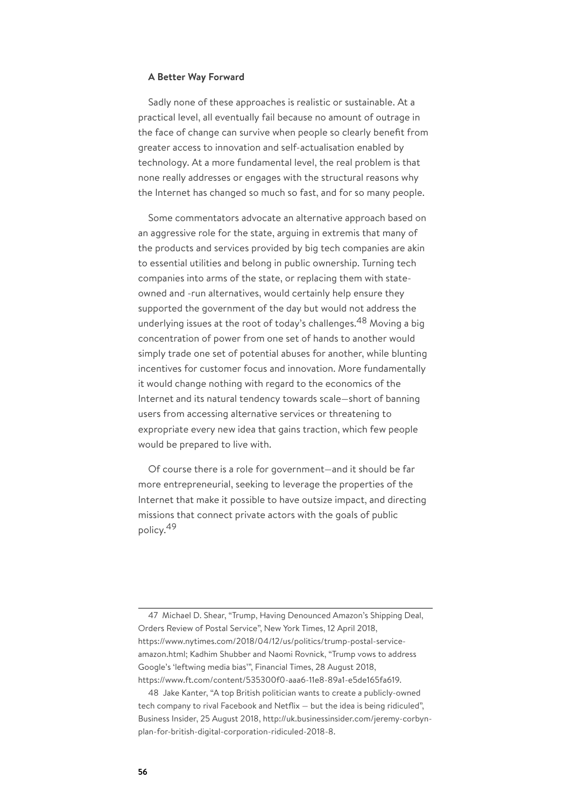#### **A Better Way Forward**

Sadly none of these approaches is realistic or sustainable. At a practical level, all eventually fail because no amount of outrage in the face of change can survive when people so clearly benefit from greater access to innovation and self-actualisation enabled by technology. At a more fundamental level, the real problem is that none really addresses or engages with the structural reasons why the Internet has changed so much so fast, and for so many people.

Some commentators advocate an alternative approach based on an aggressive role for the state, arguing in extremis that many of the products and services provided by big tech companies are akin to essential utilities and belong in public ownership. Turning tech companies into arms of the state, or replacing them with stateowned and -run alternatives, would certainly help ensure they supported the government of the day but would not address the underlying issues at the root of today's challenges.<sup>48</sup> Moving a big concentration of power from one set of hands to another would simply trade one set of potential abuses for another, while blunting incentives for customer focus and innovation. More fundamentally it would change nothing with regard to the economics of the Internet and its natural tendency towards scale—short of banning users from accessing alternative services or threatening to expropriate every new idea that gains traction, which few people would be prepared to live with.

Of course there is a role for government—and it should be far more entrepreneurial, seeking to leverage the properties of the Internet that make it possible to have outsize impact, and directing missions that connect private actors with the goals of public policy. 49

47 Michael D. Shear, "Trump, Having Denounced Amazon's Shipping Deal, Orders Review of Postal Service", New York Times, 12 April 2018, https://www.nytimes.com/2018/04/12/us/politics/trump-postal-serviceamazon.html; Kadhim Shubber and Naomi Rovnick, "Trump vows to address Google's 'leftwing media bias'", Financial Times, 28 August 2018, https://www.ft.com/content/535300f0-aaa6-11e8-89a1-e5de165fa619.

48 Jake Kanter, "A top British politician wants to create a publicly-owned tech company to rival Facebook and Netflix — but the idea is being ridiculed", Business Insider, 25 August 2018, http://uk.businessinsider.com/jeremy-corbynplan-for-british-digital-corporation-ridiculed-2018-8.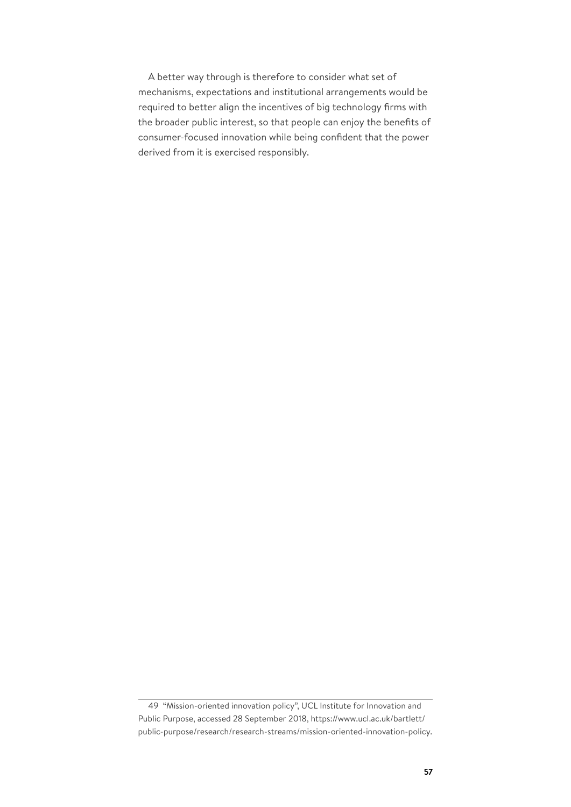A better way through is therefore to consider what set of mechanisms, expectations and institutional arrangements would be required to better align the incentives of big technology firms with the broader public interest, so that people can enjoy the benefits of consumer-focused innovation while being confident that the power derived from it is exercised responsibly.

<sup>49</sup> "Mission-oriented innovation policy", UCL Institute for Innovation and Public Purpose, accessed 28 September 2018, https://www.ucl.ac.uk/bartlett/ public-purpose/research/research-streams/mission-oriented-innovation-policy.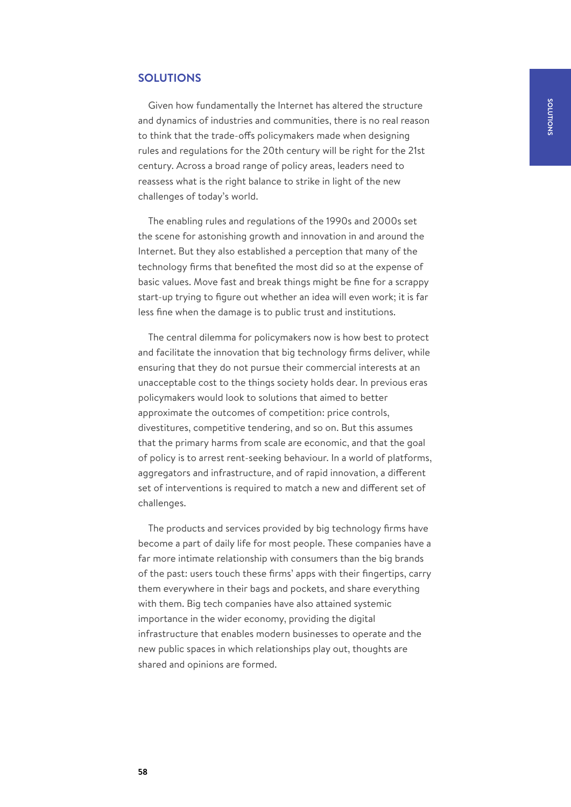# **SOLUTIONS**

Given how fundamentally the Internet has altered the structure and dynamics of industries and communities, there is no real reason to think that the trade-offs policymakers made when designing rules and regulations for the 20th century will be right for the 21st century. Across a broad range of policy areas, leaders need to reassess what is the right balance to strike in light of the new challenges of today's world.

The enabling rules and regulations of the 1990s and 2000s set the scene for astonishing growth and innovation in and around the Internet. But they also established a perception that many of the technology firms that benefited the most did so at the expense of basic values. Move fast and break things might be fine for a scrappy start-up trying to figure out whether an idea will even work; it is far less fine when the damage is to public trust and institutions.

The central dilemma for policymakers now is how best to protect and facilitate the innovation that big technology firms deliver, while ensuring that they do not pursue their commercial interests at an unacceptable cost to the things society holds dear. In previous eras policymakers would look to solutions that aimed to better approximate the outcomes of competition: price controls, divestitures, competitive tendering, and so on. But this assumes that the primary harms from scale are economic, and that the goal of policy is to arrest rent-seeking behaviour. In a world of platforms, aggregators and infrastructure, and of rapid innovation, a different set of interventions is required to match a new and different set of challenges.

The products and services provided by big technology firms have become a part of daily life for most people. These companies have a far more intimate relationship with consumers than the big brands of the past: users touch these firms' apps with their fingertips, carry them everywhere in their bags and pockets, and share everything with them. Big tech companies have also attained systemic importance in the wider economy, providing the digital infrastructure that enables modern businesses to operate and the new public spaces in which relationships play out, thoughts are shared and opinions are formed.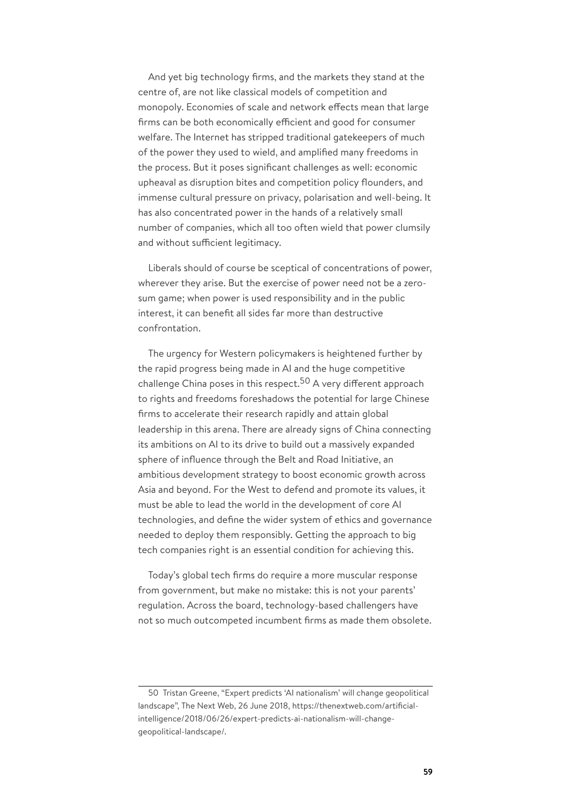And yet big technology firms, and the markets they stand at the centre of, are not like classical models of competition and monopoly. Economies of scale and network effects mean that large firms can be both economically efficient and good for consumer welfare. The Internet has stripped traditional gatekeepers of much of the power they used to wield, and amplified many freedoms in the process. But it poses significant challenges as well: economic upheaval as disruption bites and competition policy flounders, and immense cultural pressure on privacy, polarisation and well-being. It has also concentrated power in the hands of a relatively small number of companies, which all too often wield that power clumsily and without sufficient legitimacy.

Liberals should of course be sceptical of concentrations of power, wherever they arise. But the exercise of power need not be a zerosum game; when power is used responsibility and in the public interest, it can benefit all sides far more than destructive confrontation.

The urgency for Western policymakers is heightened further by the rapid progress being made in AI and the huge competitive challenge China poses in this respect.<sup>50</sup> A very different approach to rights and freedoms foreshadows the potential for large Chinese firms to accelerate their research rapidly and attain global leadership in this arena. There are already signs of China connecting its ambitions on AI to its drive to build out a massively expanded sphere of influence through the Belt and Road Initiative, an ambitious development strategy to boost economic growth across Asia and beyond. For the West to defend and promote its values, it must be able to lead the world in the development of core AI technologies, and define the wider system of ethics and governance needed to deploy them responsibly. Getting the approach to big tech companies right is an essential condition for achieving this.

Today's global tech firms do require a more muscular response from government, but make no mistake: this is not your parents' regulation. Across the board, technology-based challengers have not so much outcompeted incumbent firms as made them obsolete.

<sup>50</sup> Tristan Greene, "Expert predicts 'AI nationalism' will change geopolitical landscape", The Next Web, 26 June 2018, https://thenextweb.com/artificialintelligence/2018/06/26/expert-predicts-ai-nationalism-will-changegeopolitical-landscape/.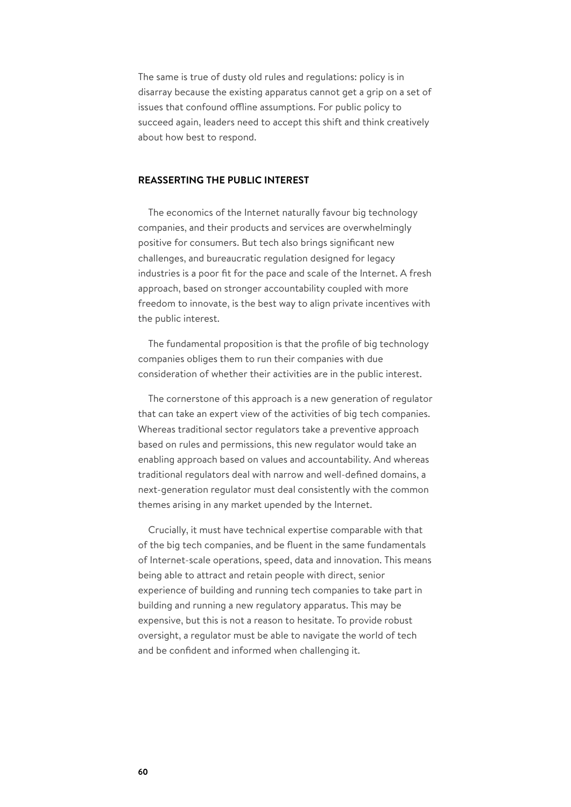The same is true of dusty old rules and regulations: policy is in disarray because the existing apparatus cannot get a grip on a set of issues that confound offline assumptions. For public policy to succeed again, leaders need to accept this shift and think creatively about how best to respond.

## **REASSERTING THE PUBLIC INTEREST**

The economics of the Internet naturally favour big technology companies, and their products and services are overwhelmingly positive for consumers. But tech also brings significant new challenges, and bureaucratic regulation designed for legacy industries is a poor fit for the pace and scale of the Internet. A fresh approach, based on stronger accountability coupled with more freedom to innovate, is the best way to align private incentives with the public interest.

The fundamental proposition is that the profile of big technology companies obliges them to run their companies with due consideration of whether their activities are in the public interest.

The cornerstone of this approach is a new generation of regulator that can take an expert view of the activities of big tech companies. Whereas traditional sector regulators take a preventive approach based on rules and permissions, this new regulator would take an enabling approach based on values and accountability. And whereas traditional regulators deal with narrow and well-defined domains, a next-generation regulator must deal consistently with the common themes arising in any market upended by the Internet.

Crucially, it must have technical expertise comparable with that of the big tech companies, and be fluent in the same fundamentals of Internet-scale operations, speed, data and innovation. This means being able to attract and retain people with direct, senior experience of building and running tech companies to take part in building and running a new regulatory apparatus. This may be expensive, but this is not a reason to hesitate. To provide robust oversight, a regulator must be able to navigate the world of tech and be confident and informed when challenging it.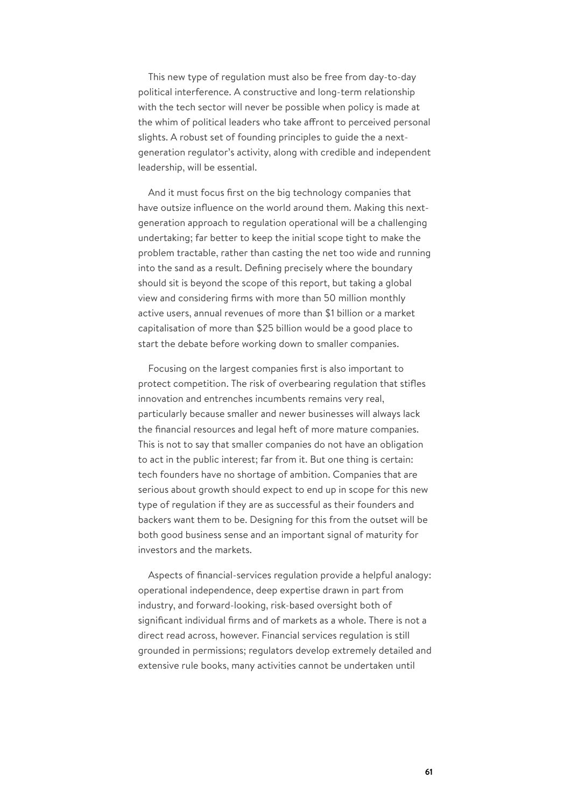This new type of regulation must also be free from day-to-day political interference. A constructive and long-term relationship with the tech sector will never be possible when policy is made at the whim of political leaders who take affront to perceived personal slights. A robust set of founding principles to guide the a nextgeneration regulator's activity, along with credible and independent leadership, will be essential.

And it must focus first on the big technology companies that have outsize influence on the world around them. Making this nextgeneration approach to regulation operational will be a challenging undertaking; far better to keep the initial scope tight to make the problem tractable, rather than casting the net too wide and running into the sand as a result. Defining precisely where the boundary should sit is beyond the scope of this report, but taking a global view and considering firms with more than 50 million monthly active users, annual revenues of more than \$1 billion or a market capitalisation of more than \$25 billion would be a good place to start the debate before working down to smaller companies.

Focusing on the largest companies first is also important to protect competition. The risk of overbearing regulation that stifles innovation and entrenches incumbents remains very real, particularly because smaller and newer businesses will always lack the financial resources and legal heft of more mature companies. This is not to say that smaller companies do not have an obligation to act in the public interest; far from it. But one thing is certain: tech founders have no shortage of ambition. Companies that are serious about growth should expect to end up in scope for this new type of regulation if they are as successful as their founders and backers want them to be. Designing for this from the outset will be both good business sense and an important signal of maturity for investors and the markets.

Aspects of financial-services regulation provide a helpful analogy: operational independence, deep expertise drawn in part from industry, and forward-looking, risk-based oversight both of significant individual firms and of markets as a whole. There is not a direct read across, however. Financial services regulation is still grounded in permissions; regulators develop extremely detailed and extensive rule books, many activities cannot be undertaken until

**61**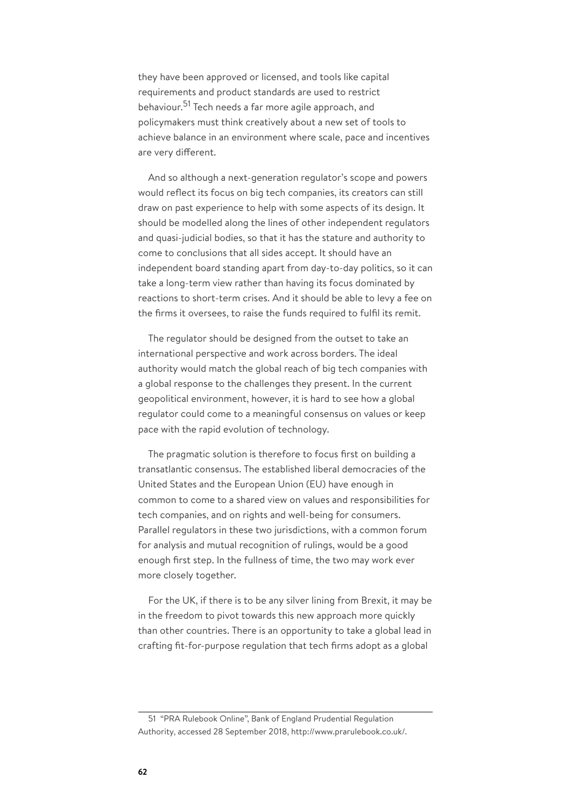they have been approved or licensed, and tools like capital requirements and product standards are used to restrict behaviour. <sup>51</sup> Tech needs a far more agile approach, and policymakers must think creatively about a new set of tools to achieve balance in an environment where scale, pace and incentives are very different.

And so although a next-generation regulator's scope and powers would reflect its focus on big tech companies, its creators can still draw on past experience to help with some aspects of its design. It should be modelled along the lines of other independent regulators and quasi-judicial bodies, so that it has the stature and authority to come to conclusions that all sides accept. It should have an independent board standing apart from day-to-day politics, so it can take a long-term view rather than having its focus dominated by reactions to short-term crises. And it should be able to levy a fee on the firms it oversees, to raise the funds required to fulfil its remit.

The regulator should be designed from the outset to take an international perspective and work across borders. The ideal authority would match the global reach of big tech companies with a global response to the challenges they present. In the current geopolitical environment, however, it is hard to see how a global regulator could come to a meaningful consensus on values or keep pace with the rapid evolution of technology.

The pragmatic solution is therefore to focus first on building a transatlantic consensus. The established liberal democracies of the United States and the European Union (EU) have enough in common to come to a shared view on values and responsibilities for tech companies, and on rights and well-being for consumers. Parallel regulators in these two jurisdictions, with a common forum for analysis and mutual recognition of rulings, would be a good enough first step. In the fullness of time, the two may work ever more closely together.

For the UK, if there is to be any silver lining from Brexit, it may be in the freedom to pivot towards this new approach more quickly than other countries. There is an opportunity to take a global lead in crafting fit-for-purpose regulation that tech firms adopt as a global

<sup>51</sup> "PRA Rulebook Online", Bank of England Prudential Regulation Authority, accessed 28 September 2018, http://www.prarulebook.co.uk/.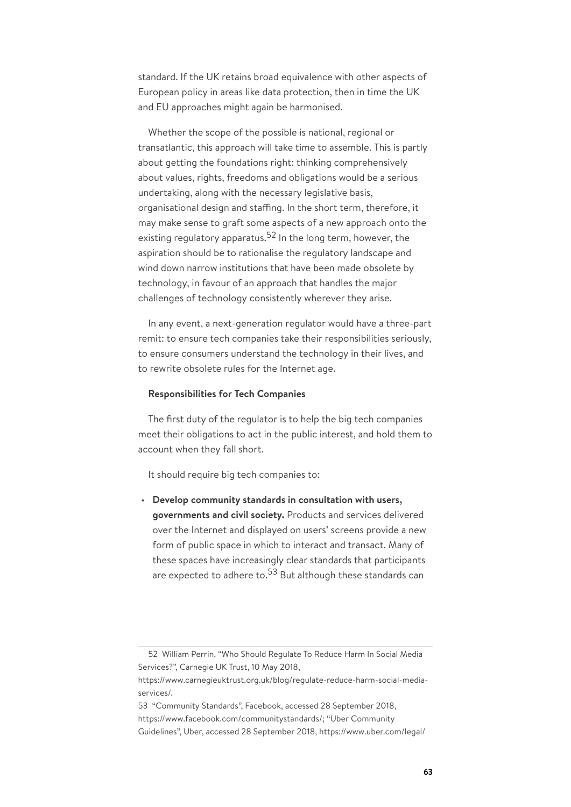standard. If the UK retains broad equivalence with other aspects of European policy in areas like data protection, then in time the UK and EU approaches might again be harmonised.

Whether the scope of the possible is national, regional or transatlantic, this approach will take time to assemble. This is partly about getting the foundations right: thinking comprehensively about values, rights, freedoms and obligations would be a serious undertaking, along with the necessary legislative basis, organisational design and staffing. In the short term, therefore, it may make sense to graft some aspects of a new approach onto the existing regulatory apparatus.<sup>52</sup> In the long term, however, the aspiration should be to rationalise the regulatory landscape and wind down narrow institutions that have been made obsolete by technology, in favour of an approach that handles the major challenges of technology consistently wherever they arise.

In any event, a next-generation regulator would have a three-part remit: to ensure tech companies take their responsibilities seriously, to ensure consumers understand the technology in their lives, and to rewrite obsolete rules for the Internet age.

#### **Responsibilities for Tech Companies**

The first duty of the regulator is to help the big tech companies meet their obligations to act in the public interest, and hold them to account when they fall short.

It should require big tech companies to:

• **Develop community standards in consultation with users, governments and civil society.** Products and services delivered over the Internet and displayed on users' screens provide a new form of public space in which to interact and transact. Many of these spaces have increasingly clear standards that participants are expected to adhere to.<sup>53</sup> But although these standards can

<sup>52</sup> William Perrin, "Who Should Regulate To Reduce Harm In Social Media Services?", Carnegie UK Trust, 10 May 2018,

https://www.carnegieuktrust.org.uk/blog/regulate-reduce-harm-social-mediaservices/.

<sup>53</sup> "Community Standards", Facebook, accessed 28 September 2018, https://www.facebook.com/communitystandards/; "Uber Community Guidelines", Uber, accessed 28 September 2018, https://www.uber.com/legal/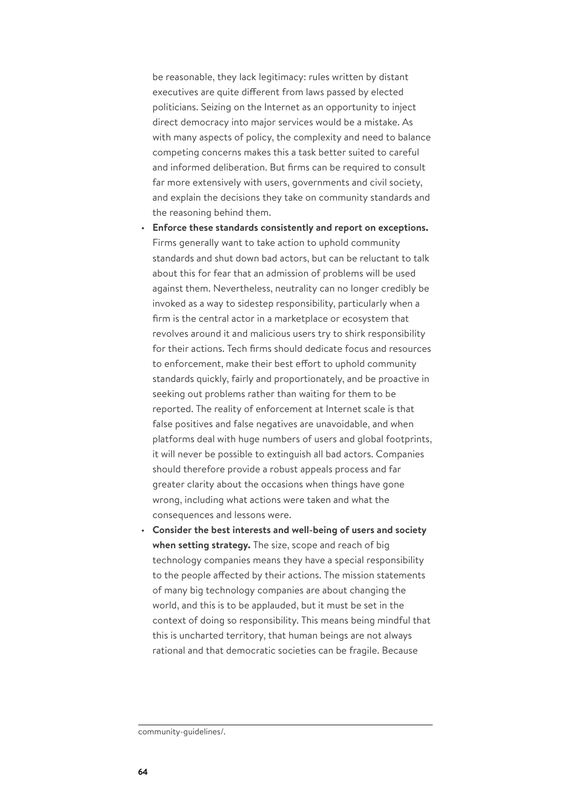be reasonable, they lack legitimacy: rules written by distant executives are quite different from laws passed by elected politicians. Seizing on the Internet as an opportunity to inject direct democracy into major services would be a mistake. As with many aspects of policy, the complexity and need to balance competing concerns makes this a task better suited to careful and informed deliberation. But firms can be required to consult far more extensively with users, governments and civil society, and explain the decisions they take on community standards and the reasoning behind them.

- **Enforce these standards consistently and report on exceptions.** Firms generally want to take action to uphold community standards and shut down bad actors, but can be reluctant to talk about this for fear that an admission of problems will be used against them. Nevertheless, neutrality can no longer credibly be invoked as a way to sidestep responsibility, particularly when a firm is the central actor in a marketplace or ecosystem that revolves around it and malicious users try to shirk responsibility for their actions. Tech firms should dedicate focus and resources to enforcement, make their best effort to uphold community standards quickly, fairly and proportionately, and be proactive in seeking out problems rather than waiting for them to be reported. The reality of enforcement at Internet scale is that false positives and false negatives are unavoidable, and when platforms deal with huge numbers of users and global footprints, it will never be possible to extinguish all bad actors. Companies should therefore provide a robust appeals process and far greater clarity about the occasions when things have gone wrong, including what actions were taken and what the consequences and lessons were.
- **Consider the best interests and well-being of users and society when setting strategy.** The size, scope and reach of big technology companies means they have a special responsibility to the people affected by their actions. The mission statements of many big technology companies are about changing the world, and this is to be applauded, but it must be set in the context of doing so responsibility. This means being mindful that this is uncharted territory, that human beings are not always rational and that democratic societies can be fragile. Because

community-guidelines/.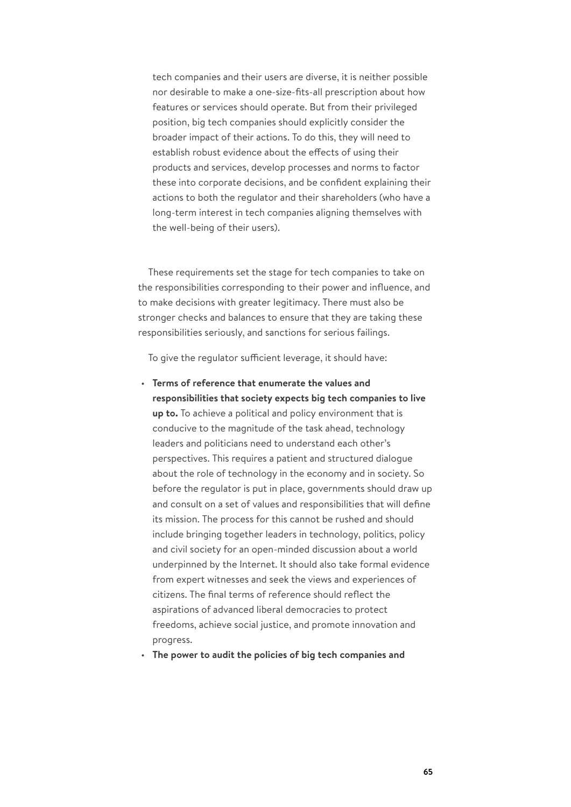tech companies and their users are diverse, it is neither possible nor desirable to make a one-size-fits-all prescription about how features or services should operate. But from their privileged position, big tech companies should explicitly consider the broader impact of their actions. To do this, they will need to establish robust evidence about the effects of using their products and services, develop processes and norms to factor these into corporate decisions, and be confident explaining their actions to both the regulator and their shareholders (who have a long-term interest in tech companies aligning themselves with the well-being of their users).

These requirements set the stage for tech companies to take on the responsibilities corresponding to their power and influence, and to make decisions with greater legitimacy. There must also be stronger checks and balances to ensure that they are taking these responsibilities seriously, and sanctions for serious failings.

To give the regulator sufficient leverage, it should have:

- **Terms of reference that enumerate the values and responsibilities that society expects big tech companies to live up to.** To achieve a political and policy environment that is conducive to the magnitude of the task ahead, technology leaders and politicians need to understand each other's perspectives. This requires a patient and structured dialogue about the role of technology in the economy and in society. So before the regulator is put in place, governments should draw up and consult on a set of values and responsibilities that will define its mission. The process for this cannot be rushed and should include bringing together leaders in technology, politics, policy and civil society for an open-minded discussion about a world underpinned by the Internet. It should also take formal evidence from expert witnesses and seek the views and experiences of citizens. The final terms of reference should reflect the aspirations of advanced liberal democracies to protect freedoms, achieve social justice, and promote innovation and progress.
- **The power to audit the policies of big tech companies and**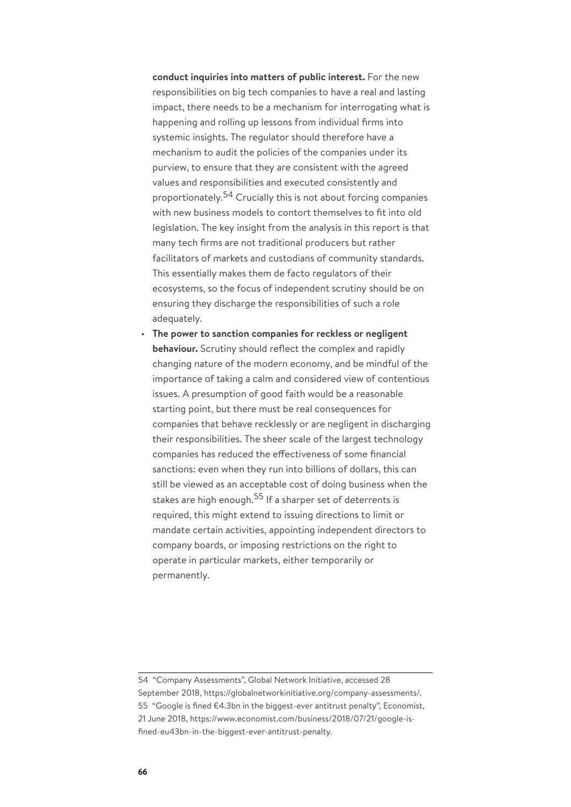**conduct inquiries into matters of public interest.** For the new responsibilities on big tech companies to have a real and lasting impact, there needs to be a mechanism for interrogating what is happening and rolling up lessons from individual firms into systemic insights. The regulator should therefore have a mechanism to audit the policies of the companies under its purview, to ensure that they are consistent with the agreed values and responsibilities and executed consistently and proportionately. <sup>54</sup> Crucially this is not about forcing companies with new business models to contort themselves to fit into old legislation. The key insight from the analysis in this report is that many tech firms are not traditional producers but rather facilitators of markets and custodians of community standards. This essentially makes them de facto regulators of their ecosystems, so the focus of independent scrutiny should be on ensuring they discharge the responsibilities of such a role adequately.

• **The power to sanction companies for reckless or negligent behaviour.** Scrutiny should reflect the complex and rapidly changing nature of the modern economy, and be mindful of the importance of taking a calm and considered view of contentious issues. A presumption of good faith would be a reasonable starting point, but there must be real consequences for companies that behave recklessly or are negligent in discharging their responsibilities. The sheer scale of the largest technology companies has reduced the effectiveness of some financial sanctions: even when they run into billions of dollars, this can still be viewed as an acceptable cost of doing business when the stakes are high enough.<sup>55</sup> If a sharper set of deterrents is required, this might extend to issuing directions to limit or mandate certain activities, appointing independent directors to company boards, or imposing restrictions on the right to operate in particular markets, either temporarily or permanently.

<sup>54</sup> "Company Assessments", Global Network Initiative, accessed 28 September 2018, https://globalnetworkinitiative.org/company-assessments/. 55 "Google is fined €4.3bn in the biggest-ever antitrust penalty", Economist, 21 June 2018, https://www.economist.com/business/2018/07/21/google-isfined-eu43bn-in-the-biggest-ever-antitrust-penalty.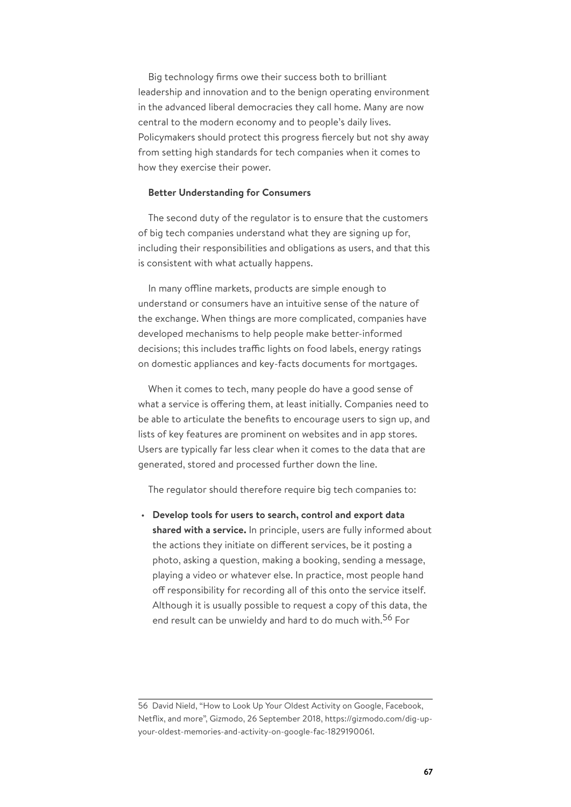Big technology firms owe their success both to brilliant leadership and innovation and to the benign operating environment in the advanced liberal democracies they call home. Many are now central to the modern economy and to people's daily lives. Policymakers should protect this progress fiercely but not shy away from setting high standards for tech companies when it comes to how they exercise their power.

## **Better Understanding for Consumers**

The second duty of the regulator is to ensure that the customers of big tech companies understand what they are signing up for, including their responsibilities and obligations as users, and that this is consistent with what actually happens.

In many offline markets, products are simple enough to understand or consumers have an intuitive sense of the nature of the exchange. When things are more complicated, companies have developed mechanisms to help people make better-informed decisions; this includes traffic lights on food labels, energy ratings on domestic appliances and key-facts documents for mortgages.

When it comes to tech, many people do have a good sense of what a service is offering them, at least initially. Companies need to be able to articulate the benefits to encourage users to sign up, and lists of key features are prominent on websites and in app stores. Users are typically far less clear when it comes to the data that are generated, stored and processed further down the line.

The regulator should therefore require big tech companies to:

• **Develop tools for users to search, control and export data shared with a service.** In principle, users are fully informed about the actions they initiate on different services, be it posting a photo, asking a question, making a booking, sending a message, playing a video or whatever else. In practice, most people hand off responsibility for recording all of this onto the service itself. Although it is usually possible to request a copy of this data, the end result can be unwieldy and hard to do much with.<sup>56</sup> For

<sup>56</sup> David Nield, "How to Look Up Your Oldest Activity on Google, Facebook, Netflix, and more", Gizmodo, 26 September 2018, https://gizmodo.com/dig-upyour-oldest-memories-and-activity-on-google-fac-1829190061.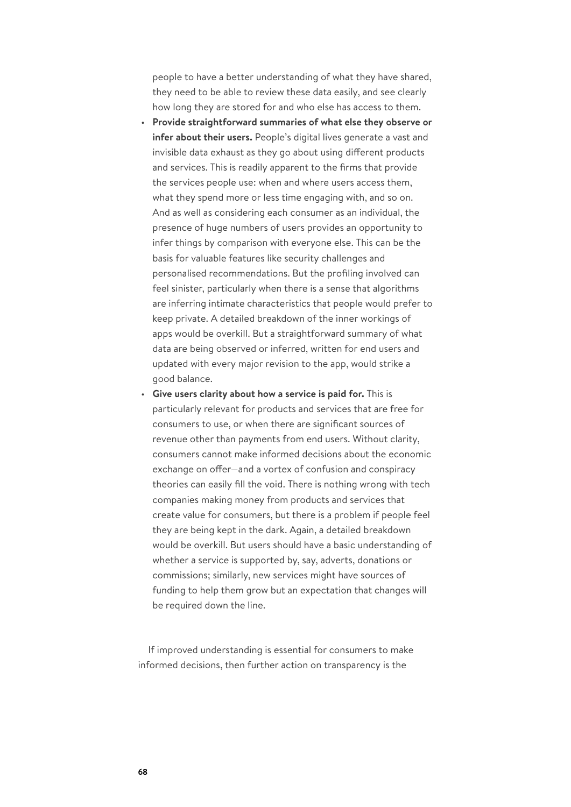people to have a better understanding of what they have shared, they need to be able to review these data easily, and see clearly how long they are stored for and who else has access to them.

- **Provide straightforward summaries of what else they observe or infer about their users.** People's digital lives generate a vast and invisible data exhaust as they go about using different products and services. This is readily apparent to the firms that provide the services people use: when and where users access them, what they spend more or less time engaging with, and so on. And as well as considering each consumer as an individual, the presence of huge numbers of users provides an opportunity to infer things by comparison with everyone else. This can be the basis for valuable features like security challenges and personalised recommendations. But the profiling involved can feel sinister, particularly when there is a sense that algorithms are inferring intimate characteristics that people would prefer to keep private. A detailed breakdown of the inner workings of apps would be overkill. But a straightforward summary of what data are being observed or inferred, written for end users and updated with every major revision to the app, would strike a good balance.
- **Give users clarity about how a service is paid for.** This is particularly relevant for products and services that are free for consumers to use, or when there are significant sources of revenue other than payments from end users. Without clarity, consumers cannot make informed decisions about the economic exchange on offer—and a vortex of confusion and conspiracy theories can easily fill the void. There is nothing wrong with tech companies making money from products and services that create value for consumers, but there is a problem if people feel they are being kept in the dark. Again, a detailed breakdown would be overkill. But users should have a basic understanding of whether a service is supported by, say, adverts, donations or commissions; similarly, new services might have sources of funding to help them grow but an expectation that changes will be required down the line.

If improved understanding is essential for consumers to make informed decisions, then further action on transparency is the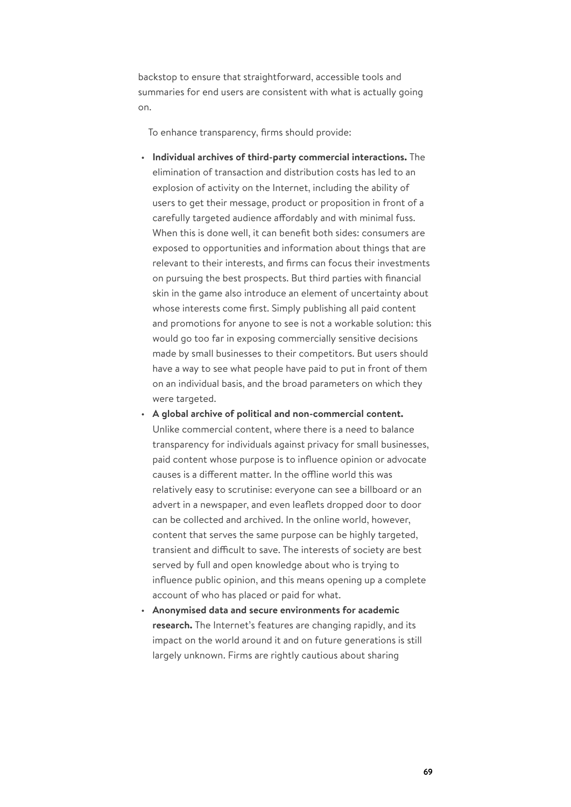backstop to ensure that straightforward, accessible tools and summaries for end users are consistent with what is actually going on.

To enhance transparency, firms should provide:

- **Individual archives of third-party commercial interactions.** The elimination of transaction and distribution costs has led to an explosion of activity on the Internet, including the ability of users to get their message, product or proposition in front of a carefully targeted audience affordably and with minimal fuss. When this is done well, it can benefit both sides: consumers are exposed to opportunities and information about things that are relevant to their interests, and firms can focus their investments on pursuing the best prospects. But third parties with financial skin in the game also introduce an element of uncertainty about whose interests come first. Simply publishing all paid content and promotions for anyone to see is not a workable solution: this would go too far in exposing commercially sensitive decisions made by small businesses to their competitors. But users should have a way to see what people have paid to put in front of them on an individual basis, and the broad parameters on which they were targeted.
- **A global archive of political and non-commercial content.** Unlike commercial content, where there is a need to balance transparency for individuals against privacy for small businesses, paid content whose purpose is to influence opinion or advocate causes is a different matter. In the offline world this was relatively easy to scrutinise: everyone can see a billboard or an advert in a newspaper, and even leaflets dropped door to door can be collected and archived. In the online world, however, content that serves the same purpose can be highly targeted, transient and difficult to save. The interests of society are best served by full and open knowledge about who is trying to influence public opinion, and this means opening up a complete account of who has placed or paid for what.
- **Anonymised data and secure environments for academic research.** The Internet's features are changing rapidly, and its impact on the world around it and on future generations is still largely unknown. Firms are rightly cautious about sharing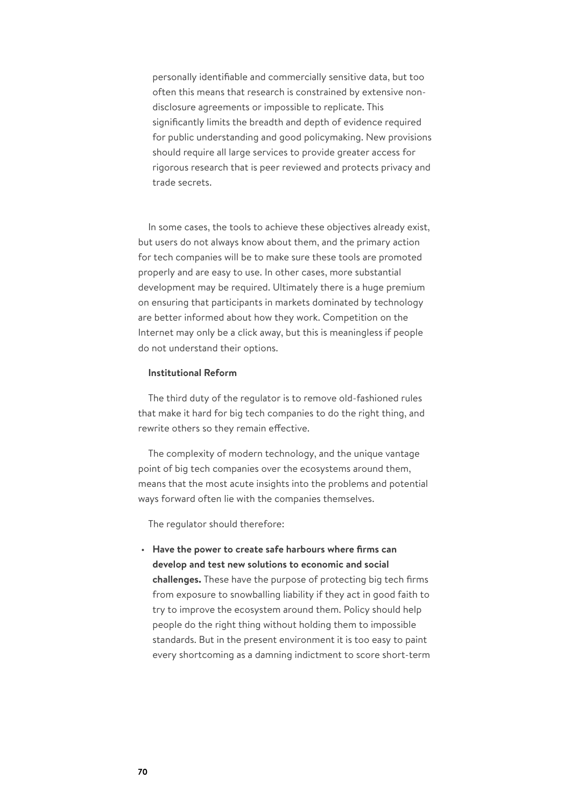personally identifiable and commercially sensitive data, but too often this means that research is constrained by extensive nondisclosure agreements or impossible to replicate. This significantly limits the breadth and depth of evidence required for public understanding and good policymaking. New provisions should require all large services to provide greater access for rigorous research that is peer reviewed and protects privacy and trade secrets.

In some cases, the tools to achieve these objectives already exist, but users do not always know about them, and the primary action for tech companies will be to make sure these tools are promoted properly and are easy to use. In other cases, more substantial development may be required. Ultimately there is a huge premium on ensuring that participants in markets dominated by technology are better informed about how they work. Competition on the Internet may only be a click away, but this is meaningless if people do not understand their options.

## **Institutional Reform**

The third duty of the regulator is to remove old-fashioned rules that make it hard for big tech companies to do the right thing, and rewrite others so they remain effective.

The complexity of modern technology, and the unique vantage point of big tech companies over the ecosystems around them, means that the most acute insights into the problems and potential ways forward often lie with the companies themselves.

The regulator should therefore:

• **Have the power to create safe harbours where firms can develop and test new solutions to economic and social challenges.** These have the purpose of protecting big tech firms from exposure to snowballing liability if they act in good faith to try to improve the ecosystem around them. Policy should help people do the right thing without holding them to impossible standards. But in the present environment it is too easy to paint every shortcoming as a damning indictment to score short-term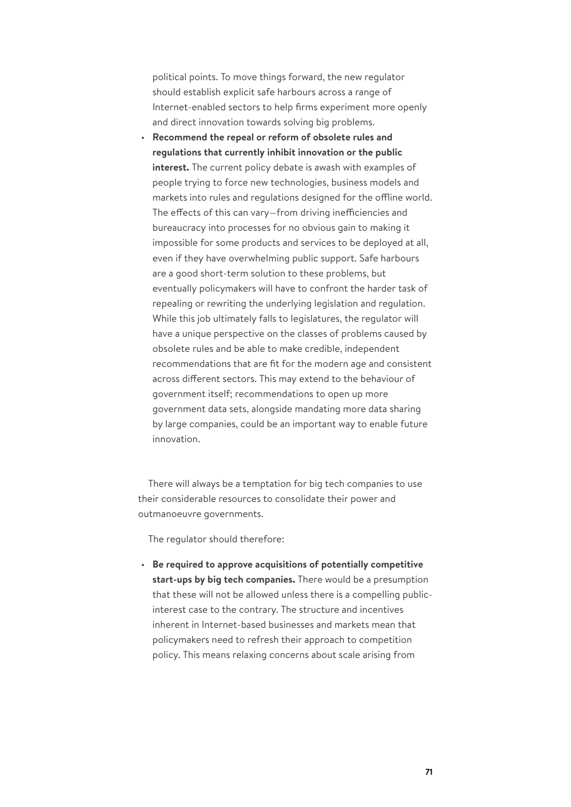political points. To move things forward, the new regulator should establish explicit safe harbours across a range of Internet-enabled sectors to help firms experiment more openly and direct innovation towards solving big problems.

• **Recommend the repeal or reform of obsolete rules and regulations that currently inhibit innovation or the public interest.** The current policy debate is awash with examples of people trying to force new technologies, business models and markets into rules and regulations designed for the offline world. The effects of this can vary—from driving inefficiencies and bureaucracy into processes for no obvious gain to making it impossible for some products and services to be deployed at all, even if they have overwhelming public support. Safe harbours are a good short-term solution to these problems, but eventually policymakers will have to confront the harder task of repealing or rewriting the underlying legislation and regulation. While this job ultimately falls to legislatures, the regulator will have a unique perspective on the classes of problems caused by obsolete rules and be able to make credible, independent recommendations that are fit for the modern age and consistent across different sectors. This may extend to the behaviour of government itself; recommendations to open up more government data sets, alongside mandating more data sharing by large companies, could be an important way to enable future innovation.

There will always be a temptation for big tech companies to use their considerable resources to consolidate their power and outmanoeuvre governments.

The regulator should therefore:

• **Be required to approve acquisitions of potentially competitive start-ups by big tech companies.** There would be a presumption that these will not be allowed unless there is a compelling publicinterest case to the contrary. The structure and incentives inherent in Internet-based businesses and markets mean that policymakers need to refresh their approach to competition policy. This means relaxing concerns about scale arising from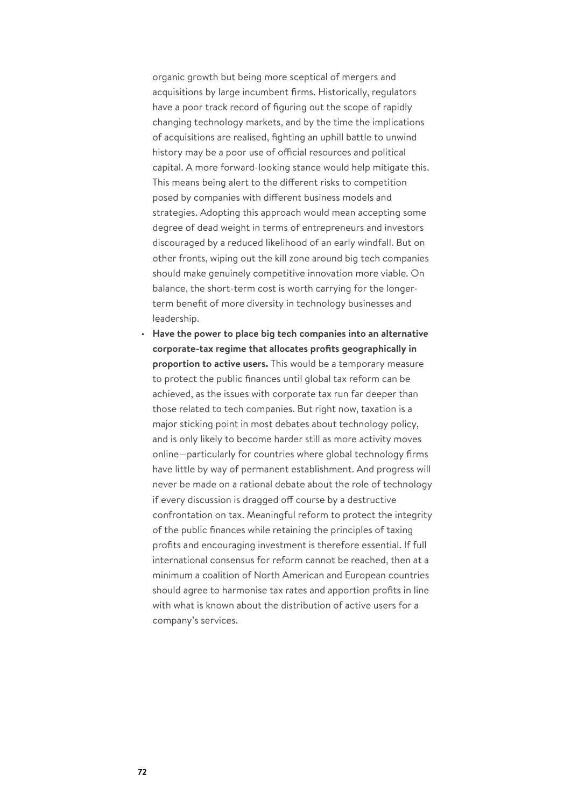organic growth but being more sceptical of mergers and acquisitions by large incumbent firms. Historically, regulators have a poor track record of figuring out the scope of rapidly changing technology markets, and by the time the implications of acquisitions are realised, fighting an uphill battle to unwind history may be a poor use of official resources and political capital. A more forward-looking stance would help mitigate this. This means being alert to the different risks to competition posed by companies with different business models and strategies. Adopting this approach would mean accepting some degree of dead weight in terms of entrepreneurs and investors discouraged by a reduced likelihood of an early windfall. But on other fronts, wiping out the kill zone around big tech companies should make genuinely competitive innovation more viable. On balance, the short-term cost is worth carrying for the longerterm benefit of more diversity in technology businesses and leadership.

• **Have the power to place big tech companies into an alternative corporate-tax regime that allocates profits geographically in proportion to active users.** This would be a temporary measure to protect the public finances until global tax reform can be achieved, as the issues with corporate tax run far deeper than those related to tech companies. But right now, taxation is a major sticking point in most debates about technology policy, and is only likely to become harder still as more activity moves online—particularly for countries where global technology firms have little by way of permanent establishment. And progress will never be made on a rational debate about the role of technology if every discussion is dragged off course by a destructive confrontation on tax. Meaningful reform to protect the integrity of the public finances while retaining the principles of taxing profits and encouraging investment is therefore essential. If full international consensus for reform cannot be reached, then at a minimum a coalition of North American and European countries should agree to harmonise tax rates and apportion profits in line with what is known about the distribution of active users for a company's services.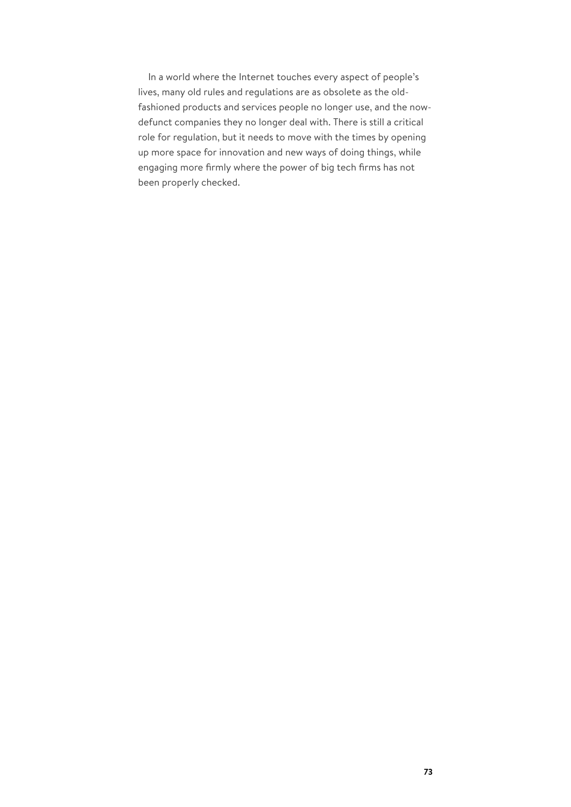In a world where the Internet touches every aspect of people's lives, many old rules and regulations are as obsolete as the oldfashioned products and services people no longer use, and the nowdefunct companies they no longer deal with. There is still a critical role for regulation, but it needs to move with the times by opening up more space for innovation and new ways of doing things, while engaging more firmly where the power of big tech firms has not been properly checked.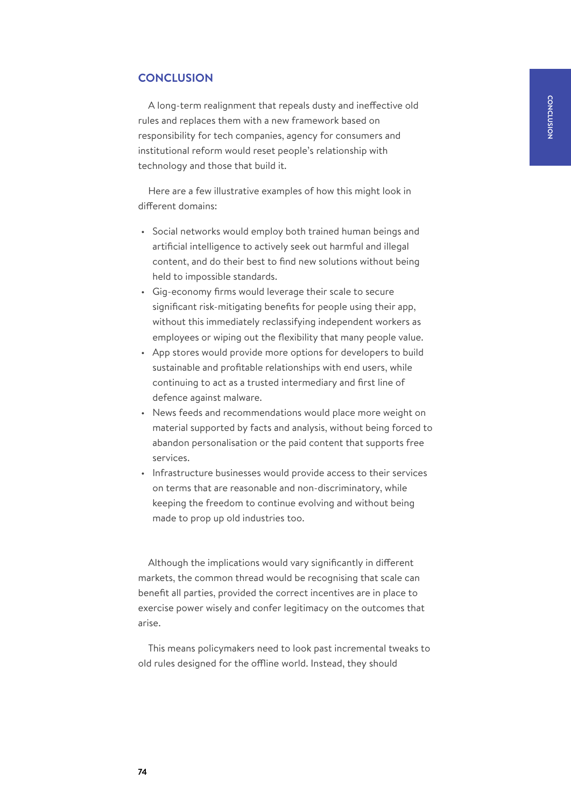## **CONCLUSION**

A long-term realignment that repeals dusty and ineffective old rules and replaces them with a new framework based on responsibility for tech companies, agency for consumers and institutional reform would reset people's relationship with technology and those that build it.

Here are a few illustrative examples of how this might look in different domains:

- Social networks would employ both trained human beings and artificial intelligence to actively seek out harmful and illegal content, and do their best to find new solutions without being held to impossible standards.
- Gig-economy firms would leverage their scale to secure significant risk-mitigating benefits for people using their app, without this immediately reclassifying independent workers as employees or wiping out the flexibility that many people value.
- App stores would provide more options for developers to build sustainable and profitable relationships with end users, while continuing to act as a trusted intermediary and first line of defence against malware.
- News feeds and recommendations would place more weight on material supported by facts and analysis, without being forced to abandon personalisation or the paid content that supports free services.
- Infrastructure businesses would provide access to their services on terms that are reasonable and non-discriminatory, while keeping the freedom to continue evolving and without being made to prop up old industries too.

Although the implications would vary significantly in different markets, the common thread would be recognising that scale can benefit all parties, provided the correct incentives are in place to exercise power wisely and confer legitimacy on the outcomes that arise.

This means policymakers need to look past incremental tweaks to old rules designed for the offline world. Instead, they should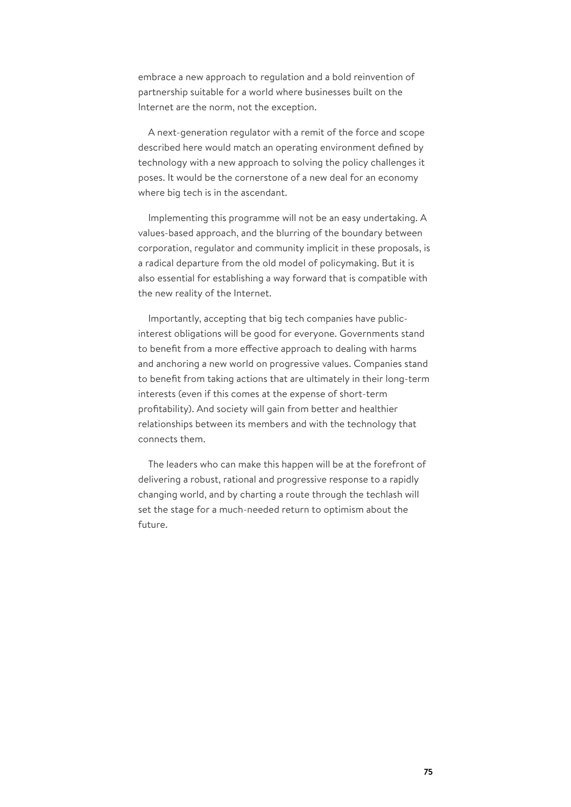embrace a new approach to regulation and a bold reinvention of partnership suitable for a world where businesses built on the Internet are the norm, not the exception.

A next-generation regulator with a remit of the force and scope described here would match an operating environment defined by technology with a new approach to solving the policy challenges it poses. It would be the cornerstone of a new deal for an economy where big tech is in the ascendant.

Implementing this programme will not be an easy undertaking. A values-based approach, and the blurring of the boundary between corporation, regulator and community implicit in these proposals, is a radical departure from the old model of policymaking. But it is also essential for establishing a way forward that is compatible with the new reality of the Internet.

Importantly, accepting that big tech companies have publicinterest obligations will be good for everyone. Governments stand to benefit from a more effective approach to dealing with harms and anchoring a new world on progressive values. Companies stand to benefit from taking actions that are ultimately in their long-term interests (even if this comes at the expense of short-term profitability). And society will gain from better and healthier relationships between its members and with the technology that connects them.

The leaders who can make this happen will be at the forefront of delivering a robust, rational and progressive response to a rapidly changing world, and by charting a route through the techlash will set the stage for a much-needed return to optimism about the future.